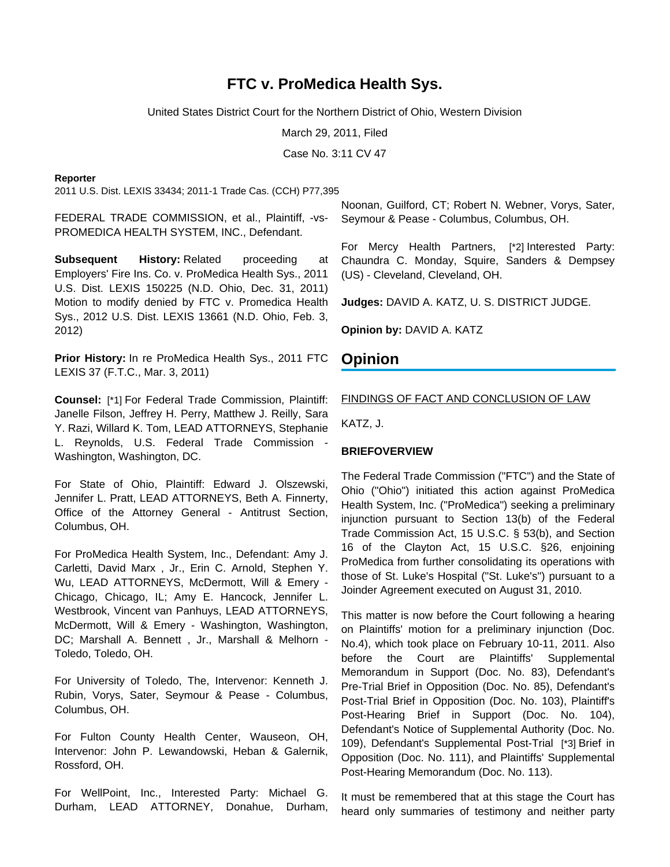# **FTC v. ProMedica Health Sys.**

United States District Court for the Northern District of Ohio, Western Division

March 29, 2011, Filed

Case No. 3:11 CV 47

#### **Reporter**

2011 U.S. Dist. LEXIS 33434; 2011-1 Trade Cas. (CCH) P77,395

FEDERAL TRADE COMMISSION, et al., Plaintiff, -vs-PROMEDICA HEALTH SYSTEM, INC., Defendant.

**Subsequent History:** Related proceeding at Employers' Fire Ins. Co. v. ProMedica Health Sys., 2011 U.S. Dist. LEXIS 150225 (N.D. Ohio, Dec. 31, 2011) Motion to modify denied by FTC v. Promedica Health Sys., 2012 U.S. Dist. LEXIS 13661 (N.D. Ohio, Feb. 3, 2012)

**Prior History:** In re ProMedica Health Sys., 2011 FTC LEXIS 37 (F.T.C., Mar. 3, 2011)

**Counsel:** [\*1] For Federal Trade Commission, Plaintiff: Janelle Filson, Jeffrey H. Perry, Matthew J. Reilly, Sara Y. Razi, Willard K. Tom, LEAD ATTORNEYS, Stephanie L. Reynolds, U.S. Federal Trade Commission - Washington, Washington, DC.

For State of Ohio, Plaintiff: Edward J. Olszewski, Jennifer L. Pratt, LEAD ATTORNEYS, Beth A. Finnerty, Office of the Attorney General - Antitrust Section, Columbus, OH.

For ProMedica Health System, Inc., Defendant: Amy J. Carletti, David Marx , Jr., Erin C. Arnold, Stephen Y. Wu, LEAD ATTORNEYS, McDermott, Will & Emery - Chicago, Chicago, IL; Amy E. Hancock, Jennifer L. Westbrook, Vincent van Panhuys, LEAD ATTORNEYS, McDermott, Will & Emery - Washington, Washington, DC; Marshall A. Bennett, Jr., Marshall & Melhorn -Toledo, Toledo, OH.

For University of Toledo, The, Intervenor: Kenneth J. Rubin, Vorys, Sater, Seymour & Pease - Columbus, Columbus, OH.

For Fulton County Health Center, Wauseon, OH, Intervenor: John P. Lewandowski, Heban & Galernik, Rossford, OH.

For WellPoint, Inc., Interested Party: Michael G. Durham, LEAD ATTORNEY, Donahue, Durham,

Noonan, Guilford, CT; Robert N. Webner, Vorys, Sater, Seymour & Pease - Columbus, Columbus, OH.

For Mercy Health Partners, [\*2] Interested Party: Chaundra C. Monday, Squire, Sanders & Dempsey (US) - Cleveland, Cleveland, OH.

**Judges:** DAVID A. KATZ, U. S. DISTRICT JUDGE.

**Opinion by:** DAVID A. KATZ

### **Opinion**

#### FINDINGS OF FACT AND CONCLUSION OF LAW

KATZ, J.

#### **BRIEFOVERVIEW**

The Federal Trade Commission ("FTC") and the State of Ohio ("Ohio") initiated this action against ProMedica Health System, Inc. ("ProMedica") seeking a preliminary injunction pursuant to Section 13(b) of the Federal Trade Commission Act, 15 U.S.C. § 53(b), and Section 16 of the Clayton Act, 15 U.S.C. §26, enjoining ProMedica from further consolidating its operations with those of St. Luke's Hospital ("St. Luke's") pursuant to a Joinder Agreement executed on August 31, 2010.

This matter is now before the Court following a hearing on Plaintiffs' motion for a preliminary injunction (Doc. No.4), which took place on February 10-11, 2011. Also before the Court are Plaintiffs' Supplemental Memorandum in Support (Doc. No. 83), Defendant's Pre-Trial Brief in Opposition (Doc. No. 85), Defendant's Post-Trial Brief in Opposition (Doc. No. 103), Plaintiff's Post-Hearing Brief in Support (Doc. No. 104), Defendant's Notice of Supplemental Authority (Doc. No. 109), Defendant's Supplemental Post-Trial [\*3] Brief in Opposition (Doc. No. 111), and Plaintiffs' Supplemental Post-Hearing Memorandum (Doc. No. 113).

It must be remembered that at this stage the Court has heard only summaries of testimony and neither party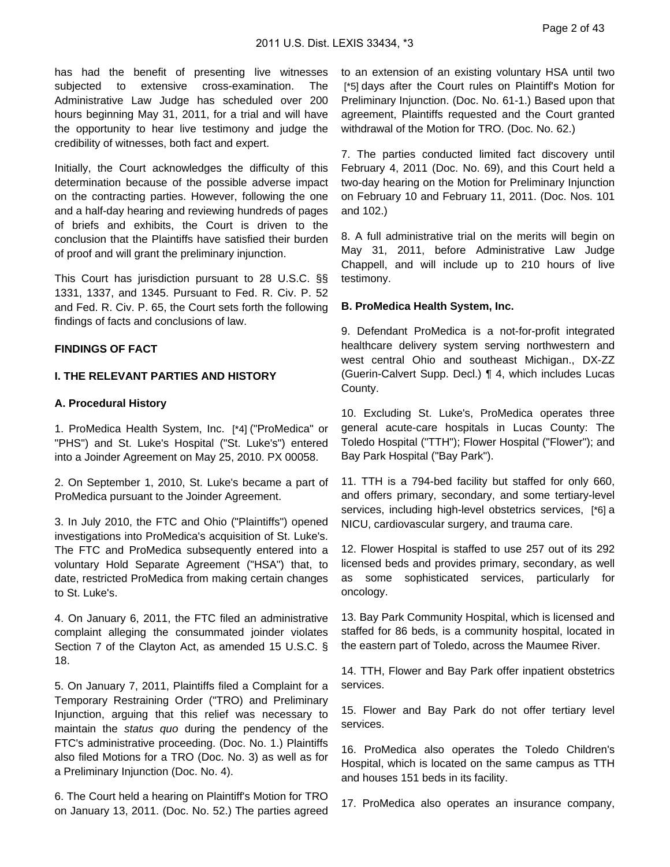has had the benefit of presenting live witnesses subjected to extensive cross-examination. The Administrative Law Judge has scheduled over 200 hours beginning May 31, 2011, for a trial and will have the opportunity to hear live testimony and judge the credibility of witnesses, both fact and expert.

Initially, the Court acknowledges the difficulty of this determination because of the possible adverse impact on the contracting parties. However, following the one and a half-day hearing and reviewing hundreds of pages of briefs and exhibits, the Court is driven to the conclusion that the Plaintiffs have satisfied their burden of proof and will grant the preliminary injunction.

This Court has jurisdiction pursuant to 28 U.S.C. §§ 1331, 1337, and 1345. Pursuant to Fed. R. Civ. P. 52 and Fed. R. Civ. P. 65, the Court sets forth the following findings of facts and conclusions of law.

## **FINDINGS OF FACT**

## **I. THE RELEVANT PARTIES AND HISTORY**

### **A. Procedural History**

1. ProMedica Health System, Inc. [\*4] ("ProMedica" or "PHS") and St. Luke's Hospital ("St. Luke's") entered into a Joinder Agreement on May 25, 2010. PX 00058.

2. On September 1, 2010, St. Luke's became a part of ProMedica pursuant to the Joinder Agreement.

3. In July 2010, the FTC and Ohio ("Plaintiffs") opened investigations into ProMedica's acquisition of St. Luke's. The FTC and ProMedica subsequently entered into a voluntary Hold Separate Agreement ("HSA") that, to date, restricted ProMedica from making certain changes to St. Luke's.

4. On January 6, 2011, the FTC filed an administrative complaint alleging the consummated joinder violates Section 7 of the Clayton Act, as amended 15 U.S.C. § 18.

5. On January 7, 2011, Plaintiffs filed a Complaint for a Temporary Restraining Order ("TRO) and Preliminary Injunction, arguing that this relief was necessary to maintain the status quo during the pendency of the FTC's administrative proceeding. (Doc. No. 1.) Plaintiffs also filed Motions for a TRO (Doc. No. 3) as well as for a Preliminary Injunction (Doc. No. 4).

6. The Court held a hearing on Plaintiff's Motion for TRO on January 13, 2011. (Doc. No. 52.) The parties agreed to an extension of an existing voluntary HSA until two [\*5] days after the Court rules on Plaintiff's Motion for Preliminary Injunction. (Doc. No. 61-1.) Based upon that agreement, Plaintiffs requested and the Court granted withdrawal of the Motion for TRO. (Doc. No. 62.)

7. The parties conducted limited fact discovery until February 4, 2011 (Doc. No. 69), and this Court held a two-day hearing on the Motion for Preliminary Injunction on February 10 and February 11, 2011. (Doc. Nos. 101 and 102.)

8. A full administrative trial on the merits will begin on May 31, 2011, before Administrative Law Judge Chappell, and will include up to 210 hours of live testimony.

### **B. ProMedica Health System, Inc.**

9. Defendant ProMedica is a not-for-profit integrated healthcare delivery system serving northwestern and west central Ohio and southeast Michigan., DX-ZZ (Guerin-Calvert Supp. Decl.) ¶ 4, which includes Lucas County.

10. Excluding St. Luke's, ProMedica operates three general acute-care hospitals in Lucas County: The Toledo Hospital ("TTH"); Flower Hospital ("Flower"); and Bay Park Hospital ("Bay Park").

11. TTH is a 794-bed facility but staffed for only 660, and offers primary, secondary, and some tertiary-level services, including high-level obstetrics services, [\*6] a NICU, cardiovascular surgery, and trauma care.

12. Flower Hospital is staffed to use 257 out of its 292 licensed beds and provides primary, secondary, as well as some sophisticated services, particularly for oncology.

13. Bay Park Community Hospital, which is licensed and staffed for 86 beds, is a community hospital, located in the eastern part of Toledo, across the Maumee River.

14. TTH, Flower and Bay Park offer inpatient obstetrics services.

15. Flower and Bay Park do not offer tertiary level services.

16. ProMedica also operates the Toledo Children's Hospital, which is located on the same campus as TTH and houses 151 beds in its facility.

17. ProMedica also operates an insurance company,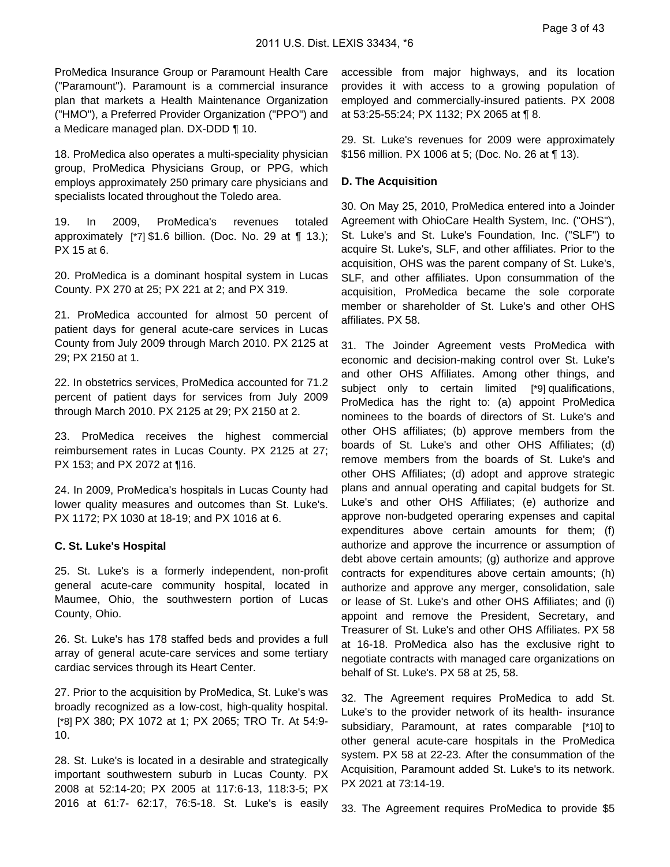ProMedica Insurance Group or Paramount Health Care ("Paramount"). Paramount is a commercial insurance plan that markets a Health Maintenance Organization ("HMO"), a Preferred Provider Organization ("PPO") and a Medicare managed plan. DX-DDD ¶ 10.

18. ProMedica also operates a multi-speciality physician group, ProMedica Physicians Group, or PPG, which employs approximately 250 primary care physicians and specialists located throughout the Toledo area.

19. In 2009, ProMedica's revenues totaled approximately [\*7] \$1.6 billion. (Doc. No. 29 at ¶ 13.); PX 15 at 6.

20. ProMedica is a dominant hospital system in Lucas County. PX 270 at 25; PX 221 at 2; and PX 319.

21. ProMedica accounted for almost 50 percent of patient days for general acute-care services in Lucas County from July 2009 through March 2010. PX 2125 at 29; PX 2150 at 1.

22. In obstetrics services, ProMedica accounted for 71.2 percent of patient days for services from July 2009 through March 2010. PX 2125 at 29; PX 2150 at 2.

23. ProMedica receives the highest commercial reimbursement rates in Lucas County. PX 2125 at 27; PX 153; and PX 2072 at ¶16.

24. In 2009, ProMedica's hospitals in Lucas County had lower quality measures and outcomes than St. Luke's. PX 1172; PX 1030 at 18-19; and PX 1016 at 6.

#### **C. St. Luke's Hospital**

25. St. Luke's is a formerly independent, non-profit general acute-care community hospital, located in Maumee, Ohio, the southwestern portion of Lucas County, Ohio.

26. St. Luke's has 178 staffed beds and provides a full array of general acute-care services and some tertiary cardiac services through its Heart Center.

27. Prior to the acquisition by ProMedica, St. Luke's was broadly recognized as a low-cost, high-quality hospital. [\*8] PX 380; PX 1072 at 1; PX 2065; TRO Tr. At 54:9- 10.

28. St. Luke's is located in a desirable and strategically important southwestern suburb in Lucas County. PX 2008 at 52:14-20; PX 2005 at 117:6-13, 118:3-5; PX 2016 at 61:7- 62:17, 76:5-18. St. Luke's is easily

accessible from major highways, and its location provides it with access to a growing population of employed and commercially-insured patients. PX 2008 at 53:25-55:24; PX 1132; PX 2065 at ¶ 8.

29. St. Luke's revenues for 2009 were approximately \$156 million. PX 1006 at 5; (Doc. No. 26 at ¶ 13).

### **D. The Acquisition**

30. On May 25, 2010, ProMedica entered into a Joinder Agreement with OhioCare Health System, Inc. ("OHS"), St. Luke's and St. Luke's Foundation, Inc. ("SLF") to acquire St. Luke's, SLF, and other affiliates. Prior to the acquisition, OHS was the parent company of St. Luke's, SLF, and other affiliates. Upon consummation of the acquisition, ProMedica became the sole corporate member or shareholder of St. Luke's and other OHS affiliates. PX 58.

31. The Joinder Agreement vests ProMedica with economic and decision-making control over St. Luke's and other OHS Affiliates. Among other things, and subject only to certain limited [\*9] qualifications, ProMedica has the right to: (a) appoint ProMedica nominees to the boards of directors of St. Luke's and other OHS affiliates; (b) approve members from the boards of St. Luke's and other OHS Affiliates; (d) remove members from the boards of St. Luke's and other OHS Affiliates; (d) adopt and approve strategic plans and annual operating and capital budgets for St. Luke's and other OHS Affiliates; (e) authorize and approve non-budgeted operaring expenses and capital expenditures above certain amounts for them; (f) authorize and approve the incurrence or assumption of debt above certain amounts; (g) authorize and approve contracts for expenditures above certain amounts; (h) authorize and approve any merger, consolidation, sale or lease of St. Luke's and other OHS Affiliates; and (i) appoint and remove the President, Secretary, and Treasurer of St. Luke's and other OHS Affiliates. PX 58 at 16-18. ProMedica also has the exclusive right to negotiate contracts with managed care organizations on behalf of St. Luke's. PX 58 at 25, 58.

32. The Agreement requires ProMedica to add St. Luke's to the provider network of its health- insurance subsidiary, Paramount, at rates comparable [\*10] to other general acute-care hospitals in the ProMedica system. PX 58 at 22-23. After the consummation of the Acquisition, Paramount added St. Luke's to its network. PX 2021 at 73:14-19.

33. The Agreement requires ProMedica to provide \$5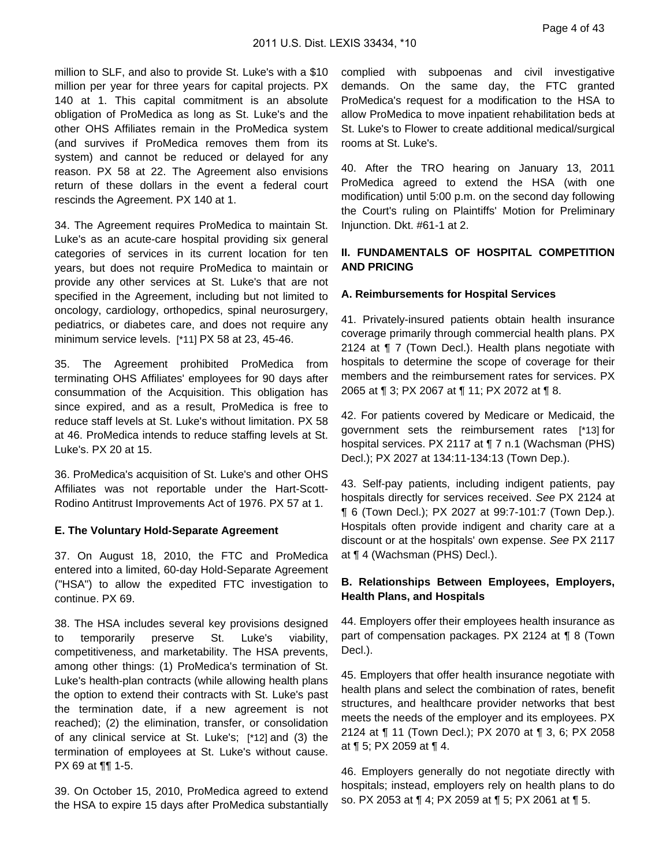million to SLF, and also to provide St. Luke's with a \$10 million per year for three years for capital projects. PX 140 at 1. This capital commitment is an absolute obligation of ProMedica as long as St. Luke's and the other OHS Affiliates remain in the ProMedica system (and survives if ProMedica removes them from its system) and cannot be reduced or delayed for any reason. PX 58 at 22. The Agreement also envisions return of these dollars in the event a federal court rescinds the Agreement. PX 140 at 1.

34. The Agreement requires ProMedica to maintain St. Luke's as an acute-care hospital providing six general categories of services in its current location for ten years, but does not require ProMedica to maintain or provide any other services at St. Luke's that are not specified in the Agreement, including but not limited to oncology, cardiology, orthopedics, spinal neurosurgery, pediatrics, or diabetes care, and does not require any minimum service levels. [\*11] PX 58 at 23, 45-46.

35. The Agreement prohibited ProMedica from terminating OHS Affiliates' employees for 90 days after consummation of the Acquisition. This obligation has since expired, and as a result, ProMedica is free to reduce staff levels at St. Luke's without limitation. PX 58 at 46. ProMedica intends to reduce staffing levels at St. Luke's. PX 20 at 15.

36. ProMedica's acquisition of St. Luke's and other OHS Affiliates was not reportable under the Hart-Scott-Rodino Antitrust Improvements Act of 1976. PX 57 at 1.

#### **E. The Voluntary Hold-Separate Agreement**

37. On August 18, 2010, the FTC and ProMedica entered into a limited, 60-day Hold-Separate Agreement ("HSA") to allow the expedited FTC investigation to continue. PX 69.

38. The HSA includes several key provisions designed to temporarily preserve St. Luke's viability, competitiveness, and marketability. The HSA prevents, among other things: (1) ProMedica's termination of St. Luke's health-plan contracts (while allowing health plans the option to extend their contracts with St. Luke's past the termination date, if a new agreement is not reached); (2) the elimination, transfer, or consolidation of any clinical service at St. Luke's; [\*12] and (3) the termination of employees at St. Luke's without cause. PX 69 at ¶¶ 1-5.

39. On October 15, 2010, ProMedica agreed to extend the HSA to expire 15 days after ProMedica substantially complied with subpoenas and civil investigative demands. On the same day, the FTC granted ProMedica's request for a modification to the HSA to allow ProMedica to move inpatient rehabilitation beds at St. Luke's to Flower to create additional medical/surgical rooms at St. Luke's.

40. After the TRO hearing on January 13, 2011 ProMedica agreed to extend the HSA (with one modification) until 5:00 p.m. on the second day following the Court's ruling on Plaintiffs' Motion for Preliminary Injunction. Dkt. #61-1 at 2.

## **II. FUNDAMENTALS OF HOSPITAL COMPETITION AND PRICING**

### **A. Reimbursements for Hospital Services**

41. Privately-insured patients obtain health insurance coverage primarily through commercial health plans. PX 2124 at ¶ 7 (Town Decl.). Health plans negotiate with hospitals to determine the scope of coverage for their members and the reimbursement rates for services. PX 2065 at ¶ 3; PX 2067 at ¶ 11; PX 2072 at ¶ 8.

42. For patients covered by Medicare or Medicaid, the government sets the reimbursement rates [\*13] for hospital services. PX 2117 at ¶ 7 n.1 (Wachsman (PHS) Decl.); PX 2027 at 134:11-134:13 (Town Dep.).

43. Self-pay patients, including indigent patients, pay hospitals directly for services received. See PX 2124 at ¶ 6 (Town Decl.); PX 2027 at 99:7-101:7 (Town Dep.). Hospitals often provide indigent and charity care at a discount or at the hospitals' own expense. See PX 2117 at ¶ 4 (Wachsman (PHS) Decl.).

### **B. Relationships Between Employees, Employers, Health Plans, and Hospitals**

44. Employers offer their employees health insurance as part of compensation packages. PX 2124 at ¶ 8 (Town Decl.).

45. Employers that offer health insurance negotiate with health plans and select the combination of rates, benefit structures, and healthcare provider networks that best meets the needs of the employer and its employees. PX 2124 at ¶ 11 (Town Decl.); PX 2070 at ¶ 3, 6; PX 2058 at ¶ 5; PX 2059 at ¶ 4.

46. Employers generally do not negotiate directly with hospitals; instead, employers rely on health plans to do so. PX 2053 at ¶ 4; PX 2059 at ¶ 5; PX 2061 at ¶ 5.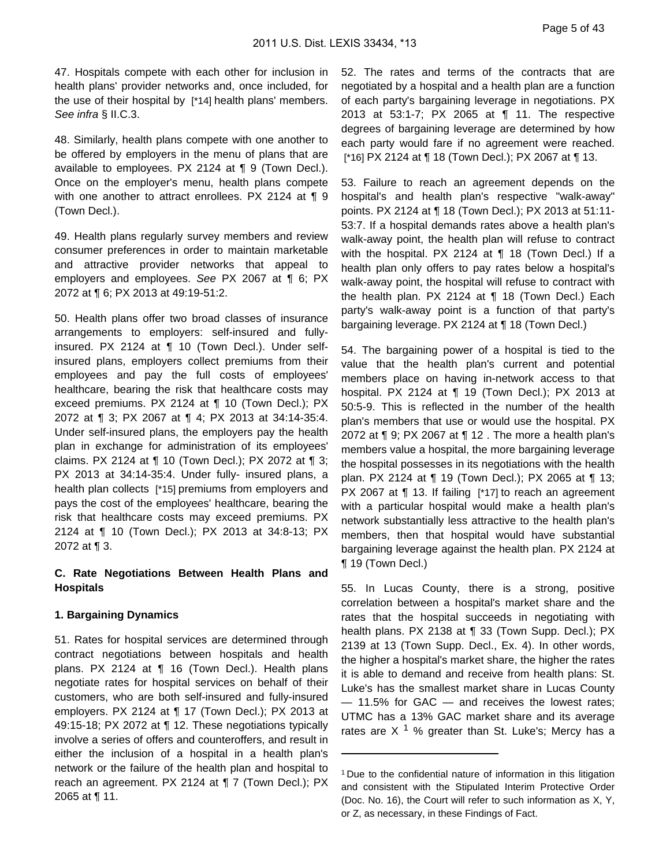47. Hospitals compete with each other for inclusion in health plans' provider networks and, once included, for the use of their hospital by [\*14] health plans' members. See infra § II.C.3.

48. Similarly, health plans compete with one another to be offered by employers in the menu of plans that are available to employees. PX 2124 at ¶ 9 (Town Decl.). Once on the employer's menu, health plans compete with one another to attract enrollees. PX 2124 at ¶ 9 (Town Decl.).

49. Health plans regularly survey members and review consumer preferences in order to maintain marketable and attractive provider networks that appeal to employers and employees. See PX 2067 at ¶ 6; PX 2072 at ¶ 6; PX 2013 at 49:19-51:2.

50. Health plans offer two broad classes of insurance arrangements to employers: self-insured and fullyinsured. PX 2124 at ¶ 10 (Town Decl.). Under selfinsured plans, employers collect premiums from their employees and pay the full costs of employees' healthcare, bearing the risk that healthcare costs may exceed premiums. PX 2124 at ¶ 10 (Town Decl.); PX 2072 at ¶ 3; PX 2067 at ¶ 4; PX 2013 at 34:14-35:4. Under self-insured plans, the employers pay the health plan in exchange for administration of its employees' claims. PX 2124 at ¶ 10 (Town Decl.); PX 2072 at ¶ 3; PX 2013 at 34:14-35:4. Under fully- insured plans, a health plan collects [\*15] premiums from employers and pays the cost of the employees' healthcare, bearing the risk that healthcare costs may exceed premiums. PX 2124 at ¶ 10 (Town Decl.); PX 2013 at 34:8-13; PX 2072 at ¶ 3.

### **C. Rate Negotiations Between Health Plans and Hospitals**

### **1. Bargaining Dynamics**

51. Rates for hospital services are determined through contract negotiations between hospitals and health plans. PX 2124 at ¶ 16 (Town Decl.). Health plans negotiate rates for hospital services on behalf of their customers, who are both self-insured and fully-insured employers. PX 2124 at ¶ 17 (Town Decl.); PX 2013 at 49:15-18; PX 2072 at ¶ 12. These negotiations typically involve a series of offers and counteroffers, and result in either the inclusion of a hospital in a health plan's network or the failure of the health plan and hospital to reach an agreement. PX 2124 at ¶ 7 (Town Decl.); PX 2065 at ¶ 11.

52. The rates and terms of the contracts that are negotiated by a hospital and a health plan are a function of each party's bargaining leverage in negotiations. PX 2013 at 53:1-7; PX 2065 at ¶ 11. The respective degrees of bargaining leverage are determined by how each party would fare if no agreement were reached. [\*16] PX 2124 at ¶ 18 (Town Decl.); PX 2067 at ¶ 13.

53. Failure to reach an agreement depends on the hospital's and health plan's respective "walk-away" points. PX 2124 at ¶ 18 (Town Decl.); PX 2013 at 51:11- 53:7. If a hospital demands rates above a health plan's walk-away point, the health plan will refuse to contract with the hospital. PX 2124 at ¶ 18 (Town Decl.) If a health plan only offers to pay rates below a hospital's walk-away point, the hospital will refuse to contract with the health plan. PX 2124 at ¶ 18 (Town Decl.) Each party's walk-away point is a function of that party's bargaining leverage. PX 2124 at ¶ 18 (Town Decl.)

54. The bargaining power of a hospital is tied to the value that the health plan's current and potential members place on having in-network access to that hospital. PX 2124 at ¶ 19 (Town Decl.); PX 2013 at 50:5-9. This is reflected in the number of the health plan's members that use or would use the hospital. PX 2072 at ¶ 9; PX 2067 at ¶ 12 . The more a health plan's members value a hospital, the more bargaining leverage the hospital possesses in its negotiations with the health plan. PX 2124 at ¶ 19 (Town Decl.); PX 2065 at ¶ 13; PX 2067 at ¶ 13. If failing [\*17] to reach an agreement with a particular hospital would make a health plan's network substantially less attractive to the health plan's members, then that hospital would have substantial bargaining leverage against the health plan. PX 2124 at ¶ 19 (Town Decl.)

55. In Lucas County, there is a strong, positive correlation between a hospital's market share and the rates that the hospital succeeds in negotiating with health plans. PX 2138 at ¶ 33 (Town Supp. Decl.); PX 2139 at 13 (Town Supp. Decl., Ex. 4). In other words, the higher a hospital's market share, the higher the rates it is able to demand and receive from health plans: St. Luke's has the smallest market share in Lucas County — 11.5% for GAC — and receives the lowest rates; UTMC has a 13% GAC market share and its average rates are X  $1$  % greater than St. Luke's; Mercy has a

<sup>1</sup> Due to the confidential nature of information in this litigation and consistent with the Stipulated Interim Protective Order (Doc. No. 16), the Court will refer to such information as X, Y, or Z, as necessary, in these Findings of Fact.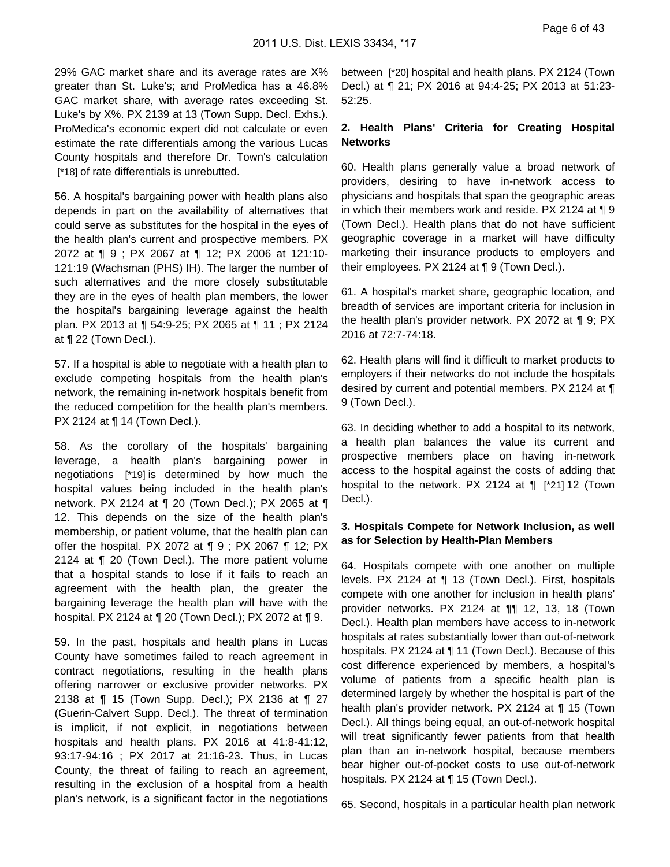29% GAC market share and its average rates are X% greater than St. Luke's; and ProMedica has a 46.8% GAC market share, with average rates exceeding St. Luke's by X%. PX 2139 at 13 (Town Supp. Decl. Exhs.). ProMedica's economic expert did not calculate or even estimate the rate differentials among the various Lucas County hospitals and therefore Dr. Town's calculation [\*18] of rate differentials is unrebutted.

56. A hospital's bargaining power with health plans also depends in part on the availability of alternatives that could serve as substitutes for the hospital in the eyes of the health plan's current and prospective members. PX 2072 at ¶ 9 ; PX 2067 at ¶ 12; PX 2006 at 121:10- 121:19 (Wachsman (PHS) IH). The larger the number of such alternatives and the more closely substitutable they are in the eyes of health plan members, the lower the hospital's bargaining leverage against the health plan. PX 2013 at ¶ 54:9-25; PX 2065 at ¶ 11 ; PX 2124 at ¶ 22 (Town Decl.).

57. If a hospital is able to negotiate with a health plan to exclude competing hospitals from the health plan's network, the remaining in-network hospitals benefit from the reduced competition for the health plan's members. PX 2124 at ¶ 14 (Town Decl.).

58. As the corollary of the hospitals' bargaining leverage, a health plan's bargaining power in negotiations [\*19] is determined by how much the hospital values being included in the health plan's network. PX 2124 at ¶ 20 (Town Decl.); PX 2065 at ¶ 12. This depends on the size of the health plan's membership, or patient volume, that the health plan can offer the hospital. PX 2072 at ¶ 9 ; PX 2067 ¶ 12; PX 2124 at ¶ 20 (Town Decl.). The more patient volume that a hospital stands to lose if it fails to reach an agreement with the health plan, the greater the bargaining leverage the health plan will have with the hospital. PX 2124 at ¶ 20 (Town Decl.); PX 2072 at ¶ 9.

59. In the past, hospitals and health plans in Lucas County have sometimes failed to reach agreement in contract negotiations, resulting in the health plans offering narrower or exclusive provider networks. PX 2138 at ¶ 15 (Town Supp. Decl.); PX 2136 at ¶ 27 (Guerin-Calvert Supp. Decl.). The threat of termination is implicit, if not explicit, in negotiations between hospitals and health plans. PX 2016 at 41:8-41:12, 93:17-94:16 ; PX 2017 at 21:16-23. Thus, in Lucas County, the threat of failing to reach an agreement, resulting in the exclusion of a hospital from a health plan's network, is a significant factor in the negotiations

between [\*20] hospital and health plans. PX 2124 (Town Decl.) at ¶ 21; PX 2016 at 94:4-25; PX 2013 at 51:23- 52:25.

## **2. Health Plans' Criteria for Creating Hospital Networks**

60. Health plans generally value a broad network of providers, desiring to have in-network access to physicians and hospitals that span the geographic areas in which their members work and reside. PX 2124 at ¶ 9 (Town Decl.). Health plans that do not have sufficient geographic coverage in a market will have difficulty marketing their insurance products to employers and their employees. PX 2124 at ¶ 9 (Town Decl.).

61. A hospital's market share, geographic location, and breadth of services are important criteria for inclusion in the health plan's provider network. PX 2072 at ¶ 9; PX 2016 at 72:7-74:18.

62. Health plans will find it difficult to market products to employers if their networks do not include the hospitals desired by current and potential members. PX 2124 at ¶ 9 (Town Decl.).

63. In deciding whether to add a hospital to its network, a health plan balances the value its current and prospective members place on having in-network access to the hospital against the costs of adding that hospital to the network. PX 2124 at ¶ [\*21] 12 (Town Decl.).

### **3. Hospitals Compete for Network Inclusion, as well as for Selection by Health-Plan Members**

64. Hospitals compete with one another on multiple levels. PX 2124 at ¶ 13 (Town Decl.). First, hospitals compete with one another for inclusion in health plans' provider networks. PX 2124 at ¶¶ 12, 13, 18 (Town Decl.). Health plan members have access to in-network hospitals at rates substantially lower than out-of-network hospitals. PX 2124 at ¶ 11 (Town Decl.). Because of this cost difference experienced by members, a hospital's volume of patients from a specific health plan is determined largely by whether the hospital is part of the health plan's provider network. PX 2124 at ¶ 15 (Town Decl.). All things being equal, an out-of-network hospital will treat significantly fewer patients from that health plan than an in-network hospital, because members bear higher out-of-pocket costs to use out-of-network hospitals. PX 2124 at ¶ 15 (Town Decl.).

65. Second, hospitals in a particular health plan network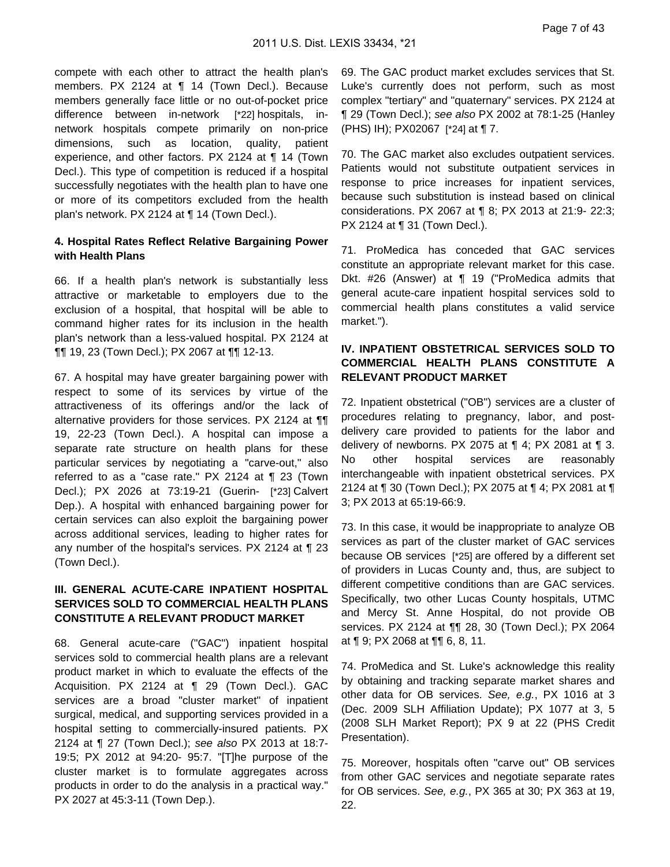compete with each other to attract the health plan's members. PX 2124 at ¶ 14 (Town Decl.). Because members generally face little or no out-of-pocket price difference between in-network [\*22] hospitals, innetwork hospitals compete primarily on non-price dimensions, such as location, quality, patient experience, and other factors. PX 2124 at ¶ 14 (Town Decl.). This type of competition is reduced if a hospital successfully negotiates with the health plan to have one or more of its competitors excluded from the health plan's network. PX 2124 at ¶ 14 (Town Decl.).

#### **4. Hospital Rates Reflect Relative Bargaining Power with Health Plans**

66. If a health plan's network is substantially less attractive or marketable to employers due to the exclusion of a hospital, that hospital will be able to command higher rates for its inclusion in the health plan's network than a less-valued hospital. PX 2124 at ¶¶ 19, 23 (Town Decl.); PX 2067 at ¶¶ 12-13.

67. A hospital may have greater bargaining power with respect to some of its services by virtue of the attractiveness of its offerings and/or the lack of alternative providers for those services. PX 2124 at ¶¶ 19, 22-23 (Town Decl.). A hospital can impose a separate rate structure on health plans for these particular services by negotiating a "carve-out," also referred to as a "case rate." PX 2124 at ¶ 23 (Town Decl.); PX 2026 at 73:19-21 (Guerin- [\*23] Calvert Dep.). A hospital with enhanced bargaining power for certain services can also exploit the bargaining power across additional services, leading to higher rates for any number of the hospital's services. PX 2124 at ¶ 23 (Town Decl.).

### **III. GENERAL ACUTE-CARE INPATIENT HOSPITAL SERVICES SOLD TO COMMERCIAL HEALTH PLANS CONSTITUTE A RELEVANT PRODUCT MARKET**

68. General acute-care ("GAC") inpatient hospital services sold to commercial health plans are a relevant product market in which to evaluate the effects of the Acquisition. PX 2124 at ¶ 29 (Town Decl.). GAC services are a broad "cluster market" of inpatient surgical, medical, and supporting services provided in a hospital setting to commercially-insured patients. PX 2124 at ¶ 27 (Town Decl.); see also PX 2013 at 18:7- 19:5; PX 2012 at 94:20- 95:7. "[T]he purpose of the cluster market is to formulate aggregates across products in order to do the analysis in a practical way." PX 2027 at 45:3-11 (Town Dep.).

69. The GAC product market excludes services that St. Luke's currently does not perform, such as most complex "tertiary" and "quaternary" services. PX 2124 at ¶ 29 (Town Decl.); see also PX 2002 at 78:1-25 (Hanley (PHS) IH); PX02067 [\*24] at ¶ 7.

70. The GAC market also excludes outpatient services. Patients would not substitute outpatient services in response to price increases for inpatient services, because such substitution is instead based on clinical considerations. PX 2067 at ¶ 8; PX 2013 at 21:9- 22:3; PX 2124 at ¶ 31 (Town Decl.).

71. ProMedica has conceded that GAC services constitute an appropriate relevant market for this case. Dkt. #26 (Answer) at ¶ 19 ("ProMedica admits that general acute-care inpatient hospital services sold to commercial health plans constitutes a valid service market.").

### **IV. INPATIENT OBSTETRICAL SERVICES SOLD TO COMMERCIAL HEALTH PLANS CONSTITUTE A RELEVANT PRODUCT MARKET**

72. Inpatient obstetrical ("OB") services are a cluster of procedures relating to pregnancy, labor, and postdelivery care provided to patients for the labor and delivery of newborns. PX 2075 at  $\P$  4; PX 2081 at  $\P$  3. No other hospital services are reasonably interchangeable with inpatient obstetrical services. PX 2124 at ¶ 30 (Town Decl.); PX 2075 at ¶ 4; PX 2081 at ¶ 3; PX 2013 at 65:19-66:9.

73. In this case, it would be inappropriate to analyze OB services as part of the cluster market of GAC services because OB services [\*25] are offered by a different set of providers in Lucas County and, thus, are subject to different competitive conditions than are GAC services. Specifically, two other Lucas County hospitals, UTMC and Mercy St. Anne Hospital, do not provide OB services. PX 2124 at ¶¶ 28, 30 (Town Decl.); PX 2064 at ¶ 9; PX 2068 at ¶¶ 6, 8, 11.

74. ProMedica and St. Luke's acknowledge this reality by obtaining and tracking separate market shares and other data for OB services. See, e.g., PX 1016 at 3 (Dec. 2009 SLH Affiliation Update); PX 1077 at 3, 5 (2008 SLH Market Report); PX 9 at 22 (PHS Credit Presentation).

75. Moreover, hospitals often "carve out" OB services from other GAC services and negotiate separate rates for OB services. See, e.g., PX 365 at 30; PX 363 at 19, 22.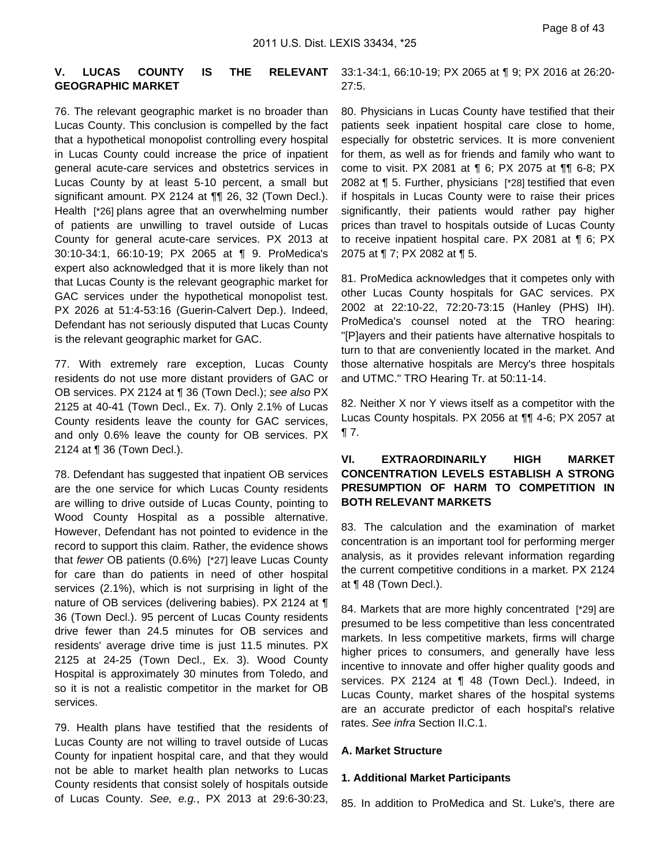### **V. LUCAS COUNTY IS THE RELEVANT GEOGRAPHIC MARKET**

76. The relevant geographic market is no broader than Lucas County. This conclusion is compelled by the fact that a hypothetical monopolist controlling every hospital in Lucas County could increase the price of inpatient general acute-care services and obstetrics services in Lucas County by at least 5-10 percent, a small but significant amount. PX 2124 at ¶¶ 26, 32 (Town Decl.). Health [\*26] plans agree that an overwhelming number of patients are unwilling to travel outside of Lucas County for general acute-care services. PX 2013 at 30:10-34:1, 66:10-19; PX 2065 at ¶ 9. ProMedica's expert also acknowledged that it is more likely than not that Lucas County is the relevant geographic market for GAC services under the hypothetical monopolist test. PX 2026 at 51:4-53:16 (Guerin-Calvert Dep.). Indeed, Defendant has not seriously disputed that Lucas County is the relevant geographic market for GAC.

77. With extremely rare exception, Lucas County residents do not use more distant providers of GAC or OB services. PX 2124 at ¶ 36 (Town Decl.); see also PX 2125 at 40-41 (Town Decl., Ex. 7). Only 2.1% of Lucas County residents leave the county for GAC services, and only 0.6% leave the county for OB services. PX 2124 at ¶ 36 (Town Decl.).

78. Defendant has suggested that inpatient OB services are the one service for which Lucas County residents are willing to drive outside of Lucas County, pointing to Wood County Hospital as a possible alternative. However, Defendant has not pointed to evidence in the record to support this claim. Rather, the evidence shows that fewer OB patients (0.6%) [\*27] leave Lucas County for care than do patients in need of other hospital services (2.1%), which is not surprising in light of the nature of OB services (delivering babies). PX 2124 at ¶ 36 (Town Decl.). 95 percent of Lucas County residents drive fewer than 24.5 minutes for OB services and residents' average drive time is just 11.5 minutes. PX 2125 at 24-25 (Town Decl., Ex. 3). Wood County Hospital is approximately 30 minutes from Toledo, and so it is not a realistic competitor in the market for OB services.

79. Health plans have testified that the residents of Lucas County are not willing to travel outside of Lucas County for inpatient hospital care, and that they would not be able to market health plan networks to Lucas County residents that consist solely of hospitals outside of Lucas County. See, e.g., PX 2013 at 29:6-30:23,

33:1-34:1, 66:10-19; PX 2065 at ¶ 9; PX 2016 at 26:20- 27:5.

80. Physicians in Lucas County have testified that their patients seek inpatient hospital care close to home, especially for obstetric services. It is more convenient for them, as well as for friends and family who want to come to visit. PX 2081 at ¶ 6; PX 2075 at ¶¶ 6-8; PX 2082 at ¶ 5. Further, physicians [\*28] testified that even if hospitals in Lucas County were to raise their prices significantly, their patients would rather pay higher prices than travel to hospitals outside of Lucas County to receive inpatient hospital care. PX 2081 at ¶ 6; PX 2075 at ¶ 7; PX 2082 at ¶ 5.

81. ProMedica acknowledges that it competes only with other Lucas County hospitals for GAC services. PX 2002 at 22:10-22, 72:20-73:15 (Hanley (PHS) IH). ProMedica's counsel noted at the TRO hearing: "[P]ayers and their patients have alternative hospitals to turn to that are conveniently located in the market. And those alternative hospitals are Mercy's three hospitals and UTMC." TRO Hearing Tr. at 50:11-14.

82. Neither X nor Y views itself as a competitor with the Lucas County hospitals. PX 2056 at ¶¶ 4-6; PX 2057 at ¶ 7.

### **VI. EXTRAORDINARILY HIGH MARKET CONCENTRATION LEVELS ESTABLISH A STRONG PRESUMPTION OF HARM TO COMPETITION IN BOTH RELEVANT MARKETS**

83. The calculation and the examination of market concentration is an important tool for performing merger analysis, as it provides relevant information regarding the current competitive conditions in a market. PX 2124 at ¶ 48 (Town Decl.).

84. Markets that are more highly concentrated [\*29] are presumed to be less competitive than less concentrated markets. In less competitive markets, firms will charge higher prices to consumers, and generally have less incentive to innovate and offer higher quality goods and services. PX 2124 at ¶ 48 (Town Decl.). Indeed, in Lucas County, market shares of the hospital systems are an accurate predictor of each hospital's relative rates. See infra Section II.C.1.

#### **A. Market Structure**

#### **1. Additional Market Participants**

85. In addition to ProMedica and St. Luke's, there are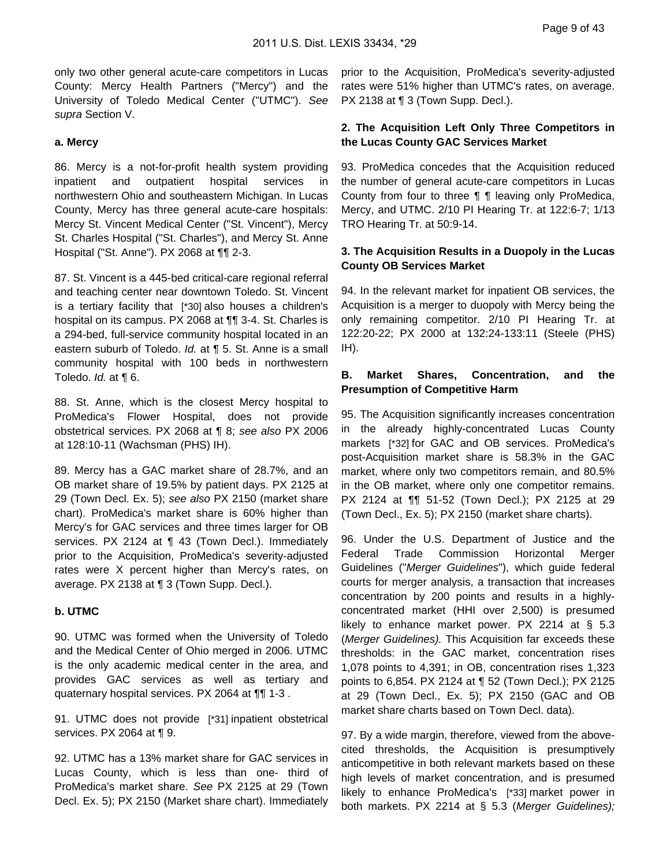only two other general acute-care competitors in Lucas County: Mercy Health Partners ("Mercy") and the University of Toledo Medical Center ("UTMC"). See supra Section V.

#### **a. Mercy**

86. Mercy is a not-for-profit health system providing inpatient and outpatient hospital services in northwestern Ohio and southeastern Michigan. In Lucas County, Mercy has three general acute-care hospitals: Mercy St. Vincent Medical Center ("St. Vincent"), Mercy St. Charles Hospital ("St. Charles"), and Mercy St. Anne Hospital ("St. Anne"). PX 2068 at ¶¶ 2-3.

87. St. Vincent is a 445-bed critical-care regional referral and teaching center near downtown Toledo. St. Vincent is a tertiary facility that [\*30] also houses a children's hospital on its campus. PX 2068 at ¶¶ 3-4. St. Charles is a 294-bed, full-service community hospital located in an eastern suburb of Toledo. Id. at ¶ 5. St. Anne is a small community hospital with 100 beds in northwestern Toledo. Id. at ¶ 6.

88. St. Anne, which is the closest Mercy hospital to ProMedica's Flower Hospital, does not provide obstetrical services. PX 2068 at ¶ 8; see also PX 2006 at 128:10-11 (Wachsman (PHS) IH).

89. Mercy has a GAC market share of 28.7%, and an OB market share of 19.5% by patient days. PX 2125 at 29 (Town Decl. Ex. 5); see also PX 2150 (market share chart). ProMedica's market share is 60% higher than Mercy's for GAC services and three times larger for OB services. PX 2124 at ¶ 43 (Town Decl.). Immediately prior to the Acquisition, ProMedica's severity-adjusted rates were X percent higher than Mercy's rates, on average. PX 2138 at ¶ 3 (Town Supp. Decl.).

#### **b. UTMC**

90. UTMC was formed when the University of Toledo and the Medical Center of Ohio merged in 2006. UTMC is the only academic medical center in the area, and provides GAC services as well as tertiary and quaternary hospital services. PX 2064 at ¶¶ 1-3 .

91. UTMC does not provide [\*31] inpatient obstetrical services. PX 2064 at ¶ 9.

92. UTMC has a 13% market share for GAC services in Lucas County, which is less than one- third of ProMedica's market share. See PX 2125 at 29 (Town Decl. Ex. 5); PX 2150 (Market share chart). Immediately prior to the Acquisition, ProMedica's severity-adjusted rates were 51% higher than UTMC's rates, on average. PX 2138 at ¶ 3 (Town Supp. Decl.).

### **2. The Acquisition Left Only Three Competitors in the Lucas County GAC Services Market**

93. ProMedica concedes that the Acquisition reduced the number of general acute-care competitors in Lucas County from four to three ¶ ¶ leaving only ProMedica, Mercy, and UTMC. 2/10 PI Hearing Tr. at 122:6-7; 1/13 TRO Hearing Tr. at 50:9-14.

### **3. The Acquisition Results in a Duopoly in the Lucas County OB Services Market**

94. In the relevant market for inpatient OB services, the Acquisition is a merger to duopoly with Mercy being the only remaining competitor. 2/10 PI Hearing Tr. at 122:20-22; PX 2000 at 132:24-133:11 (Steele (PHS) IH).

### **B. Market Shares, Concentration, and the Presumption of Competitive Harm**

95. The Acquisition significantly increases concentration in the already highly-concentrated Lucas County markets [\*32] for GAC and OB services. ProMedica's post-Acquisition market share is 58.3% in the GAC market, where only two competitors remain, and 80.5% in the OB market, where only one competitor remains. PX 2124 at ¶¶ 51-52 (Town Decl.); PX 2125 at 29 (Town Decl., Ex. 5); PX 2150 (market share charts).

96. Under the U.S. Department of Justice and the Federal Trade Commission Horizontal Merger Guidelines ("Merger Guidelines"), which guide federal courts for merger analysis, a transaction that increases concentration by 200 points and results in a highlyconcentrated market (HHI over 2,500) is presumed likely to enhance market power. PX 2214 at § 5.3 (Merger Guidelines). This Acquisition far exceeds these thresholds: in the GAC market, concentration rises 1,078 points to 4,391; in OB, concentration rises 1,323 points to 6,854. PX 2124 at ¶ 52 (Town Decl.); PX 2125 at 29 (Town Decl., Ex. 5); PX 2150 (GAC and OB market share charts based on Town Decl. data).

97. By a wide margin, therefore, viewed from the abovecited thresholds, the Acquisition is presumptively anticompetitive in both relevant markets based on these high levels of market concentration, and is presumed likely to enhance ProMedica's [\*33] market power in both markets. PX 2214 at § 5.3 (Merger Guidelines);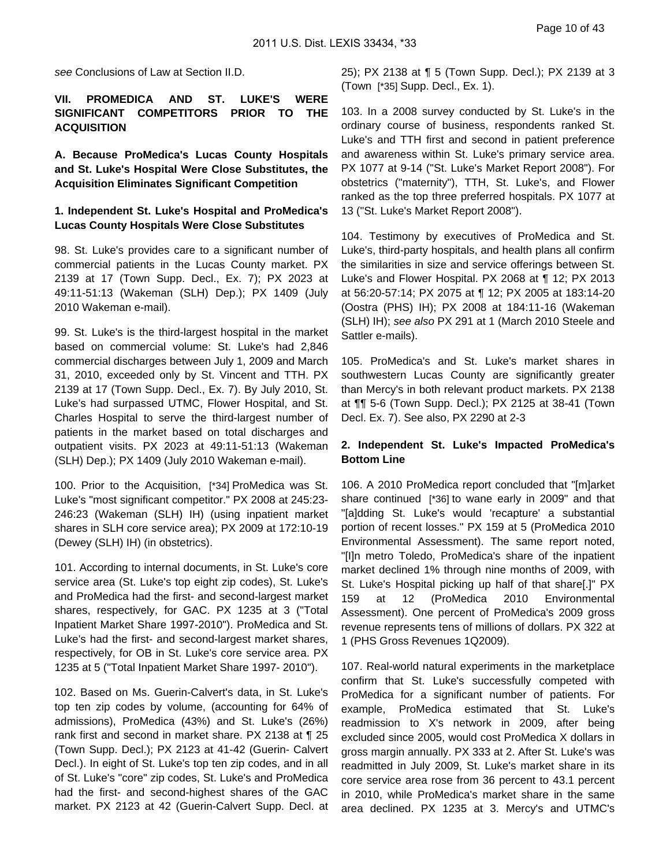see Conclusions of Law at Section II.D.

### **VII. PROMEDICA AND ST. LUKE'S WERE SIGNIFICANT COMPETITORS PRIOR TO THE ACQUISITION**

**A. Because ProMedica's Lucas County Hospitals and St. Luke's Hospital Were Close Substitutes, the Acquisition Eliminates Significant Competition**

#### **1. Independent St. Luke's Hospital and ProMedica's Lucas County Hospitals Were Close Substitutes**

98. St. Luke's provides care to a significant number of commercial patients in the Lucas County market. PX 2139 at 17 (Town Supp. Decl., Ex. 7); PX 2023 at 49:11-51:13 (Wakeman (SLH) Dep.); PX 1409 (July 2010 Wakeman e-mail).

99. St. Luke's is the third-largest hospital in the market based on commercial volume: St. Luke's had 2,846 commercial discharges between July 1, 2009 and March 31, 2010, exceeded only by St. Vincent and TTH. PX 2139 at 17 (Town Supp. Decl., Ex. 7). By July 2010, St. Luke's had surpassed UTMC, Flower Hospital, and St. Charles Hospital to serve the third-largest number of patients in the market based on total discharges and outpatient visits. PX 2023 at 49:11-51:13 (Wakeman (SLH) Dep.); PX 1409 (July 2010 Wakeman e-mail).

100. Prior to the Acquisition, [\*34] ProMedica was St. Luke's "most significant competitor." PX 2008 at 245:23- 246:23 (Wakeman (SLH) IH) (using inpatient market shares in SLH core service area); PX 2009 at 172:10-19 (Dewey (SLH) IH) (in obstetrics).

101. According to internal documents, in St. Luke's core service area (St. Luke's top eight zip codes), St. Luke's and ProMedica had the first- and second-largest market shares, respectively, for GAC. PX 1235 at 3 ("Total Inpatient Market Share 1997-2010"). ProMedica and St. Luke's had the first- and second-largest market shares, respectively, for OB in St. Luke's core service area. PX 1235 at 5 ("Total Inpatient Market Share 1997- 2010").

102. Based on Ms. Guerin-Calvert's data, in St. Luke's top ten zip codes by volume, (accounting for 64% of admissions), ProMedica (43%) and St. Luke's (26%) rank first and second in market share. PX 2138 at ¶ 25 (Town Supp. Decl.); PX 2123 at 41-42 (Guerin- Calvert Decl.). In eight of St. Luke's top ten zip codes, and in all of St. Luke's "core" zip codes, St. Luke's and ProMedica had the first- and second-highest shares of the GAC market. PX 2123 at 42 (Guerin-Calvert Supp. Decl. at 25); PX 2138 at ¶ 5 (Town Supp. Decl.); PX 2139 at 3 (Town [\*35] Supp. Decl., Ex. 1).

103. In a 2008 survey conducted by St. Luke's in the ordinary course of business, respondents ranked St. Luke's and TTH first and second in patient preference and awareness within St. Luke's primary service area. PX 1077 at 9-14 ("St. Luke's Market Report 2008"). For obstetrics ("maternity"), TTH, St. Luke's, and Flower ranked as the top three preferred hospitals. PX 1077 at 13 ("St. Luke's Market Report 2008").

104. Testimony by executives of ProMedica and St. Luke's, third-party hospitals, and health plans all confirm the similarities in size and service offerings between St. Luke's and Flower Hospital. PX 2068 at ¶ 12; PX 2013 at 56:20-57:14; PX 2075 at ¶ 12; PX 2005 at 183:14-20 (Oostra (PHS) IH); PX 2008 at 184:11-16 (Wakeman (SLH) IH); see also PX 291 at 1 (March 2010 Steele and Sattler e-mails).

105. ProMedica's and St. Luke's market shares in southwestern Lucas County are significantly greater than Mercy's in both relevant product markets. PX 2138 at ¶¶ 5-6 (Town Supp. Decl.); PX 2125 at 38-41 (Town Decl. Ex. 7). See also, PX 2290 at 2-3

### **2. Independent St. Luke's Impacted ProMedica's Bottom Line**

106. A 2010 ProMedica report concluded that "[m]arket share continued [\*36] to wane early in 2009" and that "[a]dding St. Luke's would 'recapture' a substantial portion of recent losses." PX 159 at 5 (ProMedica 2010 Environmental Assessment). The same report noted, "[I]n metro Toledo, ProMedica's share of the inpatient market declined 1% through nine months of 2009, with St. Luke's Hospital picking up half of that share[.]" PX 159 at 12 (ProMedica 2010 Environmental Assessment). One percent of ProMedica's 2009 gross revenue represents tens of millions of dollars. PX 322 at 1 (PHS Gross Revenues 1Q2009).

107. Real-world natural experiments in the marketplace confirm that St. Luke's successfully competed with ProMedica for a significant number of patients. For example, ProMedica estimated that St. Luke's readmission to X's network in 2009, after being excluded since 2005, would cost ProMedica X dollars in gross margin annually. PX 333 at 2. After St. Luke's was readmitted in July 2009, St. Luke's market share in its core service area rose from 36 percent to 43.1 percent in 2010, while ProMedica's market share in the same area declined. PX 1235 at 3. Mercy's and UTMC's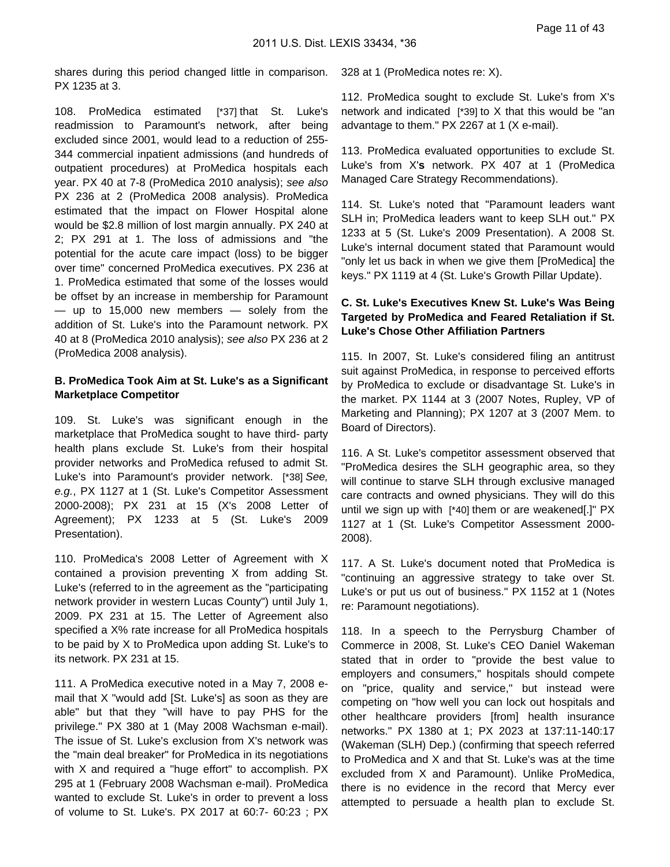shares during this period changed little in comparison. PX 1235 at 3.

108. ProMedica estimated [\*37] that St. Luke's readmission to Paramount's network, after being excluded since 2001, would lead to a reduction of 255- 344 commercial inpatient admissions (and hundreds of outpatient procedures) at ProMedica hospitals each year. PX 40 at 7-8 (ProMedica 2010 analysis); see also PX 236 at 2 (ProMedica 2008 analysis). ProMedica estimated that the impact on Flower Hospital alone would be \$2.8 million of lost margin annually. PX 240 at 2; PX 291 at 1. The loss of admissions and "the potential for the acute care impact (loss) to be bigger over time" concerned ProMedica executives. PX 236 at 1. ProMedica estimated that some of the losses would be offset by an increase in membership for Paramount  $-$  up to 15,000 new members  $-$  solely from the addition of St. Luke's into the Paramount network. PX 40 at 8 (ProMedica 2010 analysis); see also PX 236 at 2 (ProMedica 2008 analysis).

### **B. ProMedica Took Aim at St. Luke's as a Significant Marketplace Competitor**

109. St. Luke's was significant enough in the marketplace that ProMedica sought to have third- party health plans exclude St. Luke's from their hospital provider networks and ProMedica refused to admit St. Luke's into Paramount's provider network. [\*38] See, e.g., PX 1127 at 1 (St. Luke's Competitor Assessment 2000-2008); PX 231 at 15 (X's 2008 Letter of Agreement); PX 1233 at 5 (St. Luke's 2009 Presentation).

110. ProMedica's 2008 Letter of Agreement with X contained a provision preventing X from adding St. Luke's (referred to in the agreement as the "participating network provider in western Lucas County") until July 1, 2009. PX 231 at 15. The Letter of Agreement also specified a X% rate increase for all ProMedica hospitals to be paid by X to ProMedica upon adding St. Luke's to its network. PX 231 at 15.

111. A ProMedica executive noted in a May 7, 2008 email that X "would add [St. Luke's] as soon as they are able" but that they "will have to pay PHS for the privilege." PX 380 at 1 (May 2008 Wachsman e-mail). The issue of St. Luke's exclusion from X's network was the "main deal breaker" for ProMedica in its negotiations with X and required a "huge effort" to accomplish. PX 295 at 1 (February 2008 Wachsman e-mail). ProMedica wanted to exclude St. Luke's in order to prevent a loss of volume to St. Luke's. PX 2017 at 60:7- 60:23 ; PX

328 at 1 (ProMedica notes re: X).

112. ProMedica sought to exclude St. Luke's from X's network and indicated [\*39] to X that this would be "an advantage to them." PX 2267 at 1 (X e-mail).

113. ProMedica evaluated opportunities to exclude St. Luke's from X'**s** network. PX 407 at 1 (ProMedica Managed Care Strategy Recommendations).

114. St. Luke's noted that "Paramount leaders want SLH in; ProMedica leaders want to keep SLH out." PX 1233 at 5 (St. Luke's 2009 Presentation). A 2008 St. Luke's internal document stated that Paramount would "only let us back in when we give them [ProMedica] the keys." PX 1119 at 4 (St. Luke's Growth Pillar Update).

### **C. St. Luke's Executives Knew St. Luke's Was Being Targeted by ProMedica and Feared Retaliation if St. Luke's Chose Other Affiliation Partners**

115. In 2007, St. Luke's considered filing an antitrust suit against ProMedica, in response to perceived efforts by ProMedica to exclude or disadvantage St. Luke's in the market. PX 1144 at 3 (2007 Notes, Rupley, VP of Marketing and Planning); PX 1207 at 3 (2007 Mem. to Board of Directors).

116. A St. Luke's competitor assessment observed that "ProMedica desires the SLH geographic area, so they will continue to starve SLH through exclusive managed care contracts and owned physicians. They will do this until we sign up with [\*40] them or are weakened[.]" PX 1127 at 1 (St. Luke's Competitor Assessment 2000- 2008).

117. A St. Luke's document noted that ProMedica is "continuing an aggressive strategy to take over St. Luke's or put us out of business." PX 1152 at 1 (Notes re: Paramount negotiations).

118. In a speech to the Perrysburg Chamber of Commerce in 2008, St. Luke's CEO Daniel Wakeman stated that in order to "provide the best value to employers and consumers," hospitals should compete on "price, quality and service," but instead were competing on "how well you can lock out hospitals and other healthcare providers [from] health insurance networks." PX 1380 at 1; PX 2023 at 137:11-140:17 (Wakeman (SLH) Dep.) (confirming that speech referred to ProMedica and X and that St. Luke's was at the time excluded from X and Paramount). Unlike ProMedica, there is no evidence in the record that Mercy ever attempted to persuade a health plan to exclude St.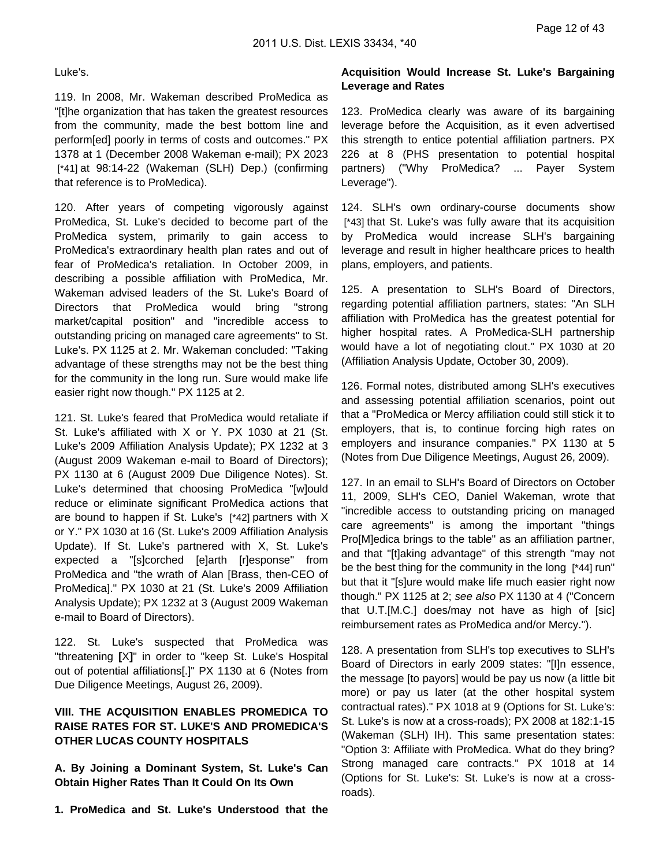#### Luke's.

119. In 2008, Mr. Wakeman described ProMedica as "[t]he organization that has taken the greatest resources from the community, made the best bottom line and perform[ed] poorly in terms of costs and outcomes." PX 1378 at 1 (December 2008 Wakeman e-mail); PX 2023 [\*41] at 98:14-22 (Wakeman (SLH) Dep.) (confirming that reference is to ProMedica).

120. After years of competing vigorously against ProMedica, St. Luke's decided to become part of the ProMedica system, primarily to gain access to ProMedica's extraordinary health plan rates and out of fear of ProMedica's retaliation. In October 2009, in describing a possible affiliation with ProMedica, Mr. Wakeman advised leaders of the St. Luke's Board of Directors that ProMedica would bring "strong market/capital position" and "incredible access to outstanding pricing on managed care agreements" to St. Luke's. PX 1125 at 2. Mr. Wakeman concluded: "Taking advantage of these strengths may not be the best thing for the community in the long run. Sure would make life easier right now though." PX 1125 at 2.

121. St. Luke's feared that ProMedica would retaliate if St. Luke's affiliated with X or Y. PX 1030 at 21 (St. Luke's 2009 Affiliation Analysis Update); PX 1232 at 3 (August 2009 Wakeman e-mail to Board of Directors); PX 1130 at 6 (August 2009 Due Diligence Notes). St. Luke's determined that choosing ProMedica "[w]ould reduce or eliminate significant ProMedica actions that are bound to happen if St. Luke's [\*42] partners with X or Y." PX 1030 at 16 (St. Luke's 2009 Affiliation Analysis Update). If St. Luke's partnered with X, St. Luke's expected a "[s]corched [e]arth [r]esponse" from ProMedica and "the wrath of Alan [Brass, then-CEO of ProMedica]." PX 1030 at 21 (St. Luke's 2009 Affiliation Analysis Update); PX 1232 at 3 (August 2009 Wakeman e-mail to Board of Directors).

122. St. Luke's suspected that ProMedica was "threatening **[**X**]**" in order to "keep St. Luke's Hospital out of potential affiliations[.]" PX 1130 at 6 (Notes from Due Diligence Meetings, August 26, 2009).

## **VIII. THE ACQUISITION ENABLES PROMEDICA TO RAISE RATES FOR ST. LUKE'S AND PROMEDICA'S OTHER LUCAS COUNTY HOSPITALS**

**A. By Joining a Dominant System, St. Luke's Can Obtain Higher Rates Than It Could On Its Own**

**1. ProMedica and St. Luke's Understood that the**

### **Acquisition Would Increase St. Luke's Bargaining Leverage and Rates**

123. ProMedica clearly was aware of its bargaining leverage before the Acquisition, as it even advertised this strength to entice potential affiliation partners. PX 226 at 8 (PHS presentation to potential hospital partners) ("Why ProMedica? ... Payer System Leverage").

124. SLH's own ordinary-course documents show [\*43] that St. Luke's was fully aware that its acquisition by ProMedica would increase SLH's bargaining leverage and result in higher healthcare prices to health plans, employers, and patients.

125. A presentation to SLH's Board of Directors, regarding potential affiliation partners, states: "An SLH affiliation with ProMedica has the greatest potential for higher hospital rates. A ProMedica-SLH partnership would have a lot of negotiating clout." PX 1030 at 20 (Affiliation Analysis Update, October 30, 2009).

126. Formal notes, distributed among SLH's executives and assessing potential affiliation scenarios, point out that a "ProMedica or Mercy affiliation could still stick it to employers, that is, to continue forcing high rates on employers and insurance companies." PX 1130 at 5 (Notes from Due Diligence Meetings, August 26, 2009).

127. In an email to SLH's Board of Directors on October 11, 2009, SLH's CEO, Daniel Wakeman, wrote that "incredible access to outstanding pricing on managed care agreements" is among the important "things Pro[M]edica brings to the table" as an affiliation partner, and that "[t]aking advantage" of this strength "may not be the best thing for the community in the long [\*44] run" but that it "[s]ure would make life much easier right now though." PX 1125 at 2; see also PX 1130 at 4 ("Concern that U.T.[M.C.] does/may not have as high of [sic] reimbursement rates as ProMedica and/or Mercy.").

128. A presentation from SLH's top executives to SLH's Board of Directors in early 2009 states: "[I]n essence, the message [to payors] would be pay us now (a little bit more) or pay us later (at the other hospital system contractual rates)." PX 1018 at 9 (Options for St. Luke's: St. Luke's is now at a cross-roads); PX 2008 at 182:1-15 (Wakeman (SLH) IH). This same presentation states: "Option 3: Affiliate with ProMedica. What do they bring? Strong managed care contracts." PX 1018 at 14 (Options for St. Luke's: St. Luke's is now at a crossroads).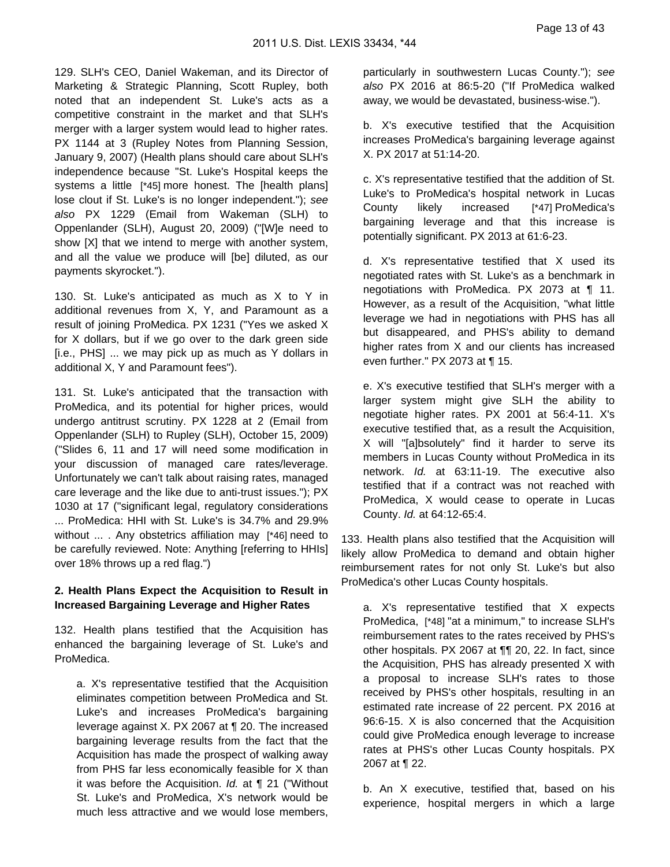129. SLH's CEO, Daniel Wakeman, and its Director of Marketing & Strategic Planning, Scott Rupley, both noted that an independent St. Luke's acts as a competitive constraint in the market and that SLH's merger with a larger system would lead to higher rates. PX 1144 at 3 (Rupley Notes from Planning Session, January 9, 2007) (Health plans should care about SLH's independence because "St. Luke's Hospital keeps the systems a little [\*45] more honest. The [health plans] lose clout if St. Luke's is no longer independent."); see also PX 1229 (Email from Wakeman (SLH) to Oppenlander (SLH), August 20, 2009) ("[W]e need to show [X] that we intend to merge with another system, and all the value we produce will [be] diluted, as our payments skyrocket.").

130. St. Luke's anticipated as much as X to Y in additional revenues from X, Y, and Paramount as a result of joining ProMedica. PX 1231 ("Yes we asked X for X dollars, but if we go over to the dark green side [i.e., PHS] ... we may pick up as much as Y dollars in additional X, Y and Paramount fees").

131. St. Luke's anticipated that the transaction with ProMedica, and its potential for higher prices, would undergo antitrust scrutiny. PX 1228 at 2 (Email from Oppenlander (SLH) to Rupley (SLH), October 15, 2009) ("Slides 6, 11 and 17 will need some modification in your discussion of managed care rates/leverage. Unfortunately we can't talk about raising rates, managed care leverage and the like due to anti-trust issues."); PX 1030 at 17 ("significant legal, regulatory considerations ... ProMedica: HHI with St. Luke's is 34.7% and 29.9% without ... . Any obstetrics affiliation may [\*46] need to be carefully reviewed. Note: Anything [referring to HHIs] over 18% throws up a red flag.")

### **2. Health Plans Expect the Acquisition to Result in Increased Bargaining Leverage and Higher Rates**

132. Health plans testified that the Acquisition has enhanced the bargaining leverage of St. Luke's and ProMedica.

a. X's representative testified that the Acquisition eliminates competition between ProMedica and St. Luke's and increases ProMedica's bargaining leverage against X. PX 2067 at ¶ 20. The increased bargaining leverage results from the fact that the Acquisition has made the prospect of walking away from PHS far less economically feasible for X than it was before the Acquisition. Id. at ¶ 21 ("Without St. Luke's and ProMedica, X's network would be much less attractive and we would lose members,

particularly in southwestern Lucas County."); see also PX 2016 at 86:5-20 ("If ProMedica walked away, we would be devastated, business-wise.").

b. X's executive testified that the Acquisition increases ProMedica's bargaining leverage against X. PX 2017 at 51:14-20.

c. X's representative testified that the addition of St. Luke's to ProMedica's hospital network in Lucas County likely increased [\*47] ProMedica's bargaining leverage and that this increase is potentially significant. PX 2013 at 61:6-23.

d. X's representative testified that X used its negotiated rates with St. Luke's as a benchmark in negotiations with ProMedica. PX 2073 at ¶ 11. However, as a result of the Acquisition, "what little leverage we had in negotiations with PHS has all but disappeared, and PHS's ability to demand higher rates from X and our clients has increased even further." PX 2073 at ¶ 15.

e. X's executive testified that SLH's merger with a larger system might give SLH the ability to negotiate higher rates. PX 2001 at 56:4-11. X's executive testified that, as a result the Acquisition, X will "[a]bsolutely" find it harder to serve its members in Lucas County without ProMedica in its network. Id. at 63:11-19. The executive also testified that if a contract was not reached with ProMedica, X would cease to operate in Lucas County. Id. at 64:12-65:4.

133. Health plans also testified that the Acquisition will likely allow ProMedica to demand and obtain higher reimbursement rates for not only St. Luke's but also ProMedica's other Lucas County hospitals.

a. X's representative testified that X expects ProMedica, [\*48] "at a minimum," to increase SLH's reimbursement rates to the rates received by PHS's other hospitals. PX 2067 at ¶¶ 20, 22. In fact, since the Acquisition, PHS has already presented X with a proposal to increase SLH's rates to those received by PHS's other hospitals, resulting in an estimated rate increase of 22 percent. PX 2016 at 96:6-15. X is also concerned that the Acquisition could give ProMedica enough leverage to increase rates at PHS's other Lucas County hospitals. PX 2067 at ¶ 22.

b. An X executive, testified that, based on his experience, hospital mergers in which a large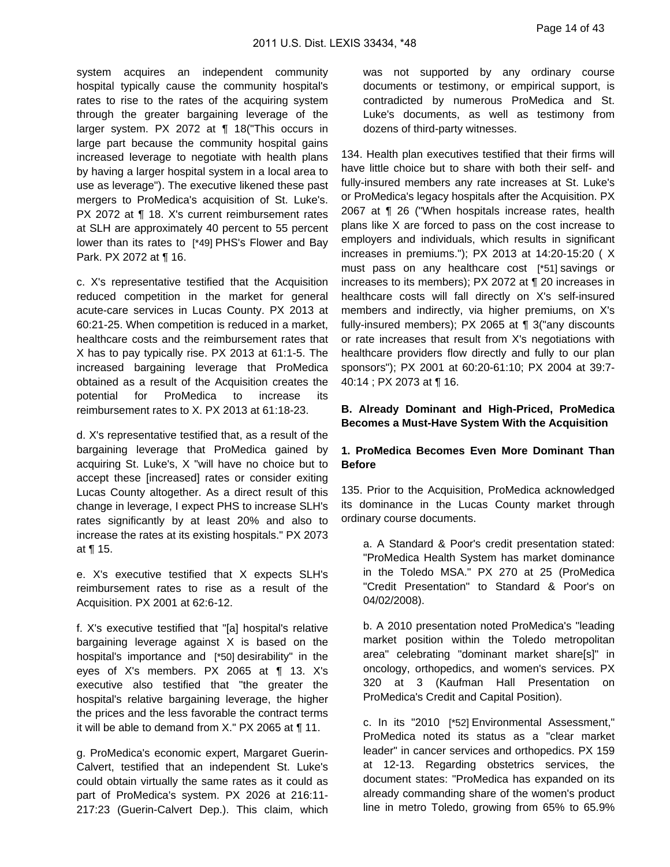system acquires an independent community hospital typically cause the community hospital's rates to rise to the rates of the acquiring system through the greater bargaining leverage of the larger system. PX 2072 at ¶ 18("This occurs in large part because the community hospital gains increased leverage to negotiate with health plans by having a larger hospital system in a local area to use as leverage"). The executive likened these past mergers to ProMedica's acquisition of St. Luke's. PX 2072 at ¶ 18. X's current reimbursement rates at SLH are approximately 40 percent to 55 percent lower than its rates to [\*49] PHS's Flower and Bay Park. PX 2072 at ¶ 16.

c. X's representative testified that the Acquisition reduced competition in the market for general acute-care services in Lucas County. PX 2013 at 60:21-25. When competition is reduced in a market, healthcare costs and the reimbursement rates that X has to pay typically rise. PX 2013 at 61:1-5. The increased bargaining leverage that ProMedica obtained as a result of the Acquisition creates the potential for ProMedica to increase its reimbursement rates to X. PX 2013 at 61:18-23.

d. X's representative testified that, as a result of the bargaining leverage that ProMedica gained by acquiring St. Luke's, X "will have no choice but to accept these [increased] rates or consider exiting Lucas County altogether. As a direct result of this change in leverage, I expect PHS to increase SLH's rates significantly by at least 20% and also to increase the rates at its existing hospitals." PX 2073 at ¶ 15.

e. X's executive testified that X expects SLH's reimbursement rates to rise as a result of the Acquisition. PX 2001 at 62:6-12.

f. X's executive testified that "[a] hospital's relative bargaining leverage against X is based on the hospital's importance and [\*50] desirability" in the eyes of X's members. PX 2065 at ¶ 13. X's executive also testified that "the greater the hospital's relative bargaining leverage, the higher the prices and the less favorable the contract terms it will be able to demand from X." PX 2065 at ¶ 11.

g. ProMedica's economic expert, Margaret Guerin-Calvert, testified that an independent St. Luke's could obtain virtually the same rates as it could as part of ProMedica's system. PX 2026 at 216:11- 217:23 (Guerin-Calvert Dep.). This claim, which was not supported by any ordinary course documents or testimony, or empirical support, is contradicted by numerous ProMedica and St. Luke's documents, as well as testimony from dozens of third-party witnesses.

134. Health plan executives testified that their firms will have little choice but to share with both their self- and fully-insured members any rate increases at St. Luke's or ProMedica's legacy hospitals after the Acquisition. PX 2067 at ¶ 26 ("When hospitals increase rates, health plans like X are forced to pass on the cost increase to employers and individuals, which results in significant increases in premiums."); PX 2013 at 14:20-15:20 ( X must pass on any healthcare cost [\*51] savings or increases to its members); PX 2072 at ¶ 20 increases in healthcare costs will fall directly on X's self-insured members and indirectly, via higher premiums, on X's fully-insured members); PX 2065 at ¶ 3("any discounts or rate increases that result from X's negotiations with healthcare providers flow directly and fully to our plan sponsors"); PX 2001 at 60:20-61:10; PX 2004 at 39:7- 40:14 ; PX 2073 at ¶ 16.

### **B. Already Dominant and High-Priced, ProMedica Becomes a Must-Have System With the Acquisition**

### **1. ProMedica Becomes Even More Dominant Than Before**

135. Prior to the Acquisition, ProMedica acknowledged its dominance in the Lucas County market through ordinary course documents.

a. A Standard & Poor's credit presentation stated: "ProMedica Health System has market dominance in the Toledo MSA." PX 270 at 25 (ProMedica "Credit Presentation" to Standard & Poor's on 04/02/2008).

b. A 2010 presentation noted ProMedica's "leading market position within the Toledo metropolitan area" celebrating "dominant market share[s]" in oncology, orthopedics, and women's services. PX 320 at 3 (Kaufman Hall Presentation on ProMedica's Credit and Capital Position).

c. In its "2010 [\*52] Environmental Assessment," ProMedica noted its status as a "clear market leader" in cancer services and orthopedics. PX 159 at 12-13. Regarding obstetrics services, the document states: "ProMedica has expanded on its already commanding share of the women's product line in metro Toledo, growing from 65% to 65.9%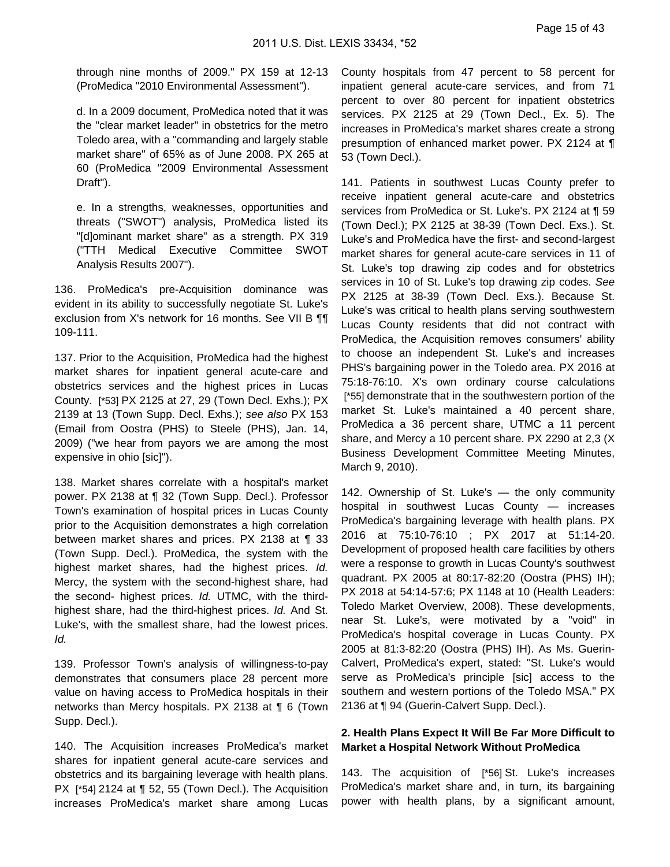through nine months of 2009." PX 159 at 12-13 (ProMedica "2010 Environmental Assessment").

d. In a 2009 document, ProMedica noted that it was the "clear market leader" in obstetrics for the metro Toledo area, with a "commanding and largely stable market share" of 65% as of June 2008. PX 265 at 60 (ProMedica "2009 Environmental Assessment Draft").

e. In a strengths, weaknesses, opportunities and threats ("SWOT") analysis, ProMedica listed its "[d]ominant market share" as a strength. PX 319 ("TTH Medical Executive Committee SWOT Analysis Results 2007").

136. ProMedica's pre-Acquisition dominance was evident in its ability to successfully negotiate St. Luke's exclusion from X's network for 16 months. See VII B ¶¶ 109-111.

137. Prior to the Acquisition, ProMedica had the highest market shares for inpatient general acute-care and obstetrics services and the highest prices in Lucas County. [\*53] PX 2125 at 27, 29 (Town Decl. Exhs.); PX 2139 at 13 (Town Supp. Decl. Exhs.); see also PX 153 (Email from Oostra (PHS) to Steele (PHS), Jan. 14, 2009) ("we hear from payors we are among the most expensive in ohio [sic]").

138. Market shares correlate with a hospital's market power. PX 2138 at ¶ 32 (Town Supp. Decl.). Professor Town's examination of hospital prices in Lucas County prior to the Acquisition demonstrates a high correlation between market shares and prices. PX 2138 at ¶ 33 (Town Supp. Decl.). ProMedica, the system with the highest market shares, had the highest prices. Id. Mercy, the system with the second-highest share, had the second- highest prices. Id. UTMC, with the thirdhighest share, had the third-highest prices. Id. And St. Luke's, with the smallest share, had the lowest prices. Id.

139. Professor Town's analysis of willingness-to-pay demonstrates that consumers place 28 percent more value on having access to ProMedica hospitals in their networks than Mercy hospitals. PX 2138 at ¶ 6 (Town Supp. Decl.).

140. The Acquisition increases ProMedica's market shares for inpatient general acute-care services and obstetrics and its bargaining leverage with health plans. PX [\*54] 2124 at ¶ 52, 55 (Town Decl.). The Acquisition increases ProMedica's market share among Lucas

County hospitals from 47 percent to 58 percent for inpatient general acute-care services, and from 71 percent to over 80 percent for inpatient obstetrics services. PX 2125 at 29 (Town Decl., Ex. 5). The increases in ProMedica's market shares create a strong presumption of enhanced market power. PX 2124 at ¶ 53 (Town Decl.).

141. Patients in southwest Lucas County prefer to receive inpatient general acute-care and obstetrics services from ProMedica or St. Luke's. PX 2124 at ¶ 59 (Town Decl.); PX 2125 at 38-39 (Town Decl. Exs.). St. Luke's and ProMedica have the first- and second-largest market shares for general acute-care services in 11 of St. Luke's top drawing zip codes and for obstetrics services in 10 of St. Luke's top drawing zip codes. See PX 2125 at 38-39 (Town Decl. Exs.). Because St. Luke's was critical to health plans serving southwestern Lucas County residents that did not contract with ProMedica, the Acquisition removes consumers' ability to choose an independent St. Luke's and increases PHS's bargaining power in the Toledo area. PX 2016 at 75:18-76:10. X's own ordinary course calculations [\*55] demonstrate that in the southwestern portion of the market St. Luke's maintained a 40 percent share, ProMedica a 36 percent share, UTMC a 11 percent share, and Mercy a 10 percent share. PX 2290 at 2,3 (X Business Development Committee Meeting Minutes, March 9, 2010).

142. Ownership of St. Luke's — the only community hospital in southwest Lucas County — increases ProMedica's bargaining leverage with health plans. PX 2016 at 75:10-76:10 ; PX 2017 at 51:14-20. Development of proposed health care facilities by others were a response to growth in Lucas County's southwest quadrant. PX 2005 at 80:17-82:20 (Oostra (PHS) IH); PX 2018 at 54:14-57:6; PX 1148 at 10 (Health Leaders: Toledo Market Overview, 2008). These developments, near St. Luke's, were motivated by a "void" in ProMedica's hospital coverage in Lucas County. PX 2005 at 81:3-82:20 (Oostra (PHS) IH). As Ms. Guerin-Calvert, ProMedica's expert, stated: "St. Luke's would serve as ProMedica's principle [sic] access to the southern and western portions of the Toledo MSA." PX 2136 at ¶ 94 (Guerin-Calvert Supp. Decl.).

### **2. Health Plans Expect It Will Be Far More Difficult to Market a Hospital Network Without ProMedica**

143. The acquisition of [\*56] St. Luke's increases ProMedica's market share and, in turn, its bargaining power with health plans, by a significant amount,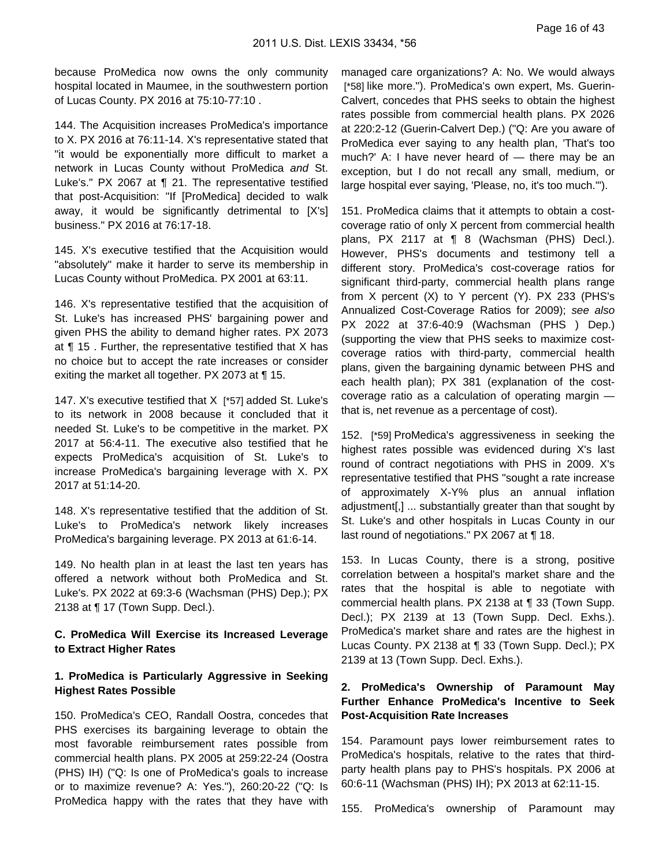because ProMedica now owns the only community hospital located in Maumee, in the southwestern portion of Lucas County. PX 2016 at 75:10-77:10 .

144. The Acquisition increases ProMedica's importance to X. PX 2016 at 76:11-14. X's representative stated that "it would be exponentially more difficult to market a network in Lucas County without ProMedica and St. Luke's." PX 2067 at ¶ 21. The representative testified that post-Acquisition: "If [ProMedica] decided to walk away, it would be significantly detrimental to [X's] business." PX 2016 at 76:17-18.

145. X's executive testified that the Acquisition would "absolutely" make it harder to serve its membership in Lucas County without ProMedica. PX 2001 at 63:11.

146. X's representative testified that the acquisition of St. Luke's has increased PHS' bargaining power and given PHS the ability to demand higher rates. PX 2073 at ¶ 15 . Further, the representative testified that X has no choice but to accept the rate increases or consider exiting the market all together. PX 2073 at ¶ 15.

147. X's executive testified that X [\*57] added St. Luke's to its network in 2008 because it concluded that it needed St. Luke's to be competitive in the market. PX 2017 at 56:4-11. The executive also testified that he expects ProMedica's acquisition of St. Luke's to increase ProMedica's bargaining leverage with X. PX 2017 at 51:14-20.

148. X's representative testified that the addition of St. Luke's to ProMedica's network likely increases ProMedica's bargaining leverage. PX 2013 at 61:6-14.

149. No health plan in at least the last ten years has offered a network without both ProMedica and St. Luke's. PX 2022 at 69:3-6 (Wachsman (PHS) Dep.); PX 2138 at ¶ 17 (Town Supp. Decl.).

### **C. ProMedica Will Exercise its Increased Leverage to Extract Higher Rates**

### **1. ProMedica is Particularly Aggressive in Seeking Highest Rates Possible**

150. ProMedica's CEO, Randall Oostra, concedes that PHS exercises its bargaining leverage to obtain the most favorable reimbursement rates possible from commercial health plans. PX 2005 at 259:22-24 (Oostra (PHS) IH) ("Q: Is one of ProMedica's goals to increase or to maximize revenue? A: Yes."), 260:20-22 ("Q: Is ProMedica happy with the rates that they have with

managed care organizations? A: No. We would always [\*58] like more."). ProMedica's own expert, Ms. Guerin-Calvert, concedes that PHS seeks to obtain the highest rates possible from commercial health plans. PX 2026 at 220:2-12 (Guerin-Calvert Dep.) ("Q: Are you aware of ProMedica ever saying to any health plan, 'That's too much?' A: I have never heard of — there may be an exception, but I do not recall any small, medium, or large hospital ever saying, 'Please, no, it's too much.'").

151. ProMedica claims that it attempts to obtain a costcoverage ratio of only X percent from commercial health plans, PX 2117 at ¶ 8 (Wachsman (PHS) Decl.). However, PHS's documents and testimony tell a different story. ProMedica's cost-coverage ratios for significant third-party, commercial health plans range from X percent (X) to Y percent (Y). PX 233 (PHS's Annualized Cost-Coverage Ratios for 2009); see also PX 2022 at 37:6-40:9 (Wachsman (PHS ) Dep.) (supporting the view that PHS seeks to maximize costcoverage ratios with third-party, commercial health plans, given the bargaining dynamic between PHS and each health plan); PX 381 (explanation of the costcoverage ratio as a calculation of operating margin that is, net revenue as a percentage of cost).

152. [\*59] ProMedica's aggressiveness in seeking the highest rates possible was evidenced during X's last round of contract negotiations with PHS in 2009. X's representative testified that PHS "sought a rate increase of approximately X-Y% plus an annual inflation adjustment[,] ... substantially greater than that sought by St. Luke's and other hospitals in Lucas County in our last round of negotiations." PX 2067 at ¶ 18.

153. In Lucas County, there is a strong, positive correlation between a hospital's market share and the rates that the hospital is able to negotiate with commercial health plans. PX 2138 at ¶ 33 (Town Supp. Decl.); PX 2139 at 13 (Town Supp. Decl. Exhs.). ProMedica's market share and rates are the highest in Lucas County. PX 2138 at ¶ 33 (Town Supp. Decl.); PX 2139 at 13 (Town Supp. Decl. Exhs.).

### **2. ProMedica's Ownership of Paramount May Further Enhance ProMedica's Incentive to Seek Post-Acquisition Rate Increases**

154. Paramount pays lower reimbursement rates to ProMedica's hospitals, relative to the rates that thirdparty health plans pay to PHS's hospitals. PX 2006 at 60:6-11 (Wachsman (PHS) IH); PX 2013 at 62:11-15.

155. ProMedica's ownership of Paramount may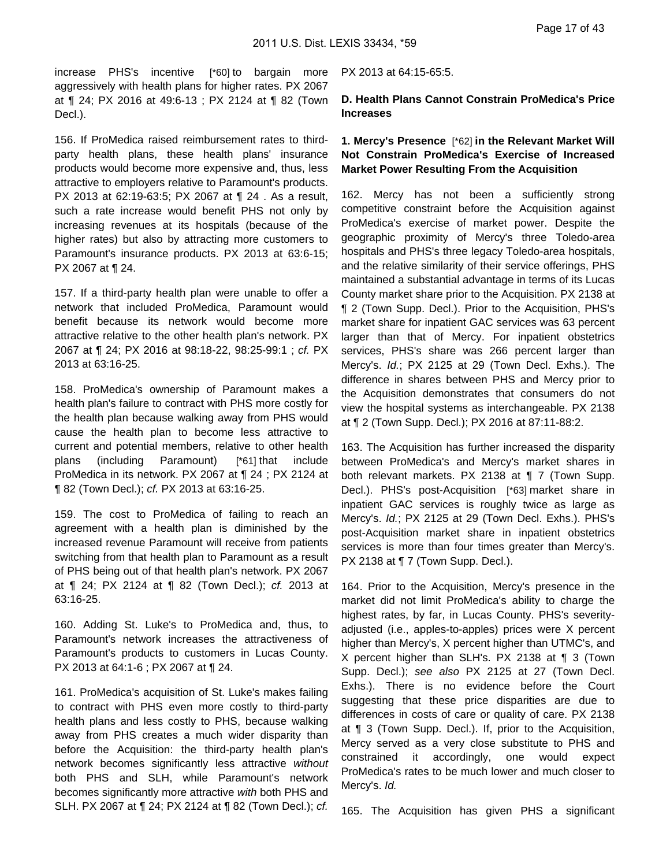increase PHS's incentive [\*60] to bargain more aggressively with health plans for higher rates. PX 2067 at ¶ 24; PX 2016 at 49:6-13 ; PX 2124 at ¶ 82 (Town Decl.).

156. If ProMedica raised reimbursement rates to thirdparty health plans, these health plans' insurance products would become more expensive and, thus, less attractive to employers relative to Paramount's products. PX 2013 at 62:19-63:5; PX 2067 at ¶ 24 . As a result, such a rate increase would benefit PHS not only by increasing revenues at its hospitals (because of the higher rates) but also by attracting more customers to Paramount's insurance products. PX 2013 at 63:6-15; PX 2067 at ¶ 24.

157. If a third-party health plan were unable to offer a network that included ProMedica, Paramount would benefit because its network would become more attractive relative to the other health plan's network. PX 2067 at ¶ 24; PX 2016 at 98:18-22, 98:25-99:1 ; cf. PX 2013 at 63:16-25.

158. ProMedica's ownership of Paramount makes a health plan's failure to contract with PHS more costly for the health plan because walking away from PHS would cause the health plan to become less attractive to current and potential members, relative to other health plans (including Paramount) [\*61] that include ProMedica in its network. PX 2067 at ¶ 24 ; PX 2124 at ¶ 82 (Town Decl.); cf. PX 2013 at 63:16-25.

159. The cost to ProMedica of failing to reach an agreement with a health plan is diminished by the increased revenue Paramount will receive from patients switching from that health plan to Paramount as a result of PHS being out of that health plan's network. PX 2067 at ¶ 24; PX 2124 at ¶ 82 (Town Decl.); cf. 2013 at 63:16-25.

160. Adding St. Luke's to ProMedica and, thus, to Paramount's network increases the attractiveness of Paramount's products to customers in Lucas County. PX 2013 at 64:1-6 ; PX 2067 at ¶ 24.

161. ProMedica's acquisition of St. Luke's makes failing to contract with PHS even more costly to third-party health plans and less costly to PHS, because walking away from PHS creates a much wider disparity than before the Acquisition: the third-party health plan's network becomes significantly less attractive without both PHS and SLH, while Paramount's network becomes significantly more attractive with both PHS and SLH. PX 2067 at ¶ 24; PX 2124 at ¶ 82 (Town Decl.); cf.

#### PX 2013 at 64:15-65:5.

**D. Health Plans Cannot Constrain ProMedica's Price Increases**

### **1. Mercy's Presence** [\*62] **in the Relevant Market Will Not Constrain ProMedica's Exercise of Increased Market Power Resulting From the Acquisition**

162. Mercy has not been a sufficiently strong competitive constraint before the Acquisition against ProMedica's exercise of market power. Despite the geographic proximity of Mercy's three Toledo-area hospitals and PHS's three legacy Toledo-area hospitals, and the relative similarity of their service offerings, PHS maintained a substantial advantage in terms of its Lucas County market share prior to the Acquisition. PX 2138 at ¶ 2 (Town Supp. Decl.). Prior to the Acquisition, PHS's market share for inpatient GAC services was 63 percent larger than that of Mercy. For inpatient obstetrics services, PHS's share was 266 percent larger than Mercy's. Id.; PX 2125 at 29 (Town Decl. Exhs.). The difference in shares between PHS and Mercy prior to the Acquisition demonstrates that consumers do not view the hospital systems as interchangeable. PX 2138 at ¶ 2 (Town Supp. Decl.); PX 2016 at 87:11-88:2.

163. The Acquisition has further increased the disparity between ProMedica's and Mercy's market shares in both relevant markets. PX 2138 at ¶ 7 (Town Supp. Decl.). PHS's post-Acquisition [\*63] market share in inpatient GAC services is roughly twice as large as Mercy's. Id.; PX 2125 at 29 (Town Decl. Exhs.). PHS's post-Acquisition market share in inpatient obstetrics services is more than four times greater than Mercy's. PX 2138 at  $\P$  7 (Town Supp. Decl.).

164. Prior to the Acquisition, Mercy's presence in the market did not limit ProMedica's ability to charge the highest rates, by far, in Lucas County. PHS's severityadjusted (i.e., apples-to-apples) prices were X percent higher than Mercy's, X percent higher than UTMC's, and X percent higher than SLH's. PX 2138 at ¶ 3 (Town Supp. Decl.); see also PX 2125 at 27 (Town Decl. Exhs.). There is no evidence before the Court suggesting that these price disparities are due to differences in costs of care or quality of care. PX 2138 at ¶ 3 (Town Supp. Decl.). If, prior to the Acquisition, Mercy served as a very close substitute to PHS and constrained it accordingly, one would expect ProMedica's rates to be much lower and much closer to Mercy's. Id.

165. The Acquisition has given PHS a significant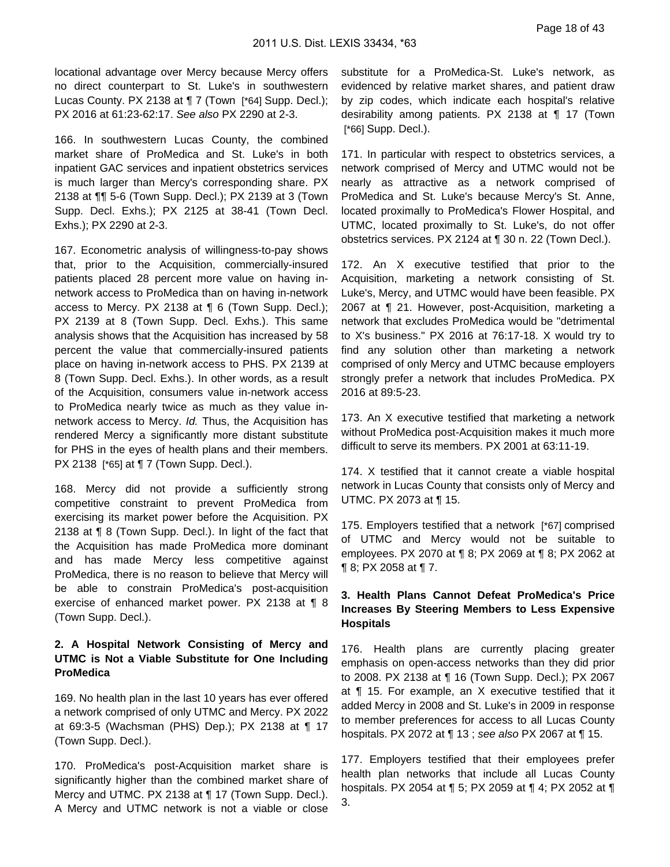locational advantage over Mercy because Mercy offers no direct counterpart to St. Luke's in southwestern Lucas County. PX 2138 at 17 (Town [\*64] Supp. Decl.); PX 2016 at 61:23-62:17. See also PX 2290 at 2-3.

166. In southwestern Lucas County, the combined market share of ProMedica and St. Luke's in both inpatient GAC services and inpatient obstetrics services is much larger than Mercy's corresponding share. PX 2138 at ¶¶ 5-6 (Town Supp. Decl.); PX 2139 at 3 (Town Supp. Decl. Exhs.); PX 2125 at 38-41 (Town Decl. Exhs.); PX 2290 at 2-3.

167. Econometric analysis of willingness-to-pay shows that, prior to the Acquisition, commercially-insured patients placed 28 percent more value on having innetwork access to ProMedica than on having in-network access to Mercy. PX 2138 at ¶ 6 (Town Supp. Decl.); PX 2139 at 8 (Town Supp. Decl. Exhs.). This same analysis shows that the Acquisition has increased by 58 percent the value that commercially-insured patients place on having in-network access to PHS. PX 2139 at 8 (Town Supp. Decl. Exhs.). In other words, as a result of the Acquisition, consumers value in-network access to ProMedica nearly twice as much as they value innetwork access to Mercy. Id. Thus, the Acquisition has rendered Mercy a significantly more distant substitute for PHS in the eyes of health plans and their members. PX 2138 [\*65] at ¶ 7 (Town Supp. Decl.).

168. Mercy did not provide a sufficiently strong competitive constraint to prevent ProMedica from exercising its market power before the Acquisition. PX 2138 at ¶ 8 (Town Supp. Decl.). In light of the fact that the Acquisition has made ProMedica more dominant and has made Mercy less competitive against ProMedica, there is no reason to believe that Mercy will be able to constrain ProMedica's post-acquisition exercise of enhanced market power. PX 2138 at ¶ 8 (Town Supp. Decl.).

### **2. A Hospital Network Consisting of Mercy and UTMC is Not a Viable Substitute for One Including ProMedica**

169. No health plan in the last 10 years has ever offered a network comprised of only UTMC and Mercy. PX 2022 at 69:3-5 (Wachsman (PHS) Dep.); PX 2138 at ¶ 17 (Town Supp. Decl.).

170. ProMedica's post-Acquisition market share is significantly higher than the combined market share of Mercy and UTMC. PX 2138 at ¶ 17 (Town Supp. Decl.). A Mercy and UTMC network is not a viable or close

substitute for a ProMedica-St. Luke's network, as evidenced by relative market shares, and patient draw by zip codes, which indicate each hospital's relative desirability among patients. PX 2138 at ¶ 17 (Town [\*66] Supp. Decl.).

171. In particular with respect to obstetrics services, a network comprised of Mercy and UTMC would not be nearly as attractive as a network comprised of ProMedica and St. Luke's because Mercy's St. Anne, located proximally to ProMedica's Flower Hospital, and UTMC, located proximally to St. Luke's, do not offer obstetrics services. PX 2124 at ¶ 30 n. 22 (Town Decl.).

172. An X executive testified that prior to the Acquisition, marketing a network consisting of St. Luke's, Mercy, and UTMC would have been feasible. PX 2067 at ¶ 21. However, post-Acquisition, marketing a network that excludes ProMedica would be "detrimental to X's business." PX 2016 at 76:17-18. X would try to find any solution other than marketing a network comprised of only Mercy and UTMC because employers strongly prefer a network that includes ProMedica. PX 2016 at 89:5-23.

173. An X executive testified that marketing a network without ProMedica post-Acquisition makes it much more difficult to serve its members. PX 2001 at 63:11-19.

174. X testified that it cannot create a viable hospital network in Lucas County that consists only of Mercy and UTMC. PX 2073 at ¶ 15.

175. Employers testified that a network [\*67] comprised of UTMC and Mercy would not be suitable to employees. PX 2070 at ¶ 8; PX 2069 at ¶ 8; PX 2062 at ¶ 8; PX 2058 at ¶ 7.

### **3. Health Plans Cannot Defeat ProMedica's Price Increases By Steering Members to Less Expensive Hospitals**

176. Health plans are currently placing greater emphasis on open-access networks than they did prior to 2008. PX 2138 at ¶ 16 (Town Supp. Decl.); PX 2067 at ¶ 15. For example, an X executive testified that it added Mercy in 2008 and St. Luke's in 2009 in response to member preferences for access to all Lucas County hospitals. PX 2072 at ¶ 13 ; see also PX 2067 at ¶ 15.

177. Employers testified that their employees prefer health plan networks that include all Lucas County hospitals. PX 2054 at ¶ 5; PX 2059 at ¶ 4; PX 2052 at ¶ 3.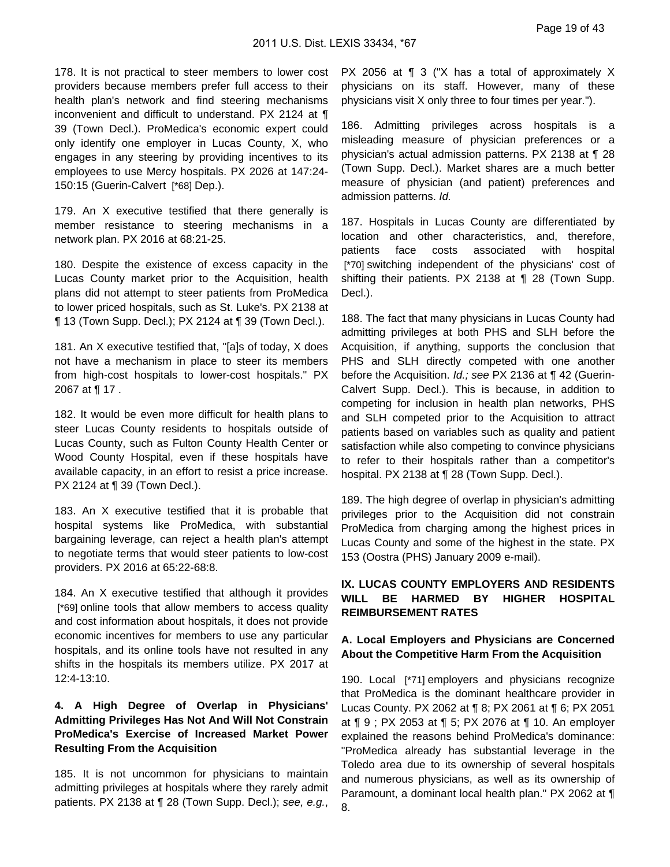178. It is not practical to steer members to lower cost providers because members prefer full access to their health plan's network and find steering mechanisms inconvenient and difficult to understand. PX 2124 at ¶ 39 (Town Decl.). ProMedica's economic expert could only identify one employer in Lucas County, X, who engages in any steering by providing incentives to its employees to use Mercy hospitals. PX 2026 at 147:24- 150:15 (Guerin-Calvert [\*68] Dep.).

179. An X executive testified that there generally is member resistance to steering mechanisms in a network plan. PX 2016 at 68:21-25.

180. Despite the existence of excess capacity in the Lucas County market prior to the Acquisition, health plans did not attempt to steer patients from ProMedica to lower priced hospitals, such as St. Luke's. PX 2138 at ¶ 13 (Town Supp. Decl.); PX 2124 at ¶ 39 (Town Decl.).

181. An X executive testified that, "[a]s of today, X does not have a mechanism in place to steer its members from high-cost hospitals to lower-cost hospitals." PX 2067 at ¶ 17 .

182. It would be even more difficult for health plans to steer Lucas County residents to hospitals outside of Lucas County, such as Fulton County Health Center or Wood County Hospital, even if these hospitals have available capacity, in an effort to resist a price increase. PX 2124 at ¶ 39 (Town Decl.).

183. An X executive testified that it is probable that hospital systems like ProMedica, with substantial bargaining leverage, can reject a health plan's attempt to negotiate terms that would steer patients to low-cost providers. PX 2016 at 65:22-68:8.

184. An X executive testified that although it provides [\*69] online tools that allow members to access quality and cost information about hospitals, it does not provide economic incentives for members to use any particular hospitals, and its online tools have not resulted in any shifts in the hospitals its members utilize. PX 2017 at 12:4-13:10.

### **4. A High Degree of Overlap in Physicians' Admitting Privileges Has Not And Will Not Constrain ProMedica's Exercise of Increased Market Power Resulting From the Acquisition**

185. It is not uncommon for physicians to maintain admitting privileges at hospitals where they rarely admit patients. PX 2138 at ¶ 28 (Town Supp. Decl.); see, e.g.,

PX 2056 at ¶ 3 ("X has a total of approximately X physicians on its staff. However, many of these physicians visit X only three to four times per year.").

186. Admitting privileges across hospitals is a misleading measure of physician preferences or a physician's actual admission patterns. PX 2138 at ¶ 28 (Town Supp. Decl.). Market shares are a much better measure of physician (and patient) preferences and admission patterns. Id.

187. Hospitals in Lucas County are differentiated by location and other characteristics, and, therefore, patients face costs associated with hospital [\*70] switching independent of the physicians' cost of shifting their patients. PX 2138 at ¶ 28 (Town Supp. Decl.).

188. The fact that many physicians in Lucas County had admitting privileges at both PHS and SLH before the Acquisition, if anything, supports the conclusion that PHS and SLH directly competed with one another before the Acquisition. Id.; see PX 2136 at ¶ 42 (Guerin-Calvert Supp. Decl.). This is because, in addition to competing for inclusion in health plan networks, PHS and SLH competed prior to the Acquisition to attract patients based on variables such as quality and patient satisfaction while also competing to convince physicians to refer to their hospitals rather than a competitor's hospital. PX 2138 at ¶ 28 (Town Supp. Decl.).

189. The high degree of overlap in physician's admitting privileges prior to the Acquisition did not constrain ProMedica from charging among the highest prices in Lucas County and some of the highest in the state. PX 153 (Oostra (PHS) January 2009 e-mail).

### **IX. LUCAS COUNTY EMPLOYERS AND RESIDENTS WILL BE HARMED BY HIGHER HOSPITAL REIMBURSEMENT RATES**

### **A. Local Employers and Physicians are Concerned About the Competitive Harm From the Acquisition**

190. Local [\*71] employers and physicians recognize that ProMedica is the dominant healthcare provider in Lucas County. PX 2062 at ¶ 8; PX 2061 at ¶ 6; PX 2051 at ¶ 9 ; PX 2053 at ¶ 5; PX 2076 at ¶ 10. An employer explained the reasons behind ProMedica's dominance: "ProMedica already has substantial leverage in the Toledo area due to its ownership of several hospitals and numerous physicians, as well as its ownership of Paramount, a dominant local health plan." PX 2062 at ¶ 8.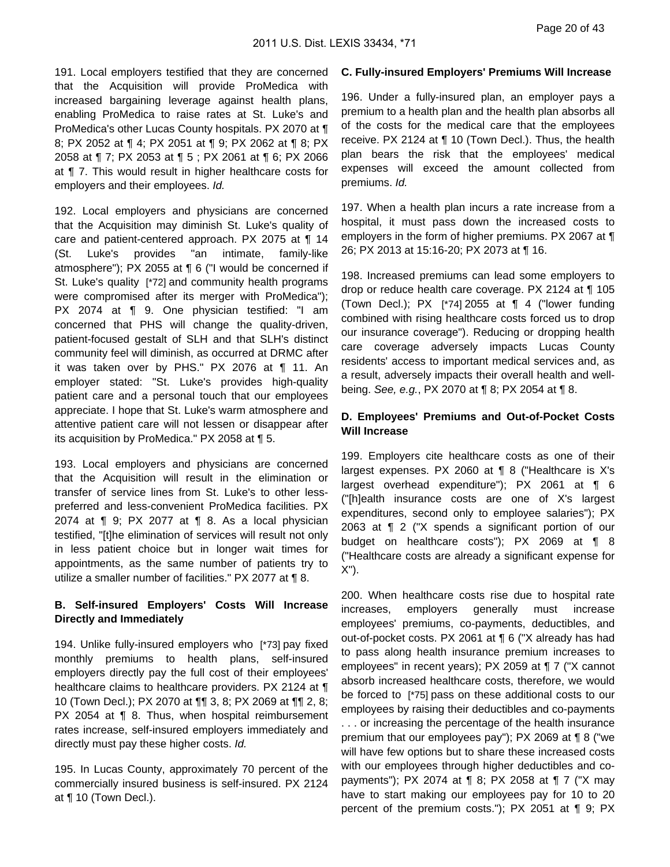191. Local employers testified that they are concerned that the Acquisition will provide ProMedica with increased bargaining leverage against health plans, enabling ProMedica to raise rates at St. Luke's and ProMedica's other Lucas County hospitals. PX 2070 at ¶ 8; PX 2052 at ¶ 4; PX 2051 at ¶ 9; PX 2062 at ¶ 8; PX 2058 at ¶ 7; PX 2053 at ¶ 5 ; PX 2061 at ¶ 6; PX 2066 at ¶ 7. This would result in higher healthcare costs for employers and their employees. Id.

192. Local employers and physicians are concerned that the Acquisition may diminish St. Luke's quality of care and patient-centered approach. PX 2075 at ¶ 14 (St. Luke's provides "an intimate, family-like atmosphere"); PX 2055 at ¶ 6 ("I would be concerned if St. Luke's quality [\*72] and community health programs were compromised after its merger with ProMedica"); PX 2074 at ¶ 9. One physician testified: "I am concerned that PHS will change the quality-driven, patient-focused gestalt of SLH and that SLH's distinct community feel will diminish, as occurred at DRMC after it was taken over by PHS." PX 2076 at ¶ 11. An employer stated: "St. Luke's provides high-quality patient care and a personal touch that our employees appreciate. I hope that St. Luke's warm atmosphere and attentive patient care will not lessen or disappear after its acquisition by ProMedica." PX 2058 at ¶ 5.

193. Local employers and physicians are concerned that the Acquisition will result in the elimination or transfer of service lines from St. Luke's to other lesspreferred and less-convenient ProMedica facilities. PX 2074 at ¶ 9; PX 2077 at ¶ 8. As a local physician testified, "[t]he elimination of services will result not only in less patient choice but in longer wait times for appointments, as the same number of patients try to utilize a smaller number of facilities." PX 2077 at ¶ 8.

### **B. Self-insured Employers' Costs Will Increase Directly and Immediately**

194. Unlike fully-insured employers who [\*73] pay fixed monthly premiums to health plans, self-insured employers directly pay the full cost of their employees' healthcare claims to healthcare providers. PX 2124 at ¶ 10 (Town Decl.); PX 2070 at ¶¶ 3, 8; PX 2069 at ¶¶ 2, 8; PX 2054 at ¶ 8. Thus, when hospital reimbursement rates increase, self-insured employers immediately and directly must pay these higher costs. Id.

195. In Lucas County, approximately 70 percent of the commercially insured business is self-insured. PX 2124 at ¶ 10 (Town Decl.).

#### **C. Fully-insured Employers' Premiums Will Increase**

196. Under a fully-insured plan, an employer pays a premium to a health plan and the health plan absorbs all of the costs for the medical care that the employees receive. PX 2124 at ¶ 10 (Town Decl.). Thus, the health plan bears the risk that the employees' medical expenses will exceed the amount collected from premiums. Id.

197. When a health plan incurs a rate increase from a hospital, it must pass down the increased costs to employers in the form of higher premiums. PX 2067 at ¶ 26; PX 2013 at 15:16-20; PX 2073 at ¶ 16.

198. Increased premiums can lead some employers to drop or reduce health care coverage. PX 2124 at ¶ 105 (Town Decl.); PX [\*74] 2055 at ¶ 4 ("lower funding combined with rising healthcare costs forced us to drop our insurance coverage"). Reducing or dropping health care coverage adversely impacts Lucas County residents' access to important medical services and, as a result, adversely impacts their overall health and wellbeing. See, e.g., PX 2070 at ¶ 8; PX 2054 at ¶ 8.

### **D. Employees' Premiums and Out-of-Pocket Costs Will Increase**

199. Employers cite healthcare costs as one of their largest expenses. PX 2060 at ¶ 8 ("Healthcare is X's largest overhead expenditure"); PX 2061 at ¶ 6 ("[h]ealth insurance costs are one of X's largest expenditures, second only to employee salaries"); PX 2063 at ¶ 2 ("X spends a significant portion of our budget on healthcare costs"); PX 2069 at ¶ 8 ("Healthcare costs are already a significant expense for X").

200. When healthcare costs rise due to hospital rate increases, employers generally must increase employees' premiums, co-payments, deductibles, and out-of-pocket costs. PX 2061 at ¶ 6 ("X already has had to pass along health insurance premium increases to employees" in recent years); PX 2059 at ¶ 7 ("X cannot absorb increased healthcare costs, therefore, we would be forced to [\*75] pass on these additional costs to our employees by raising their deductibles and co-payments . . . or increasing the percentage of the health insurance premium that our employees pay"); PX 2069 at ¶ 8 ("we will have few options but to share these increased costs with our employees through higher deductibles and copayments"); PX 2074 at ¶ 8; PX 2058 at ¶ 7 ("X may have to start making our employees pay for 10 to 20 percent of the premium costs."); PX 2051 at ¶ 9; PX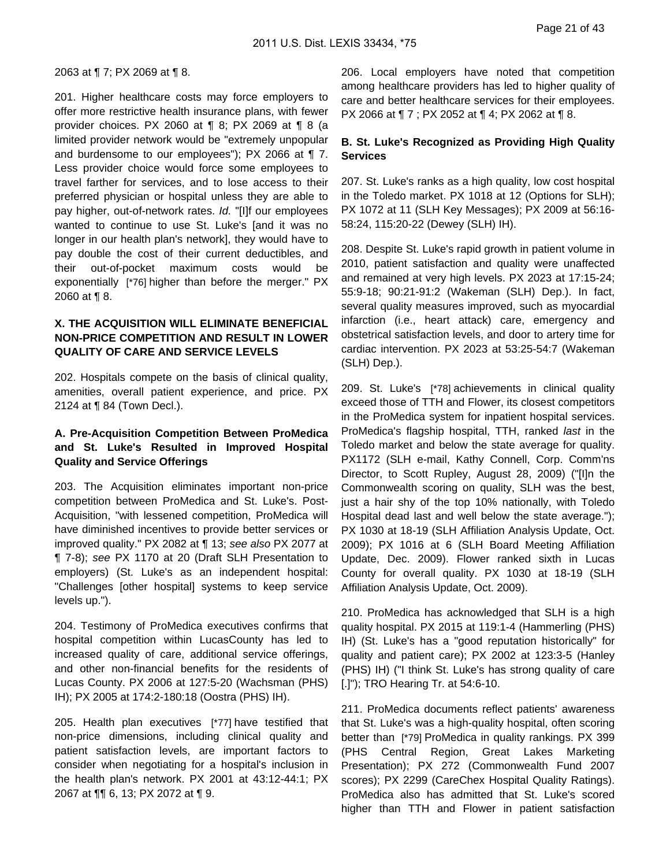#### 2063 at ¶ 7; PX 2069 at ¶ 8.

201. Higher healthcare costs may force employers to offer more restrictive health insurance plans, with fewer provider choices. PX 2060 at ¶ 8; PX 2069 at ¶ 8 (a limited provider network would be "extremely unpopular and burdensome to our employees"); PX 2066 at ¶ 7. Less provider choice would force some employees to travel farther for services, and to lose access to their preferred physician or hospital unless they are able to pay higher, out-of-network rates. Id. "[I]f our employees wanted to continue to use St. Luke's [and it was no longer in our health plan's network], they would have to pay double the cost of their current deductibles, and their out-of-pocket maximum costs would be exponentially [\*76] higher than before the merger." PX 2060 at ¶ 8.

### **X. THE ACQUISITION WILL ELIMINATE BENEFICIAL NON-PRICE COMPETITION AND RESULT IN LOWER QUALITY OF CARE AND SERVICE LEVELS**

202. Hospitals compete on the basis of clinical quality, amenities, overall patient experience, and price. PX 2124 at ¶ 84 (Town Decl.).

### **A. Pre-Acquisition Competition Between ProMedica and St. Luke's Resulted in Improved Hospital Quality and Service Offerings**

203. The Acquisition eliminates important non-price competition between ProMedica and St. Luke's. Post-Acquisition, "with lessened competition, ProMedica will have diminished incentives to provide better services or improved quality." PX 2082 at ¶ 13; see also PX 2077 at ¶ 7-8); see PX 1170 at 20 (Draft SLH Presentation to employers) (St. Luke's as an independent hospital: "Challenges [other hospital] systems to keep service levels up.").

204. Testimony of ProMedica executives confirms that hospital competition within LucasCounty has led to increased quality of care, additional service offerings, and other non-financial benefits for the residents of Lucas County. PX 2006 at 127:5-20 (Wachsman (PHS) IH); PX 2005 at 174:2-180:18 (Oostra (PHS) IH).

205. Health plan executives [\*77] have testified that non-price dimensions, including clinical quality and patient satisfaction levels, are important factors to consider when negotiating for a hospital's inclusion in the health plan's network. PX 2001 at 43:12-44:1; PX 2067 at ¶¶ 6, 13; PX 2072 at ¶ 9.

206. Local employers have noted that competition among healthcare providers has led to higher quality of care and better healthcare services for their employees. PX 2066 at ¶ 7 ; PX 2052 at ¶ 4; PX 2062 at ¶ 8.

#### **B. St. Luke's Recognized as Providing High Quality Services**

207. St. Luke's ranks as a high quality, low cost hospital in the Toledo market. PX 1018 at 12 (Options for SLH); PX 1072 at 11 (SLH Key Messages); PX 2009 at 56:16- 58:24, 115:20-22 (Dewey (SLH) IH).

208. Despite St. Luke's rapid growth in patient volume in 2010, patient satisfaction and quality were unaffected and remained at very high levels. PX 2023 at 17:15-24; 55:9-18; 90:21-91:2 (Wakeman (SLH) Dep.). In fact, several quality measures improved, such as myocardial infarction (i.e., heart attack) care, emergency and obstetrical satisfaction levels, and door to artery time for cardiac intervention. PX 2023 at 53:25-54:7 (Wakeman (SLH) Dep.).

209. St. Luke's [\*78] achievements in clinical quality exceed those of TTH and Flower, its closest competitors in the ProMedica system for inpatient hospital services. ProMedica's flagship hospital, TTH, ranked last in the Toledo market and below the state average for quality. PX1172 (SLH e-mail, Kathy Connell, Corp. Comm'ns Director, to Scott Rupley, August 28, 2009) ("[I]n the Commonwealth scoring on quality, SLH was the best, just a hair shy of the top 10% nationally, with Toledo Hospital dead last and well below the state average."); PX 1030 at 18-19 (SLH Affiliation Analysis Update, Oct. 2009); PX 1016 at 6 (SLH Board Meeting Affiliation Update, Dec. 2009). Flower ranked sixth in Lucas County for overall quality. PX 1030 at 18-19 (SLH Affiliation Analysis Update, Oct. 2009).

210. ProMedica has acknowledged that SLH is a high quality hospital. PX 2015 at 119:1-4 (Hammerling (PHS) IH) (St. Luke's has a "good reputation historically" for quality and patient care); PX 2002 at 123:3-5 (Hanley (PHS) IH) ("I think St. Luke's has strong quality of care [.]"); TRO Hearing Tr. at 54:6-10.

211. ProMedica documents reflect patients' awareness that St. Luke's was a high-quality hospital, often scoring better than [\*79] ProMedica in quality rankings. PX 399 (PHS Central Region, Great Lakes Marketing Presentation); PX 272 (Commonwealth Fund 2007 scores); PX 2299 (CareChex Hospital Quality Ratings). ProMedica also has admitted that St. Luke's scored higher than TTH and Flower in patient satisfaction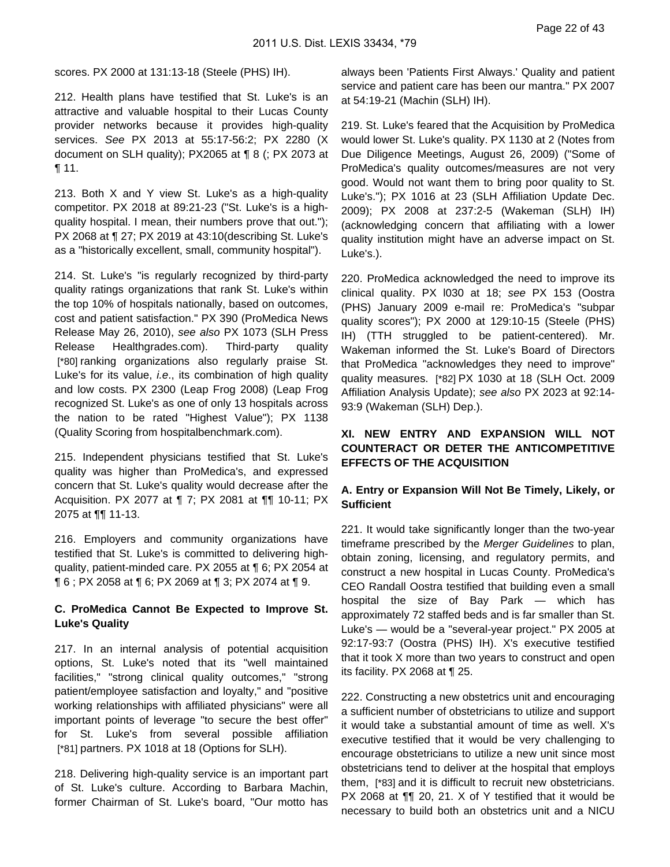scores. PX 2000 at 131:13-18 (Steele (PHS) IH).

212. Health plans have testified that St. Luke's is an attractive and valuable hospital to their Lucas County provider networks because it provides high-quality services. See PX 2013 at 55:17-56:2; PX 2280 (X document on SLH quality); PX2065 at ¶ 8 (; PX 2073 at ¶ 11.

213. Both X and Y view St. Luke's as a high-quality competitor. PX 2018 at 89:21-23 ("St. Luke's is a highquality hospital. I mean, their numbers prove that out."); PX 2068 at ¶ 27; PX 2019 at 43:10(describing St. Luke's as a "historically excellent, small, community hospital").

214. St. Luke's "is regularly recognized by third-party quality ratings organizations that rank St. Luke's within the top 10% of hospitals nationally, based on outcomes, cost and patient satisfaction." PX 390 (ProMedica News Release May 26, 2010), see also PX 1073 (SLH Press Release Healthgrades.com). Third-party quality [\*80] ranking organizations also regularly praise St. Luke's for its value, i.e., its combination of high quality and low costs. PX 2300 (Leap Frog 2008) (Leap Frog recognized St. Luke's as one of only 13 hospitals across the nation to be rated "Highest Value"); PX 1138 (Quality Scoring from hospitalbenchmark.com).

215. Independent physicians testified that St. Luke's quality was higher than ProMedica's, and expressed concern that St. Luke's quality would decrease after the Acquisition. PX 2077 at ¶ 7; PX 2081 at ¶¶ 10-11; PX 2075 at ¶¶ 11-13.

216. Employers and community organizations have testified that St. Luke's is committed to delivering highquality, patient-minded care. PX 2055 at ¶ 6; PX 2054 at ¶ 6 ; PX 2058 at ¶ 6; PX 2069 at ¶ 3; PX 2074 at ¶ 9.

#### **C. ProMedica Cannot Be Expected to Improve St. Luke's Quality**

217. In an internal analysis of potential acquisition options, St. Luke's noted that its "well maintained facilities," "strong clinical quality outcomes," "strong patient/employee satisfaction and loyalty," and "positive working relationships with affiliated physicians" were all important points of leverage "to secure the best offer" for St. Luke's from several possible affiliation [\*81] partners. PX 1018 at 18 (Options for SLH).

218. Delivering high-quality service is an important part of St. Luke's culture. According to Barbara Machin, former Chairman of St. Luke's board, "Our motto has

always been 'Patients First Always.' Quality and patient service and patient care has been our mantra." PX 2007 at 54:19-21 (Machin (SLH) IH).

219. St. Luke's feared that the Acquisition by ProMedica would lower St. Luke's quality. PX 1130 at 2 (Notes from Due Diligence Meetings, August 26, 2009) ("Some of ProMedica's quality outcomes/measures are not very good. Would not want them to bring poor quality to St. Luke's."); PX 1016 at 23 (SLH Affiliation Update Dec. 2009); PX 2008 at 237:2-5 (Wakeman (SLH) IH) (acknowledging concern that affiliating with a lower quality institution might have an adverse impact on St. Luke's.).

220. ProMedica acknowledged the need to improve its clinical quality. PX l030 at 18; see PX 153 (Oostra (PHS) January 2009 e-mail re: ProMedica's "subpar quality scores"); PX 2000 at 129:10-15 (Steele (PHS) IH) (TTH struggled to be patient-centered). Mr. Wakeman informed the St. Luke's Board of Directors that ProMedica "acknowledges they need to improve" quality measures. [\*82] PX 1030 at 18 (SLH Oct. 2009 Affiliation Analysis Update); see also PX 2023 at 92:14- 93:9 (Wakeman (SLH) Dep.).

### **XI. NEW ENTRY AND EXPANSION WILL NOT COUNTERACT OR DETER THE ANTICOMPETITIVE EFFECTS OF THE ACQUISITION**

### **A. Entry or Expansion Will Not Be Timely, Likely, or Sufficient**

221. It would take significantly longer than the two-year timeframe prescribed by the Merger Guidelines to plan, obtain zoning, licensing, and regulatory permits, and construct a new hospital in Lucas County. ProMedica's CEO Randall Oostra testified that building even a small hospital the size of Bay Park — which has approximately 72 staffed beds and is far smaller than St. Luke's — would be a "several-year project." PX 2005 at 92:17-93:7 (Oostra (PHS) IH). X's executive testified that it took X more than two years to construct and open its facility. PX 2068 at ¶ 25.

222. Constructing a new obstetrics unit and encouraging a sufficient number of obstetricians to utilize and support it would take a substantial amount of time as well. X's executive testified that it would be very challenging to encourage obstetricians to utilize a new unit since most obstetricians tend to deliver at the hospital that employs them, [\*83] and it is difficult to recruit new obstetricians. PX 2068 at ¶¶ 20, 21. X of Y testified that it would be necessary to build both an obstetrics unit and a NICU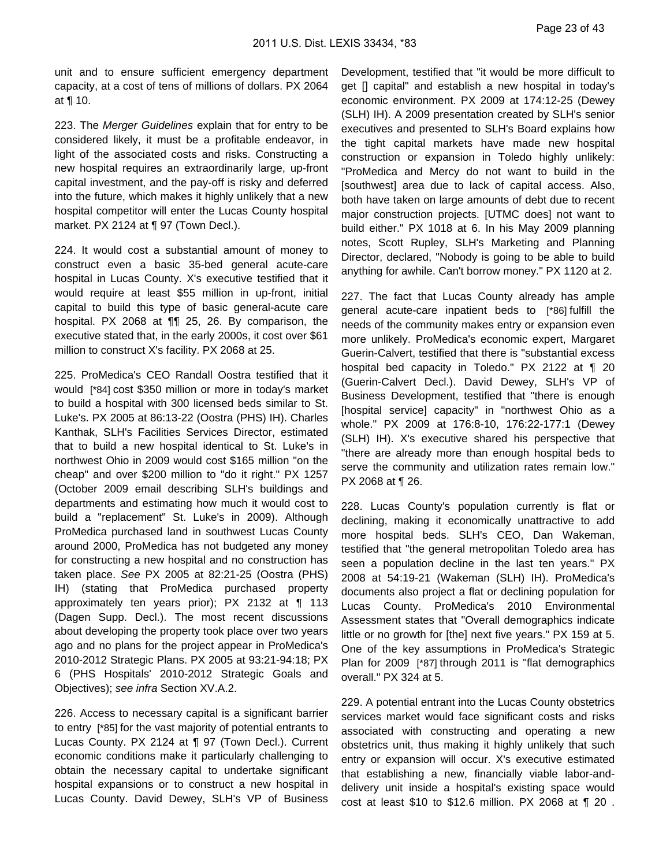unit and to ensure sufficient emergency department capacity, at a cost of tens of millions of dollars. PX 2064 at ¶ 10.

223. The Merger Guidelines explain that for entry to be considered likely, it must be a profitable endeavor, in light of the associated costs and risks. Constructing a new hospital requires an extraordinarily large, up-front capital investment, and the pay-off is risky and deferred into the future, which makes it highly unlikely that a new hospital competitor will enter the Lucas County hospital market. PX 2124 at ¶ 97 (Town Decl.).

224. It would cost a substantial amount of money to construct even a basic 35-bed general acute-care hospital in Lucas County. X's executive testified that it would require at least \$55 million in up-front, initial capital to build this type of basic general-acute care hospital. PX 2068 at ¶¶ 25, 26. By comparison, the executive stated that, in the early 2000s, it cost over \$61 million to construct X's facility. PX 2068 at 25.

225. ProMedica's CEO Randall Oostra testified that it would [\*84] cost \$350 million or more in today's market to build a hospital with 300 licensed beds similar to St. Luke's. PX 2005 at 86:13-22 (Oostra (PHS) IH). Charles Kanthak, SLH's Facilities Services Director, estimated that to build a new hospital identical to St. Luke's in northwest Ohio in 2009 would cost \$165 million "on the cheap" and over \$200 million to "do it right." PX 1257 (October 2009 email describing SLH's buildings and departments and estimating how much it would cost to build a "replacement" St. Luke's in 2009). Although ProMedica purchased land in southwest Lucas County around 2000, ProMedica has not budgeted any money for constructing a new hospital and no construction has taken place. See PX 2005 at 82:21-25 (Oostra (PHS) IH) (stating that ProMedica purchased property approximately ten years prior); PX 2132 at ¶ 113 (Dagen Supp. Decl.). The most recent discussions about developing the property took place over two years ago and no plans for the project appear in ProMedica's 2010-2012 Strategic Plans. PX 2005 at 93:21-94:18; PX 6 (PHS Hospitals' 2010-2012 Strategic Goals and Objectives); see infra Section XV.A.2.

226. Access to necessary capital is a significant barrier to entry [\*85] for the vast majority of potential entrants to Lucas County. PX 2124 at ¶ 97 (Town Decl.). Current economic conditions make it particularly challenging to obtain the necessary capital to undertake significant hospital expansions or to construct a new hospital in Lucas County. David Dewey, SLH's VP of Business

Development, testified that "it would be more difficult to get [] capital" and establish a new hospital in today's economic environment. PX 2009 at 174:12-25 (Dewey (SLH) IH). A 2009 presentation created by SLH's senior executives and presented to SLH's Board explains how the tight capital markets have made new hospital construction or expansion in Toledo highly unlikely: "ProMedica and Mercy do not want to build in the [southwest] area due to lack of capital access. Also, both have taken on large amounts of debt due to recent major construction projects. [UTMC does] not want to build either." PX 1018 at 6. In his May 2009 planning notes, Scott Rupley, SLH's Marketing and Planning Director, declared, "Nobody is going to be able to build anything for awhile. Can't borrow money." PX 1120 at 2.

227. The fact that Lucas County already has ample general acute-care inpatient beds to [\*86] fulfill the needs of the community makes entry or expansion even more unlikely. ProMedica's economic expert, Margaret Guerin-Calvert, testified that there is "substantial excess hospital bed capacity in Toledo." PX 2122 at ¶ 20 (Guerin-Calvert Decl.). David Dewey, SLH's VP of Business Development, testified that "there is enough [hospital service] capacity" in "northwest Ohio as a whole." PX 2009 at 176:8-10, 176:22-177:1 (Dewey (SLH) IH). X's executive shared his perspective that "there are already more than enough hospital beds to serve the community and utilization rates remain low." PX 2068 at ¶ 26.

228. Lucas County's population currently is flat or declining, making it economically unattractive to add more hospital beds. SLH's CEO, Dan Wakeman, testified that "the general metropolitan Toledo area has seen a population decline in the last ten years." PX 2008 at 54:19-21 (Wakeman (SLH) IH). ProMedica's documents also project a flat or declining population for Lucas County. ProMedica's 2010 Environmental Assessment states that "Overall demographics indicate little or no growth for [the] next five years." PX 159 at 5. One of the key assumptions in ProMedica's Strategic Plan for 2009 [\*87] through 2011 is "flat demographics overall." PX 324 at 5.

229. A potential entrant into the Lucas County obstetrics services market would face significant costs and risks associated with constructing and operating a new obstetrics unit, thus making it highly unlikely that such entry or expansion will occur. X's executive estimated that establishing a new, financially viable labor-anddelivery unit inside a hospital's existing space would cost at least \$10 to \$12.6 million. PX 2068 at ¶ 20 .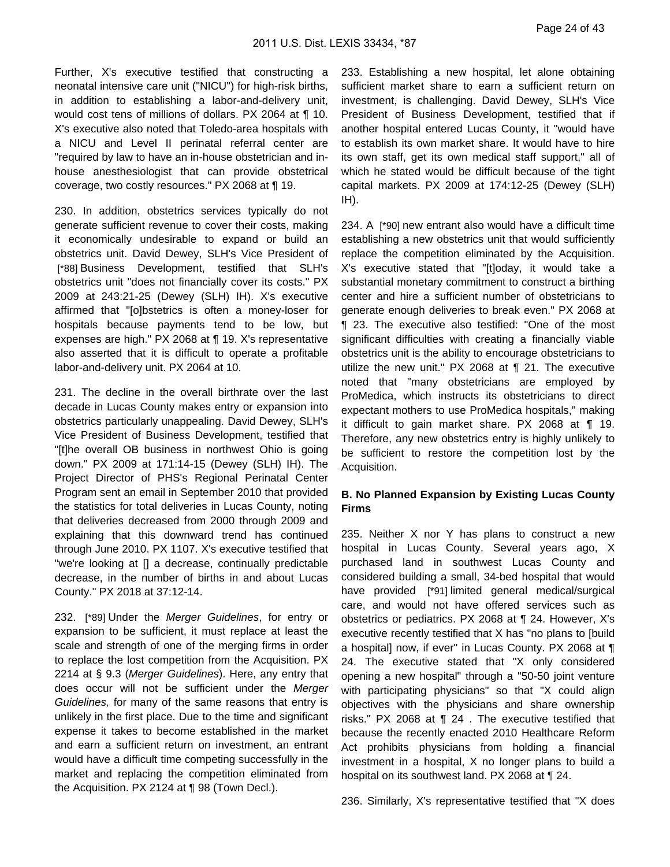Page 24 of 43

Further, X's executive testified that constructing a neonatal intensive care unit ("NICU") for high-risk births, in addition to establishing a labor-and-delivery unit, would cost tens of millions of dollars. PX 2064 at ¶ 10. X's executive also noted that Toledo-area hospitals with a NICU and Level II perinatal referral center are "required by law to have an in-house obstetrician and inhouse anesthesiologist that can provide obstetrical coverage, two costly resources." PX 2068 at ¶ 19.

230. In addition, obstetrics services typically do not generate sufficient revenue to cover their costs, making it economically undesirable to expand or build an obstetrics unit. David Dewey, SLH's Vice President of [\*88] Business Development, testified that SLH's obstetrics unit "does not financially cover its costs." PX 2009 at 243:21-25 (Dewey (SLH) IH). X's executive affirmed that "[o]bstetrics is often a money-loser for hospitals because payments tend to be low, but expenses are high." PX 2068 at ¶ 19. X's representative also asserted that it is difficult to operate a profitable labor-and-delivery unit. PX 2064 at 10.

231. The decline in the overall birthrate over the last decade in Lucas County makes entry or expansion into obstetrics particularly unappealing. David Dewey, SLH's Vice President of Business Development, testified that "[t]he overall OB business in northwest Ohio is going down." PX 2009 at 171:14-15 (Dewey (SLH) IH). The Project Director of PHS's Regional Perinatal Center Program sent an email in September 2010 that provided the statistics for total deliveries in Lucas County, noting that deliveries decreased from 2000 through 2009 and explaining that this downward trend has continued through June 2010. PX 1107. X's executive testified that "we're looking at [] a decrease, continually predictable decrease, in the number of births in and about Lucas County." PX 2018 at 37:12-14.

232. [\*89] Under the Merger Guidelines, for entry or expansion to be sufficient, it must replace at least the scale and strength of one of the merging firms in order to replace the lost competition from the Acquisition. PX 2214 at § 9.3 (Merger Guidelines). Here, any entry that does occur will not be sufficient under the Merger Guidelines, for many of the same reasons that entry is unlikely in the first place. Due to the time and significant expense it takes to become established in the market and earn a sufficient return on investment, an entrant would have a difficult time competing successfully in the market and replacing the competition eliminated from the Acquisition. PX 2124 at ¶ 98 (Town Decl.).

233. Establishing a new hospital, let alone obtaining sufficient market share to earn a sufficient return on investment, is challenging. David Dewey, SLH's Vice President of Business Development, testified that if another hospital entered Lucas County, it "would have to establish its own market share. It would have to hire its own staff, get its own medical staff support," all of which he stated would be difficult because of the tight capital markets. PX 2009 at 174:12-25 (Dewey (SLH) IH).

234. A [\*90] new entrant also would have a difficult time establishing a new obstetrics unit that would sufficiently replace the competition eliminated by the Acquisition. X's executive stated that "[t]oday, it would take a substantial monetary commitment to construct a birthing center and hire a sufficient number of obstetricians to generate enough deliveries to break even." PX 2068 at ¶ 23. The executive also testified: "One of the most significant difficulties with creating a financially viable obstetrics unit is the ability to encourage obstetricians to utilize the new unit." PX 2068 at ¶ 21. The executive noted that "many obstetricians are employed by ProMedica, which instructs its obstetricians to direct expectant mothers to use ProMedica hospitals," making it difficult to gain market share. PX 2068 at ¶ 19. Therefore, any new obstetrics entry is highly unlikely to be sufficient to restore the competition lost by the Acquisition.

### **B. No Planned Expansion by Existing Lucas County Firms**

235. Neither X nor Y has plans to construct a new hospital in Lucas County. Several years ago, X purchased land in southwest Lucas County and considered building a small, 34-bed hospital that would have provided [\*91] limited general medical/surgical care, and would not have offered services such as obstetrics or pediatrics. PX 2068 at ¶ 24. However, X's executive recently testified that X has "no plans to [build a hospital] now, if ever" in Lucas County. PX 2068 at ¶ 24. The executive stated that "X only considered opening a new hospital" through a "50-50 joint venture with participating physicians" so that "X could align objectives with the physicians and share ownership risks." PX 2068 at ¶ 24 . The executive testified that because the recently enacted 2010 Healthcare Reform Act prohibits physicians from holding a financial investment in a hospital, X no longer plans to build a hospital on its southwest land. PX 2068 at ¶ 24.

236. Similarly, X's representative testified that "X does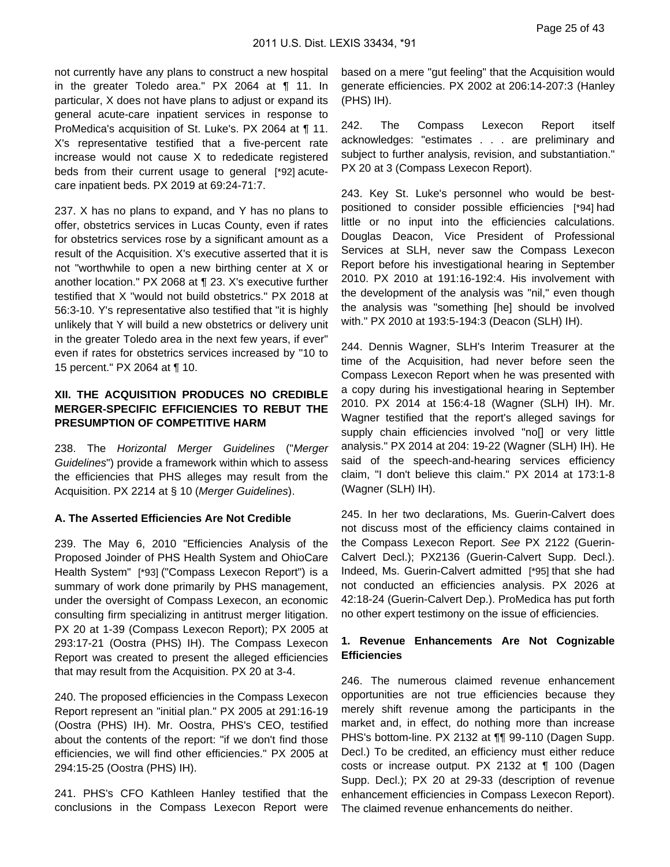not currently have any plans to construct a new hospital in the greater Toledo area." PX 2064 at ¶ 11. In particular, X does not have plans to adjust or expand its general acute-care inpatient services in response to ProMedica's acquisition of St. Luke's. PX 2064 at ¶ 11. X's representative testified that a five-percent rate increase would not cause X to rededicate registered beds from their current usage to general [\*92] acutecare inpatient beds. PX 2019 at 69:24-71:7.

237. X has no plans to expand, and Y has no plans to offer, obstetrics services in Lucas County, even if rates for obstetrics services rose by a significant amount as a result of the Acquisition. X's executive asserted that it is not "worthwhile to open a new birthing center at X or another location." PX 2068 at ¶ 23. X's executive further testified that X "would not build obstetrics." PX 2018 at 56:3-10. Y's representative also testified that "it is highly unlikely that Y will build a new obstetrics or delivery unit in the greater Toledo area in the next few years, if ever" even if rates for obstetrics services increased by "10 to 15 percent." PX 2064 at ¶ 10.

### **XII. THE ACQUISITION PRODUCES NO CREDIBLE MERGER-SPECIFIC EFFICIENCIES TO REBUT THE PRESUMPTION OF COMPETITIVE HARM**

238. The Horizontal Merger Guidelines ("Merger Guidelines") provide a framework within which to assess the efficiencies that PHS alleges may result from the Acquisition. PX 2214 at § 10 (Merger Guidelines).

#### **A. The Asserted Efficiencies Are Not Credible**

239. The May 6, 2010 "Efficiencies Analysis of the Proposed Joinder of PHS Health System and OhioCare Health System" [\*93] ("Compass Lexecon Report") is a summary of work done primarily by PHS management, under the oversight of Compass Lexecon, an economic consulting firm specializing in antitrust merger litigation. PX 20 at 1-39 (Compass Lexecon Report); PX 2005 at 293:17-21 (Oostra (PHS) IH). The Compass Lexecon Report was created to present the alleged efficiencies that may result from the Acquisition. PX 20 at 3-4.

240. The proposed efficiencies in the Compass Lexecon Report represent an "initial plan." PX 2005 at 291:16-19 (Oostra (PHS) IH). Mr. Oostra, PHS's CEO, testified about the contents of the report: "if we don't find those efficiencies, we will find other efficiencies." PX 2005 at 294:15-25 (Oostra (PHS) IH).

241. PHS's CFO Kathleen Hanley testified that the conclusions in the Compass Lexecon Report were

based on a mere "gut feeling" that the Acquisition would generate efficiencies. PX 2002 at 206:14-207:3 (Hanley (PHS) IH).

242. The Compass Lexecon Report itself acknowledges: "estimates . . . are preliminary and subject to further analysis, revision, and substantiation." PX 20 at 3 (Compass Lexecon Report).

243. Key St. Luke's personnel who would be bestpositioned to consider possible efficiencies [\*94] had little or no input into the efficiencies calculations. Douglas Deacon, Vice President of Professional Services at SLH, never saw the Compass Lexecon Report before his investigational hearing in September 2010. PX 2010 at 191:16-192:4. His involvement with the development of the analysis was "nil," even though the analysis was "something [he] should be involved with." PX 2010 at 193:5-194:3 (Deacon (SLH) IH).

244. Dennis Wagner, SLH's Interim Treasurer at the time of the Acquisition, had never before seen the Compass Lexecon Report when he was presented with a copy during his investigational hearing in September 2010. PX 2014 at 156:4-18 (Wagner (SLH) IH). Mr. Wagner testified that the report's alleged savings for supply chain efficiencies involved "no[] or very little analysis." PX 2014 at 204: 19-22 (Wagner (SLH) IH). He said of the speech-and-hearing services efficiency claim, "I don't believe this claim." PX 2014 at 173:1-8 (Wagner (SLH) IH).

245. In her two declarations, Ms. Guerin-Calvert does not discuss most of the efficiency claims contained in the Compass Lexecon Report. See PX 2122 (Guerin-Calvert Decl.); PX2136 (Guerin-Calvert Supp. Decl.). Indeed, Ms. Guerin-Calvert admitted [\*95] that she had not conducted an efficiencies analysis. PX 2026 at 42:18-24 (Guerin-Calvert Dep.). ProMedica has put forth no other expert testimony on the issue of efficiencies.

### **1. Revenue Enhancements Are Not Cognizable Efficiencies**

246. The numerous claimed revenue enhancement opportunities are not true efficiencies because they merely shift revenue among the participants in the market and, in effect, do nothing more than increase PHS's bottom-line. PX 2132 at ¶¶ 99-110 (Dagen Supp. Decl.) To be credited, an efficiency must either reduce costs or increase output. PX 2132 at ¶ 100 (Dagen Supp. Decl.); PX 20 at 29-33 (description of revenue enhancement efficiencies in Compass Lexecon Report). The claimed revenue enhancements do neither.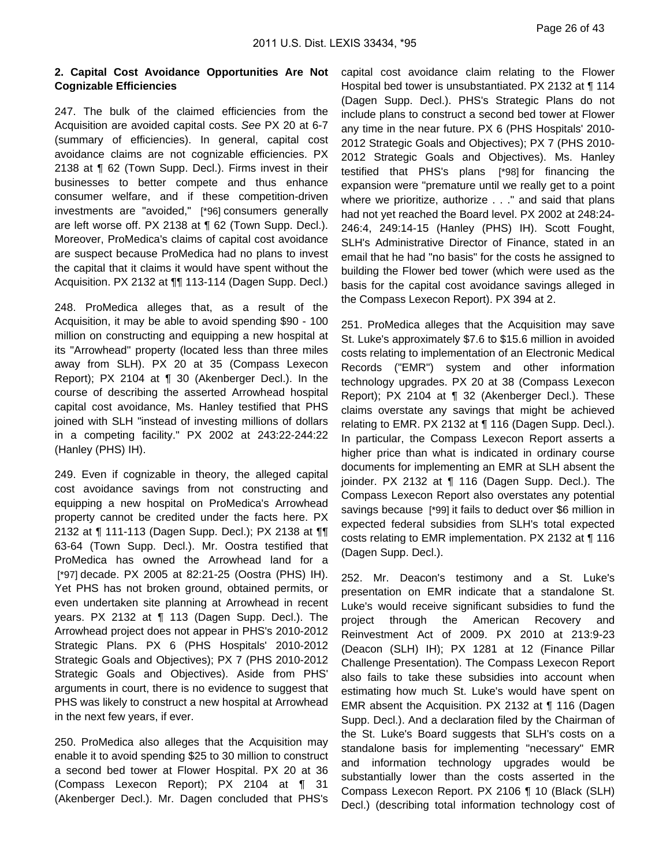### **2. Capital Cost Avoidance Opportunities Are Not Cognizable Efficiencies**

247. The bulk of the claimed efficiencies from the Acquisition are avoided capital costs. See PX 20 at 6-7 (summary of efficiencies). In general, capital cost avoidance claims are not cognizable efficiencies. PX 2138 at ¶ 62 (Town Supp. Decl.). Firms invest in their businesses to better compete and thus enhance consumer welfare, and if these competition-driven investments are "avoided," [\*96] consumers generally are left worse off. PX 2138 at ¶ 62 (Town Supp. Decl.). Moreover, ProMedica's claims of capital cost avoidance are suspect because ProMedica had no plans to invest the capital that it claims it would have spent without the Acquisition. PX 2132 at ¶¶ 113-114 (Dagen Supp. Decl.)

248. ProMedica alleges that, as a result of the Acquisition, it may be able to avoid spending \$90 - 100 million on constructing and equipping a new hospital at its "Arrowhead" property (located less than three miles away from SLH). PX 20 at 35 (Compass Lexecon Report); PX 2104 at ¶ 30 (Akenberger Decl.). In the course of describing the asserted Arrowhead hospital capital cost avoidance, Ms. Hanley testified that PHS joined with SLH "instead of investing millions of dollars in a competing facility." PX 2002 at 243:22-244:22 (Hanley (PHS) IH).

249. Even if cognizable in theory, the alleged capital cost avoidance savings from not constructing and equipping a new hospital on ProMedica's Arrowhead property cannot be credited under the facts here. PX 2132 at ¶ 111-113 (Dagen Supp. Decl.); PX 2138 at ¶¶ 63-64 (Town Supp. Decl.). Mr. Oostra testified that ProMedica has owned the Arrowhead land for a [\*97] decade. PX 2005 at 82:21-25 (Oostra (PHS) IH). Yet PHS has not broken ground, obtained permits, or even undertaken site planning at Arrowhead in recent years. PX 2132 at ¶ 113 (Dagen Supp. Decl.). The Arrowhead project does not appear in PHS's 2010-2012 Strategic Plans. PX 6 (PHS Hospitals' 2010-2012 Strategic Goals and Objectives); PX 7 (PHS 2010-2012 Strategic Goals and Objectives). Aside from PHS' arguments in court, there is no evidence to suggest that PHS was likely to construct a new hospital at Arrowhead in the next few years, if ever.

250. ProMedica also alleges that the Acquisition may enable it to avoid spending \$25 to 30 million to construct a second bed tower at Flower Hospital. PX 20 at 36 (Compass Lexecon Report); PX 2104 at ¶ 31 (Akenberger Decl.). Mr. Dagen concluded that PHS's

capital cost avoidance claim relating to the Flower Hospital bed tower is unsubstantiated. PX 2132 at ¶ 114 (Dagen Supp. Decl.). PHS's Strategic Plans do not include plans to construct a second bed tower at Flower any time in the near future. PX 6 (PHS Hospitals' 2010- 2012 Strategic Goals and Objectives); PX 7 (PHS 2010- 2012 Strategic Goals and Objectives). Ms. Hanley testified that PHS's plans [\*98] for financing the expansion were "premature until we really get to a point where we prioritize, authorize . . ." and said that plans had not yet reached the Board level. PX 2002 at 248:24- 246:4, 249:14-15 (Hanley (PHS) IH). Scott Fought, SLH's Administrative Director of Finance, stated in an email that he had "no basis" for the costs he assigned to building the Flower bed tower (which were used as the basis for the capital cost avoidance savings alleged in the Compass Lexecon Report). PX 394 at 2.

251. ProMedica alleges that the Acquisition may save St. Luke's approximately \$7.6 to \$15.6 million in avoided costs relating to implementation of an Electronic Medical Records ("EMR") system and other information technology upgrades. PX 20 at 38 (Compass Lexecon Report); PX 2104 at ¶ 32 (Akenberger Decl.). These claims overstate any savings that might be achieved relating to EMR. PX 2132 at ¶ 116 (Dagen Supp. Decl.). In particular, the Compass Lexecon Report asserts a higher price than what is indicated in ordinary course documents for implementing an EMR at SLH absent the joinder. PX 2132 at ¶ 116 (Dagen Supp. Decl.). The Compass Lexecon Report also overstates any potential savings because [\*99] it fails to deduct over \$6 million in expected federal subsidies from SLH's total expected costs relating to EMR implementation. PX 2132 at ¶ 116 (Dagen Supp. Decl.).

252. Mr. Deacon's testimony and a St. Luke's presentation on EMR indicate that a standalone St. Luke's would receive significant subsidies to fund the project through the American Recovery and Reinvestment Act of 2009. PX 2010 at 213:9-23 (Deacon (SLH) IH); PX 1281 at 12 (Finance Pillar Challenge Presentation). The Compass Lexecon Report also fails to take these subsidies into account when estimating how much St. Luke's would have spent on EMR absent the Acquisition. PX 2132 at ¶ 116 (Dagen Supp. Decl.). And a declaration filed by the Chairman of the St. Luke's Board suggests that SLH's costs on a standalone basis for implementing "necessary" EMR and information technology upgrades would be substantially lower than the costs asserted in the Compass Lexecon Report. PX 2106 ¶ 10 (Black (SLH) Decl.) (describing total information technology cost of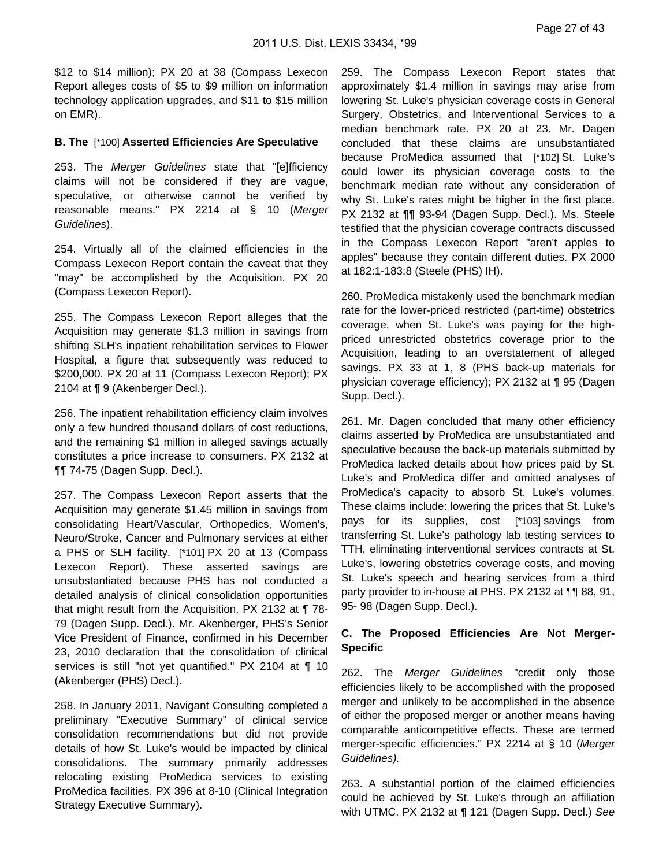\$12 to \$14 million); PX 20 at 38 (Compass Lexecon Report alleges costs of \$5 to \$9 million on information technology application upgrades, and \$11 to \$15 million on EMR).

#### **B. The** [\*100] **Asserted Efficiencies Are Speculative**

253. The Merger Guidelines state that "[e]fficiency claims will not be considered if they are vague, speculative, or otherwise cannot be verified by reasonable means." PX 2214 at § 10 (Merger Guidelines).

254. Virtually all of the claimed efficiencies in the Compass Lexecon Report contain the caveat that they "may" be accomplished by the Acquisition. PX 20 (Compass Lexecon Report).

255. The Compass Lexecon Report alleges that the Acquisition may generate \$1.3 million in savings from shifting SLH's inpatient rehabilitation services to Flower Hospital, a figure that subsequently was reduced to \$200,000. PX 20 at 11 (Compass Lexecon Report); PX 2104 at ¶ 9 (Akenberger Decl.).

256. The inpatient rehabilitation efficiency claim involves only a few hundred thousand dollars of cost reductions, and the remaining \$1 million in alleged savings actually constitutes a price increase to consumers. PX 2132 at ¶¶ 74-75 (Dagen Supp. Decl.).

257. The Compass Lexecon Report asserts that the Acquisition may generate \$1.45 million in savings from consolidating Heart/Vascular, Orthopedics, Women's, Neuro/Stroke, Cancer and Pulmonary services at either a PHS or SLH facility. [\*101] PX 20 at 13 (Compass Lexecon Report). These asserted savings are unsubstantiated because PHS has not conducted a detailed analysis of clinical consolidation opportunities that might result from the Acquisition. PX 2132 at ¶ 78- 79 (Dagen Supp. Decl.). Mr. Akenberger, PHS's Senior Vice President of Finance, confirmed in his December 23, 2010 declaration that the consolidation of clinical services is still "not yet quantified." PX 2104 at ¶ 10 (Akenberger (PHS) Decl.).

258. In January 2011, Navigant Consulting completed a preliminary "Executive Summary" of clinical service consolidation recommendations but did not provide details of how St. Luke's would be impacted by clinical consolidations. The summary primarily addresses relocating existing ProMedica services to existing ProMedica facilities. PX 396 at 8-10 (Clinical Integration Strategy Executive Summary).

259. The Compass Lexecon Report states that approximately \$1.4 million in savings may arise from lowering St. Luke's physician coverage costs in General Surgery, Obstetrics, and Interventional Services to a median benchmark rate. PX 20 at 23. Mr. Dagen concluded that these claims are unsubstantiated because ProMedica assumed that [\*102] St. Luke's could lower its physician coverage costs to the benchmark median rate without any consideration of why St. Luke's rates might be higher in the first place. PX 2132 at ¶¶ 93-94 (Dagen Supp. Decl.). Ms. Steele testified that the physician coverage contracts discussed in the Compass Lexecon Report "aren't apples to apples" because they contain different duties. PX 2000 at 182:1-183:8 (Steele (PHS) IH).

260. ProMedica mistakenly used the benchmark median rate for the lower-priced restricted (part-time) obstetrics coverage, when St. Luke's was paying for the highpriced unrestricted obstetrics coverage prior to the Acquisition, leading to an overstatement of alleged savings. PX 33 at 1, 8 (PHS back-up materials for physician coverage efficiency); PX 2132 at ¶ 95 (Dagen Supp. Decl.).

261. Mr. Dagen concluded that many other efficiency claims asserted by ProMedica are unsubstantiated and speculative because the back-up materials submitted by ProMedica lacked details about how prices paid by St. Luke's and ProMedica differ and omitted analyses of ProMedica's capacity to absorb St. Luke's volumes. These claims include: lowering the prices that St. Luke's pays for its supplies, cost [\*103] savings from transferring St. Luke's pathology lab testing services to TTH, eliminating interventional services contracts at St. Luke's, lowering obstetrics coverage costs, and moving St. Luke's speech and hearing services from a third party provider to in-house at PHS. PX 2132 at ¶¶ 88, 91, 95- 98 (Dagen Supp. Decl.).

## **C. The Proposed Efficiencies Are Not Merger-Specific**

262. The Merger Guidelines "credit only those efficiencies likely to be accomplished with the proposed merger and unlikely to be accomplished in the absence of either the proposed merger or another means having comparable anticompetitive effects. These are termed merger-specific efficiencies." PX 2214 at § 10 (Merger Guidelines).

263. A substantial portion of the claimed efficiencies could be achieved by St. Luke's through an affiliation with UTMC. PX 2132 at ¶ 121 (Dagen Supp. Decl.) See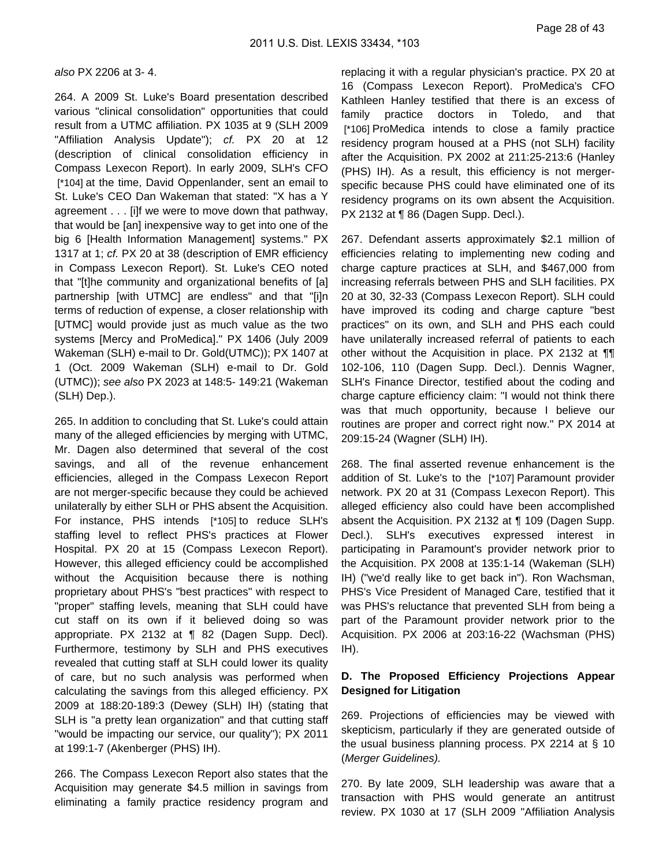also PX 2206 at 3- 4.

264. A 2009 St. Luke's Board presentation described various "clinical consolidation" opportunities that could result from a UTMC affiliation. PX 1035 at 9 (SLH 2009 "Affiliation Analysis Update"); cf. PX 20 at 12 (description of clinical consolidation efficiency in Compass Lexecon Report). In early 2009, SLH's CFO [\*104] at the time, David Oppenlander, sent an email to St. Luke's CEO Dan Wakeman that stated: "X has a Y agreement . . . [i]f we were to move down that pathway, that would be [an] inexpensive way to get into one of the big 6 [Health Information Management] systems." PX 1317 at 1; cf. PX 20 at 38 (description of EMR efficiency in Compass Lexecon Report). St. Luke's CEO noted that "[t]he community and organizational benefits of [a] partnership [with UTMC] are endless" and that "[i]n terms of reduction of expense, a closer relationship with [UTMC] would provide just as much value as the two systems [Mercy and ProMedica]." PX 1406 (July 2009 Wakeman (SLH) e-mail to Dr. Gold(UTMC)); PX 1407 at 1 (Oct. 2009 Wakeman (SLH) e-mail to Dr. Gold (UTMC)); see also PX 2023 at 148:5- 149:21 (Wakeman (SLH) Dep.).

265. In addition to concluding that St. Luke's could attain many of the alleged efficiencies by merging with UTMC, Mr. Dagen also determined that several of the cost savings, and all of the revenue enhancement efficiencies, alleged in the Compass Lexecon Report are not merger-specific because they could be achieved unilaterally by either SLH or PHS absent the Acquisition. For instance, PHS intends [\*105] to reduce SLH's staffing level to reflect PHS's practices at Flower Hospital. PX 20 at 15 (Compass Lexecon Report). However, this alleged efficiency could be accomplished without the Acquisition because there is nothing proprietary about PHS's "best practices" with respect to "proper" staffing levels, meaning that SLH could have cut staff on its own if it believed doing so was appropriate. PX 2132 at ¶ 82 (Dagen Supp. Decl). Furthermore, testimony by SLH and PHS executives revealed that cutting staff at SLH could lower its quality of care, but no such analysis was performed when calculating the savings from this alleged efficiency. PX 2009 at 188:20-189:3 (Dewey (SLH) IH) (stating that SLH is "a pretty lean organization" and that cutting staff "would be impacting our service, our quality"); PX 2011 at 199:1-7 (Akenberger (PHS) IH).

266. The Compass Lexecon Report also states that the Acquisition may generate \$4.5 million in savings from eliminating a family practice residency program and

replacing it with a regular physician's practice. PX 20 at 16 (Compass Lexecon Report). ProMedica's CFO Kathleen Hanley testified that there is an excess of family practice doctors in Toledo, and that [\*106] ProMedica intends to close a family practice residency program housed at a PHS (not SLH) facility after the Acquisition. PX 2002 at 211:25-213:6 (Hanley (PHS) IH). As a result, this efficiency is not mergerspecific because PHS could have eliminated one of its residency programs on its own absent the Acquisition. PX 2132 at ¶ 86 (Dagen Supp. Decl.).

267. Defendant asserts approximately \$2.1 million of efficiencies relating to implementing new coding and charge capture practices at SLH, and \$467,000 from increasing referrals between PHS and SLH facilities. PX 20 at 30, 32-33 (Compass Lexecon Report). SLH could have improved its coding and charge capture "best practices" on its own, and SLH and PHS each could have unilaterally increased referral of patients to each other without the Acquisition in place. PX 2132 at ¶¶ 102-106, 110 (Dagen Supp. Decl.). Dennis Wagner, SLH's Finance Director, testified about the coding and charge capture efficiency claim: "I would not think there was that much opportunity, because I believe our routines are proper and correct right now." PX 2014 at 209:15-24 (Wagner (SLH) IH).

268. The final asserted revenue enhancement is the addition of St. Luke's to the [\*107] Paramount provider network. PX 20 at 31 (Compass Lexecon Report). This alleged efficiency also could have been accomplished absent the Acquisition. PX 2132 at ¶ 109 (Dagen Supp. Decl.). SLH's executives expressed interest in participating in Paramount's provider network prior to the Acquisition. PX 2008 at 135:1-14 (Wakeman (SLH) IH) ("we'd really like to get back in"). Ron Wachsman, PHS's Vice President of Managed Care, testified that it was PHS's reluctance that prevented SLH from being a part of the Paramount provider network prior to the Acquisition. PX 2006 at 203:16-22 (Wachsman (PHS) IH).

### **D. The Proposed Efficiency Projections Appear Designed for Litigation**

269. Projections of efficiencies may be viewed with skepticism, particularly if they are generated outside of the usual business planning process. PX 2214 at § 10 (Merger Guidelines).

270. By late 2009, SLH leadership was aware that a transaction with PHS would generate an antitrust review. PX 1030 at 17 (SLH 2009 "Affiliation Analysis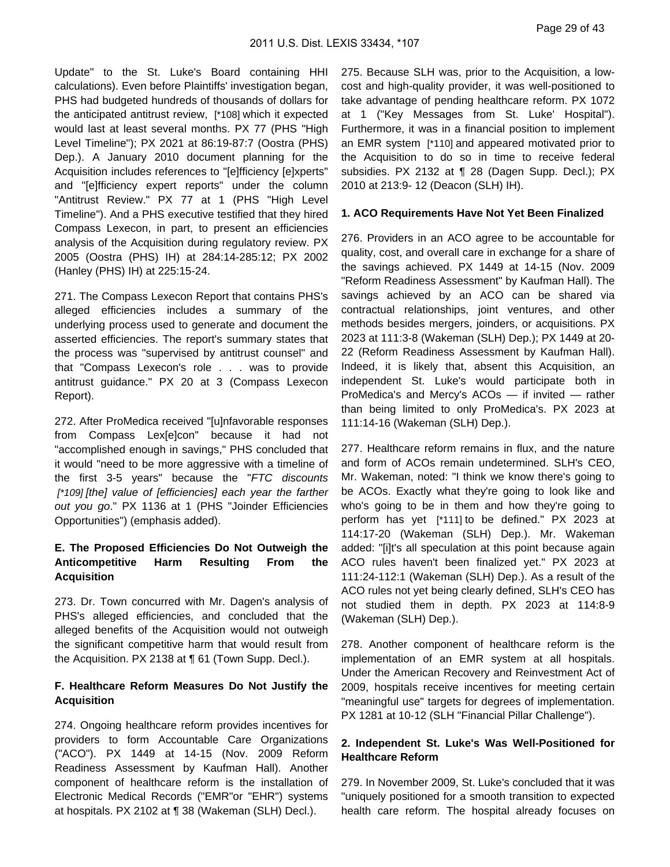Update" to the St. Luke's Board containing HHI calculations). Even before Plaintiffs' investigation began, PHS had budgeted hundreds of thousands of dollars for the anticipated antitrust review, [\*108] which it expected would last at least several months. PX 77 (PHS "High Level Timeline"); PX 2021 at 86:19-87:7 (Oostra (PHS) Dep.). A January 2010 document planning for the Acquisition includes references to "[e]fficiency [e]xperts" and "[e]fficiency expert reports" under the column "Antitrust Review." PX 77 at 1 (PHS "High Level Timeline"). And a PHS executive testified that they hired Compass Lexecon, in part, to present an efficiencies analysis of the Acquisition during regulatory review. PX 2005 (Oostra (PHS) IH) at 284:14-285:12; PX 2002 (Hanley (PHS) IH) at 225:15-24.

271. The Compass Lexecon Report that contains PHS's alleged efficiencies includes a summary of the underlying process used to generate and document the asserted efficiencies. The report's summary states that the process was "supervised by antitrust counsel" and that "Compass Lexecon's role . . . was to provide antitrust guidance." PX 20 at 3 (Compass Lexecon Report).

272. After ProMedica received "[u]nfavorable responses from Compass Lex[e]con" because it had not "accomplished enough in savings," PHS concluded that it would "need to be more aggressive with a timeline of the first 3-5 years" because the "FTC discounts [\*109] [the] value of [efficiencies] each year the farther out you go." PX 1136 at 1 (PHS "Joinder Efficiencies Opportunities") (emphasis added).

## **E. The Proposed Efficiencies Do Not Outweigh the Anticompetitive Harm Resulting From the Acquisition**

273. Dr. Town concurred with Mr. Dagen's analysis of PHS's alleged efficiencies, and concluded that the alleged benefits of the Acquisition would not outweigh the significant competitive harm that would result from the Acquisition. PX 2138 at ¶ 61 (Town Supp. Decl.).

### **F. Healthcare Reform Measures Do Not Justify the Acquisition**

274. Ongoing healthcare reform provides incentives for providers to form Accountable Care Organizations ("ACO"). PX 1449 at 14-15 (Nov. 2009 Reform Readiness Assessment by Kaufman Hall). Another component of healthcare reform is the installation of Electronic Medical Records ("EMR"or "EHR") systems at hospitals. PX 2102 at ¶ 38 (Wakeman (SLH) Decl.).

275. Because SLH was, prior to the Acquisition, a lowcost and high-quality provider, it was well-positioned to take advantage of pending healthcare reform. PX 1072 at 1 ("Key Messages from St. Luke' Hospital"). Furthermore, it was in a financial position to implement an EMR system [\*110] and appeared motivated prior to the Acquisition to do so in time to receive federal subsidies. PX 2132 at ¶ 28 (Dagen Supp. Decl.); PX 2010 at 213:9- 12 (Deacon (SLH) IH).

### **1. ACO Requirements Have Not Yet Been Finalized**

276. Providers in an ACO agree to be accountable for quality, cost, and overall care in exchange for a share of the savings achieved. PX 1449 at 14-15 (Nov. 2009 "Reform Readiness Assessment" by Kaufman Hall). The savings achieved by an ACO can be shared via contractual relationships, joint ventures, and other methods besides mergers, joinders, or acquisitions. PX 2023 at 111:3-8 (Wakeman (SLH) Dep.); PX 1449 at 20- 22 (Reform Readiness Assessment by Kaufman Hall). Indeed, it is likely that, absent this Acquisition, an independent St. Luke's would participate both in ProMedica's and Mercy's ACOs — if invited — rather than being limited to only ProMedica's. PX 2023 at 111:14-16 (Wakeman (SLH) Dep.).

277. Healthcare reform remains in flux, and the nature and form of ACOs remain undetermined. SLH's CEO, Mr. Wakeman, noted: "I think we know there's going to be ACOs. Exactly what they're going to look like and who's going to be in them and how they're going to perform has yet [\*111] to be defined." PX 2023 at 114:17-20 (Wakeman (SLH) Dep.). Mr. Wakeman added: "[i]t's all speculation at this point because again ACO rules haven't been finalized yet." PX 2023 at 111:24-112:1 (Wakeman (SLH) Dep.). As a result of the ACO rules not yet being clearly defined, SLH's CEO has not studied them in depth. PX 2023 at 114:8-9 (Wakeman (SLH) Dep.).

278. Another component of healthcare reform is the implementation of an EMR system at all hospitals. Under the American Recovery and Reinvestment Act of 2009, hospitals receive incentives for meeting certain "meaningful use" targets for degrees of implementation. PX 1281 at 10-12 (SLH "Financial Pillar Challenge").

### **2. Independent St. Luke's Was Well-Positioned for Healthcare Reform**

279. In November 2009, St. Luke's concluded that it was "uniquely positioned for a smooth transition to expected health care reform. The hospital already focuses on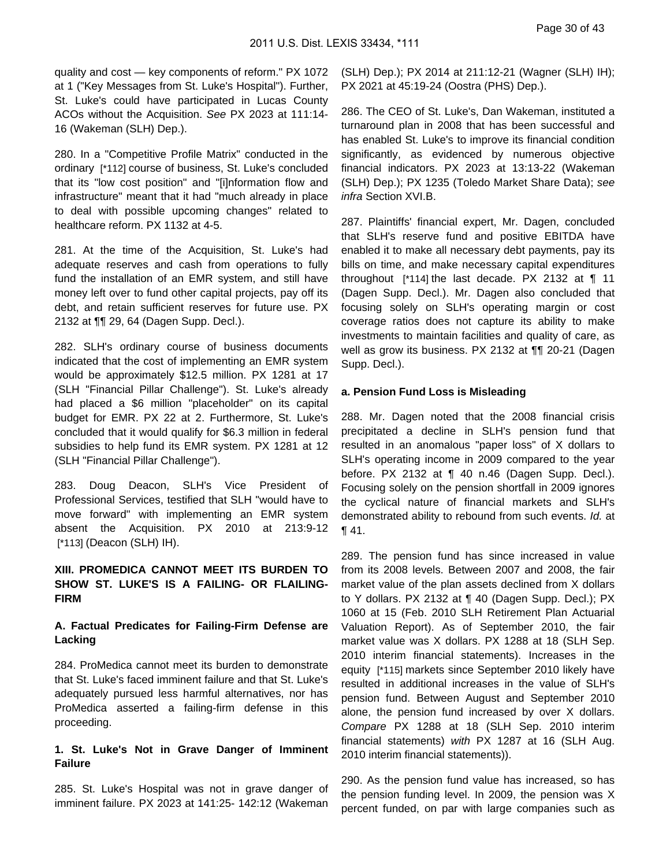quality and cost — key components of reform." PX 1072 at 1 ("Key Messages from St. Luke's Hospital"). Further, St. Luke's could have participated in Lucas County ACOs without the Acquisition. See PX 2023 at 111:14- 16 (Wakeman (SLH) Dep.).

280. In a "Competitive Profile Matrix" conducted in the ordinary [\*112] course of business, St. Luke's concluded that its "low cost position" and "[i]nformation flow and infrastructure" meant that it had "much already in place to deal with possible upcoming changes" related to healthcare reform. PX 1132 at 4-5.

281. At the time of the Acquisition, St. Luke's had adequate reserves and cash from operations to fully fund the installation of an EMR system, and still have money left over to fund other capital projects, pay off its debt, and retain sufficient reserves for future use. PX 2132 at ¶¶ 29, 64 (Dagen Supp. Decl.).

282. SLH's ordinary course of business documents indicated that the cost of implementing an EMR system would be approximately \$12.5 million. PX 1281 at 17 (SLH "Financial Pillar Challenge"). St. Luke's already had placed a \$6 million "placeholder" on its capital budget for EMR. PX 22 at 2. Furthermore, St. Luke's concluded that it would qualify for \$6.3 million in federal subsidies to help fund its EMR system. PX 1281 at 12 (SLH "Financial Pillar Challenge").

283. Doug Deacon, SLH's Vice President of Professional Services, testified that SLH "would have to move forward" with implementing an EMR system absent the Acquisition. PX 2010 at 213:9-12 [\*113] (Deacon (SLH) IH).

### **XIII. PROMEDICA CANNOT MEET ITS BURDEN TO SHOW ST. LUKE'S IS A FAILING- OR FLAILING-FIRM**

### **A. Factual Predicates for Failing-Firm Defense are Lacking**

284. ProMedica cannot meet its burden to demonstrate that St. Luke's faced imminent failure and that St. Luke's adequately pursued less harmful alternatives, nor has ProMedica asserted a failing-firm defense in this proceeding.

### **1. St. Luke's Not in Grave Danger of Imminent Failure**

285. St. Luke's Hospital was not in grave danger of imminent failure. PX 2023 at 141:25- 142:12 (Wakeman

(SLH) Dep.); PX 2014 at 211:12-21 (Wagner (SLH) IH); PX 2021 at 45:19-24 (Oostra (PHS) Dep.).

286. The CEO of St. Luke's, Dan Wakeman, instituted a turnaround plan in 2008 that has been successful and has enabled St. Luke's to improve its financial condition significantly, as evidenced by numerous objective financial indicators. PX 2023 at 13:13-22 (Wakeman (SLH) Dep.); PX 1235 (Toledo Market Share Data); see infra Section XVI.B.

287. Plaintiffs' financial expert, Mr. Dagen, concluded that SLH's reserve fund and positive EBITDA have enabled it to make all necessary debt payments, pay its bills on time, and make necessary capital expenditures throughout [\*114] the last decade. PX 2132 at ¶ 11 (Dagen Supp. Decl.). Mr. Dagen also concluded that focusing solely on SLH's operating margin or cost coverage ratios does not capture its ability to make investments to maintain facilities and quality of care, as well as grow its business. PX 2132 at ¶¶ 20-21 (Dagen Supp. Decl.).

### **a. Pension Fund Loss is Misleading**

288. Mr. Dagen noted that the 2008 financial crisis precipitated a decline in SLH's pension fund that resulted in an anomalous "paper loss" of X dollars to SLH's operating income in 2009 compared to the year before. PX 2132 at  $\P$  40 n.46 (Dagen Supp. Decl.). Focusing solely on the pension shortfall in 2009 ignores the cyclical nature of financial markets and SLH's demonstrated ability to rebound from such events. Id. at ¶ 41.

289. The pension fund has since increased in value from its 2008 levels. Between 2007 and 2008, the fair market value of the plan assets declined from X dollars to Y dollars. PX 2132 at ¶ 40 (Dagen Supp. Decl.); PX 1060 at 15 (Feb. 2010 SLH Retirement Plan Actuarial Valuation Report). As of September 2010, the fair market value was X dollars. PX 1288 at 18 (SLH Sep. 2010 interim financial statements). Increases in the equity [\*115] markets since September 2010 likely have resulted in additional increases in the value of SLH's pension fund. Between August and September 2010 alone, the pension fund increased by over X dollars. Compare PX 1288 at 18 (SLH Sep. 2010 interim financial statements) with PX 1287 at 16 (SLH Aug. 2010 interim financial statements)).

290. As the pension fund value has increased, so has the pension funding level. In 2009, the pension was X percent funded, on par with large companies such as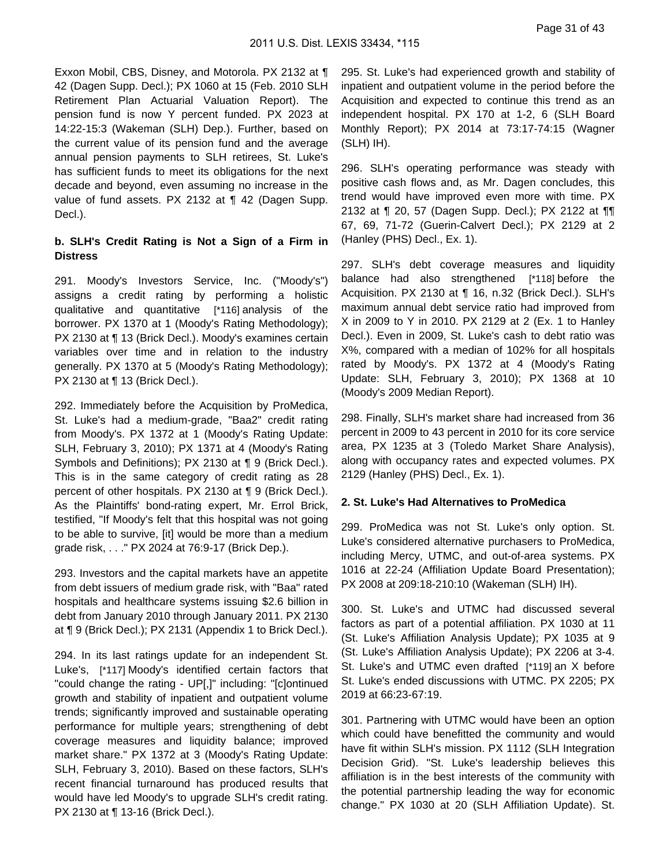Exxon Mobil, CBS, Disney, and Motorola. PX 2132 at ¶ 42 (Dagen Supp. Decl.); PX 1060 at 15 (Feb. 2010 SLH Retirement Plan Actuarial Valuation Report). The pension fund is now Y percent funded. PX 2023 at 14:22-15:3 (Wakeman (SLH) Dep.). Further, based on the current value of its pension fund and the average annual pension payments to SLH retirees, St. Luke's has sufficient funds to meet its obligations for the next decade and beyond, even assuming no increase in the value of fund assets. PX 2132 at ¶ 42 (Dagen Supp. Decl.).

### **b. SLH's Credit Rating is Not a Sign of a Firm in Distress**

291. Moody's Investors Service, Inc. ("Moody's") assigns a credit rating by performing a holistic qualitative and quantitative [\*116] analysis of the borrower. PX 1370 at 1 (Moody's Rating Methodology); PX 2130 at ¶ 13 (Brick Decl.). Moody's examines certain variables over time and in relation to the industry generally. PX 1370 at 5 (Moody's Rating Methodology); PX 2130 at ¶ 13 (Brick Decl.).

292. Immediately before the Acquisition by ProMedica, St. Luke's had a medium-grade, "Baa2" credit rating from Moody's. PX 1372 at 1 (Moody's Rating Update: SLH, February 3, 2010); PX 1371 at 4 (Moody's Rating Symbols and Definitions); PX 2130 at ¶ 9 (Brick Decl.). This is in the same category of credit rating as 28 percent of other hospitals. PX 2130 at ¶ 9 (Brick Decl.). As the Plaintiffs' bond-rating expert, Mr. Errol Brick, testified, "If Moody's felt that this hospital was not going to be able to survive, [it] would be more than a medium grade risk, . . ." PX 2024 at 76:9-17 (Brick Dep.).

293. Investors and the capital markets have an appetite from debt issuers of medium grade risk, with "Baa" rated hospitals and healthcare systems issuing \$2.6 billion in debt from January 2010 through January 2011. PX 2130 at ¶ 9 (Brick Decl.); PX 2131 (Appendix 1 to Brick Decl.).

294. In its last ratings update for an independent St. Luke's, [\*117] Moody's identified certain factors that "could change the rating - UP[,]" including: "[c]ontinued growth and stability of inpatient and outpatient volume trends; significantly improved and sustainable operating performance for multiple years; strengthening of debt coverage measures and liquidity balance; improved market share." PX 1372 at 3 (Moody's Rating Update: SLH, February 3, 2010). Based on these factors, SLH's recent financial turnaround has produced results that would have led Moody's to upgrade SLH's credit rating. PX 2130 at ¶ 13-16 (Brick Decl.).

295. St. Luke's had experienced growth and stability of inpatient and outpatient volume in the period before the Acquisition and expected to continue this trend as an independent hospital. PX 170 at 1-2, 6 (SLH Board Monthly Report); PX 2014 at 73:17-74:15 (Wagner (SLH) IH).

296. SLH's operating performance was steady with positive cash flows and, as Mr. Dagen concludes, this trend would have improved even more with time. PX 2132 at ¶ 20, 57 (Dagen Supp. Decl.); PX 2122 at ¶¶ 67, 69, 71-72 (Guerin-Calvert Decl.); PX 2129 at 2 (Hanley (PHS) Decl., Ex. 1).

297. SLH's debt coverage measures and liquidity balance had also strengthened [\*118] before the Acquisition. PX 2130 at ¶ 16, n.32 (Brick Decl.). SLH's maximum annual debt service ratio had improved from X in 2009 to Y in 2010. PX 2129 at 2 (Ex. 1 to Hanley Decl.). Even in 2009, St. Luke's cash to debt ratio was X%, compared with a median of 102% for all hospitals rated by Moody's. PX 1372 at 4 (Moody's Rating Update: SLH, February 3, 2010); PX 1368 at 10 (Moody's 2009 Median Report).

298. Finally, SLH's market share had increased from 36 percent in 2009 to 43 percent in 2010 for its core service area, PX 1235 at 3 (Toledo Market Share Analysis), along with occupancy rates and expected volumes. PX 2129 (Hanley (PHS) Decl., Ex. 1).

#### **2. St. Luke's Had Alternatives to ProMedica**

299. ProMedica was not St. Luke's only option. St. Luke's considered alternative purchasers to ProMedica, including Mercy, UTMC, and out-of-area systems. PX 1016 at 22-24 (Affiliation Update Board Presentation); PX 2008 at 209:18-210:10 (Wakeman (SLH) IH).

300. St. Luke's and UTMC had discussed several factors as part of a potential affiliation. PX 1030 at 11 (St. Luke's Affiliation Analysis Update); PX 1035 at 9 (St. Luke's Affiliation Analysis Update); PX 2206 at 3-4. St. Luke's and UTMC even drafted [\*119] an X before St. Luke's ended discussions with UTMC. PX 2205; PX 2019 at 66:23-67:19.

301. Partnering with UTMC would have been an option which could have benefitted the community and would have fit within SLH's mission. PX 1112 (SLH Integration Decision Grid). "St. Luke's leadership believes this affiliation is in the best interests of the community with the potential partnership leading the way for economic change." PX 1030 at 20 (SLH Affiliation Update). St.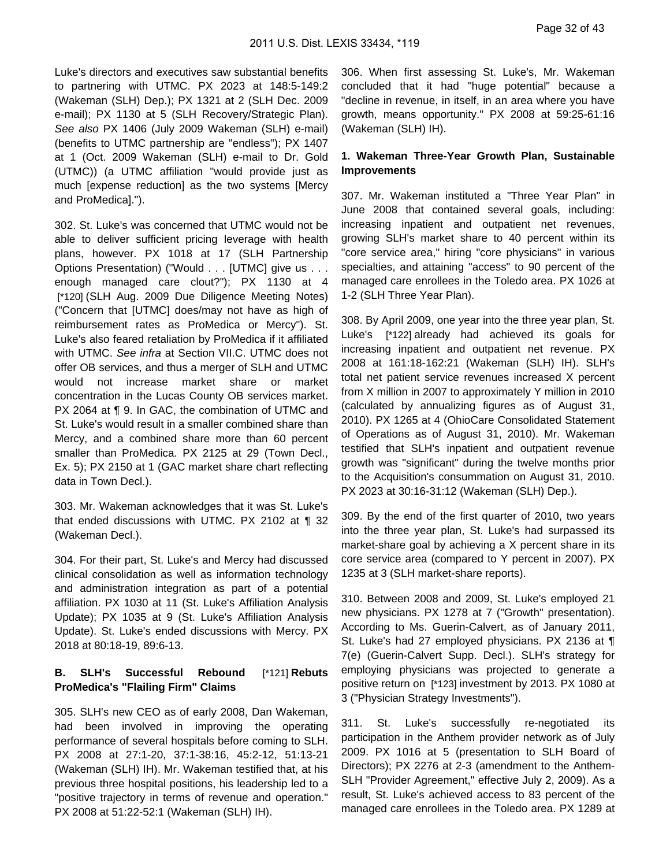Luke's directors and executives saw substantial benefits to partnering with UTMC. PX 2023 at 148:5-149:2 (Wakeman (SLH) Dep.); PX 1321 at 2 (SLH Dec. 2009 e-mail); PX 1130 at 5 (SLH Recovery/Strategic Plan). See also PX 1406 (July 2009 Wakeman (SLH) e-mail) (benefits to UTMC partnership are "endless"); PX 1407 at 1 (Oct. 2009 Wakeman (SLH) e-mail to Dr. Gold (UTMC)) (a UTMC affiliation "would provide just as much [expense reduction] as the two systems [Mercy and ProMedica].").

302. St. Luke's was concerned that UTMC would not be able to deliver sufficient pricing leverage with health plans, however. PX 1018 at 17 (SLH Partnership Options Presentation) ("Would . . . [UTMC] give us . . . enough managed care clout?"); PX 1130 at 4 [\*120] (SLH Aug. 2009 Due Diligence Meeting Notes) ("Concern that [UTMC] does/may not have as high of reimbursement rates as ProMedica or Mercy"). St. Luke's also feared retaliation by ProMedica if it affiliated with UTMC. See infra at Section VII.C. UTMC does not offer OB services, and thus a merger of SLH and UTMC would not increase market share or market concentration in the Lucas County OB services market. PX 2064 at ¶ 9. In GAC, the combination of UTMC and St. Luke's would result in a smaller combined share than Mercy, and a combined share more than 60 percent smaller than ProMedica. PX 2125 at 29 (Town Decl., Ex. 5); PX 2150 at 1 (GAC market share chart reflecting data in Town Decl.).

303. Mr. Wakeman acknowledges that it was St. Luke's that ended discussions with UTMC. PX 2102 at ¶ 32 (Wakeman Decl.).

304. For their part, St. Luke's and Mercy had discussed clinical consolidation as well as information technology and administration integration as part of a potential affiliation. PX 1030 at 11 (St. Luke's Affiliation Analysis Update); PX 1035 at 9 (St. Luke's Affiliation Analysis Update). St. Luke's ended discussions with Mercy. PX 2018 at 80:18-19, 89:6-13.

### **B. SLH's Successful Rebound** [\*121] **Rebuts ProMedica's "Flailing Firm" Claims**

305. SLH's new CEO as of early 2008, Dan Wakeman, had been involved in improving the operating performance of several hospitals before coming to SLH. PX 2008 at 27:1-20, 37:1-38:16, 45:2-12, 51:13-21 (Wakeman (SLH) IH). Mr. Wakeman testified that, at his previous three hospital positions, his leadership led to a "positive trajectory in terms of revenue and operation." PX 2008 at 51:22-52:1 (Wakeman (SLH) IH).

306. When first assessing St. Luke's, Mr. Wakeman concluded that it had "huge potential" because a "decline in revenue, in itself, in an area where you have growth, means opportunity." PX 2008 at 59:25-61:16 (Wakeman (SLH) IH).

### **1. Wakeman Three-Year Growth Plan, Sustainable Improvements**

307. Mr. Wakeman instituted a "Three Year Plan" in June 2008 that contained several goals, including: increasing inpatient and outpatient net revenues, growing SLH's market share to 40 percent within its "core service area," hiring "core physicians" in various specialties, and attaining "access" to 90 percent of the managed care enrollees in the Toledo area. PX 1026 at 1-2 (SLH Three Year Plan).

308. By April 2009, one year into the three year plan, St. Luke's [\*122] already had achieved its goals for increasing inpatient and outpatient net revenue. PX 2008 at 161:18-162:21 (Wakeman (SLH) IH). SLH's total net patient service revenues increased X percent from X million in 2007 to approximately Y million in 2010 (calculated by annualizing figures as of August 31, 2010). PX 1265 at 4 (OhioCare Consolidated Statement of Operations as of August 31, 2010). Mr. Wakeman testified that SLH's inpatient and outpatient revenue growth was "significant" during the twelve months prior to the Acquisition's consummation on August 31, 2010. PX 2023 at 30:16-31:12 (Wakeman (SLH) Dep.).

309. By the end of the first quarter of 2010, two years into the three year plan, St. Luke's had surpassed its market-share goal by achieving a X percent share in its core service area (compared to Y percent in 2007). PX 1235 at 3 (SLH market-share reports).

310. Between 2008 and 2009, St. Luke's employed 21 new physicians. PX 1278 at 7 ("Growth" presentation). According to Ms. Guerin-Calvert, as of January 2011, St. Luke's had 27 employed physicians. PX 2136 at ¶ 7(e) (Guerin-Calvert Supp. Decl.). SLH's strategy for employing physicians was projected to generate a positive return on [\*123] investment by 2013. PX 1080 at 3 ("Physician Strategy Investments").

311. St. Luke's successfully re-negotiated its participation in the Anthem provider network as of July 2009. PX 1016 at 5 (presentation to SLH Board of Directors); PX 2276 at 2-3 (amendment to the Anthem-SLH "Provider Agreement," effective July 2, 2009). As a result, St. Luke's achieved access to 83 percent of the managed care enrollees in the Toledo area. PX 1289 at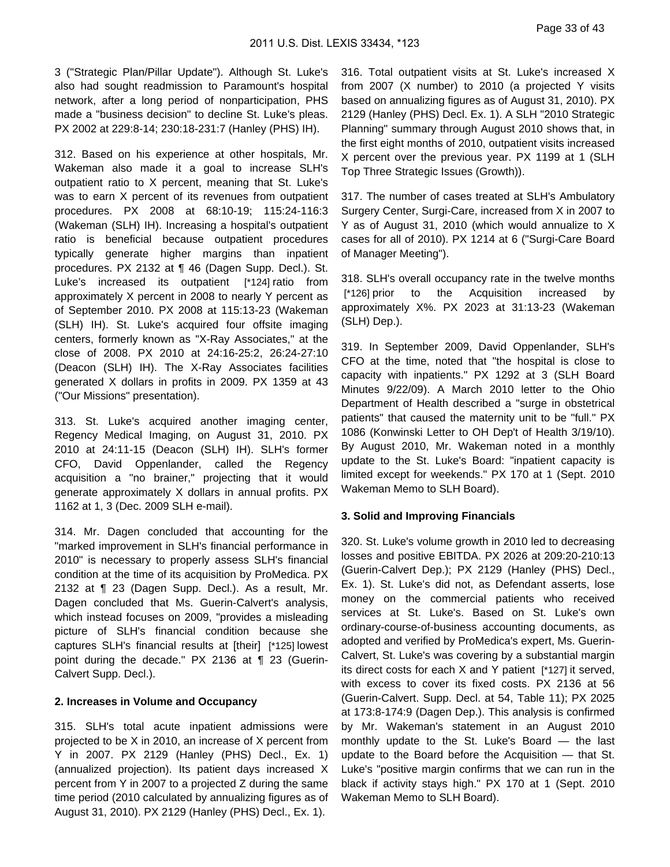3 ("Strategic Plan/Pillar Update"). Although St. Luke's also had sought readmission to Paramount's hospital network, after a long period of nonparticipation, PHS made a "business decision" to decline St. Luke's pleas. PX 2002 at 229:8-14; 230:18-231:7 (Hanley (PHS) IH).

312. Based on his experience at other hospitals, Mr. Wakeman also made it a goal to increase SLH's outpatient ratio to X percent, meaning that St. Luke's was to earn X percent of its revenues from outpatient procedures. PX 2008 at 68:10-19; 115:24-116:3 (Wakeman (SLH) IH). Increasing a hospital's outpatient ratio is beneficial because outpatient procedures typically generate higher margins than inpatient procedures. PX 2132 at ¶ 46 (Dagen Supp. Decl.). St. Luke's increased its outpatient [\*124] ratio from approximately X percent in 2008 to nearly Y percent as of September 2010. PX 2008 at 115:13-23 (Wakeman (SLH) IH). St. Luke's acquired four offsite imaging centers, formerly known as "X-Ray Associates," at the close of 2008. PX 2010 at 24:16-25:2, 26:24-27:10 (Deacon (SLH) IH). The X-Ray Associates facilities generated X dollars in profits in 2009. PX 1359 at 43 ("Our Missions" presentation).

313. St. Luke's acquired another imaging center, Regency Medical Imaging, on August 31, 2010. PX 2010 at 24:11-15 (Deacon (SLH) IH). SLH's former CFO, David Oppenlander, called the Regency acquisition a "no brainer," projecting that it would generate approximately X dollars in annual profits. PX 1162 at 1, 3 (Dec. 2009 SLH e-mail).

314. Mr. Dagen concluded that accounting for the "marked improvement in SLH's financial performance in 2010" is necessary to properly assess SLH's financial condition at the time of its acquisition by ProMedica. PX 2132 at ¶ 23 (Dagen Supp. Decl.). As a result, Mr. Dagen concluded that Ms. Guerin-Calvert's analysis, which instead focuses on 2009, "provides a misleading picture of SLH's financial condition because she captures SLH's financial results at [their] [\*125] lowest point during the decade." PX 2136 at ¶ 23 (Guerin-Calvert Supp. Decl.).

#### **2. Increases in Volume and Occupancy**

315. SLH's total acute inpatient admissions were projected to be X in 2010, an increase of X percent from Y in 2007. PX 2129 (Hanley (PHS) Decl., Ex. 1) (annualized projection). Its patient days increased X percent from Y in 2007 to a projected Z during the same time period (2010 calculated by annualizing figures as of August 31, 2010). PX 2129 (Hanley (PHS) Decl., Ex. 1).

316. Total outpatient visits at St. Luke's increased X from 2007 (X number) to 2010 (a projected Y visits based on annualizing figures as of August 31, 2010). PX 2129 (Hanley (PHS) Decl. Ex. 1). A SLH "2010 Strategic Planning" summary through August 2010 shows that, in the first eight months of 2010, outpatient visits increased X percent over the previous year. PX 1199 at 1 (SLH Top Three Strategic Issues (Growth)).

317. The number of cases treated at SLH's Ambulatory Surgery Center, Surgi-Care, increased from X in 2007 to Y as of August 31, 2010 (which would annualize to X cases for all of 2010). PX 1214 at 6 ("Surgi-Care Board of Manager Meeting").

318. SLH's overall occupancy rate in the twelve months [\*126] prior to the Acquisition increased by approximately X%. PX 2023 at 31:13-23 (Wakeman (SLH) Dep.).

319. In September 2009, David Oppenlander, SLH's CFO at the time, noted that "the hospital is close to capacity with inpatients." PX 1292 at 3 (SLH Board Minutes 9/22/09). A March 2010 letter to the Ohio Department of Health described a "surge in obstetrical patients" that caused the maternity unit to be "full." PX 1086 (Konwinski Letter to OH Dep't of Health 3/19/10). By August 2010, Mr. Wakeman noted in a monthly update to the St. Luke's Board: "inpatient capacity is limited except for weekends." PX 170 at 1 (Sept. 2010 Wakeman Memo to SLH Board).

#### **3. Solid and Improving Financials**

320. St. Luke's volume growth in 2010 led to decreasing losses and positive EBITDA. PX 2026 at 209:20-210:13 (Guerin-Calvert Dep.); PX 2129 (Hanley (PHS) Decl., Ex. 1). St. Luke's did not, as Defendant asserts, lose money on the commercial patients who received services at St. Luke's. Based on St. Luke's own ordinary-course-of-business accounting documents, as adopted and verified by ProMedica's expert, Ms. Guerin-Calvert, St. Luke's was covering by a substantial margin its direct costs for each X and Y patient [\*127] it served, with excess to cover its fixed costs. PX 2136 at 56 (Guerin-Calvert. Supp. Decl. at 54, Table 11); PX 2025 at 173:8-174:9 (Dagen Dep.). This analysis is confirmed by Mr. Wakeman's statement in an August 2010 monthly update to the St. Luke's Board — the last update to the Board before the Acquisition — that St. Luke's "positive margin confirms that we can run in the black if activity stays high." PX 170 at 1 (Sept. 2010 Wakeman Memo to SLH Board).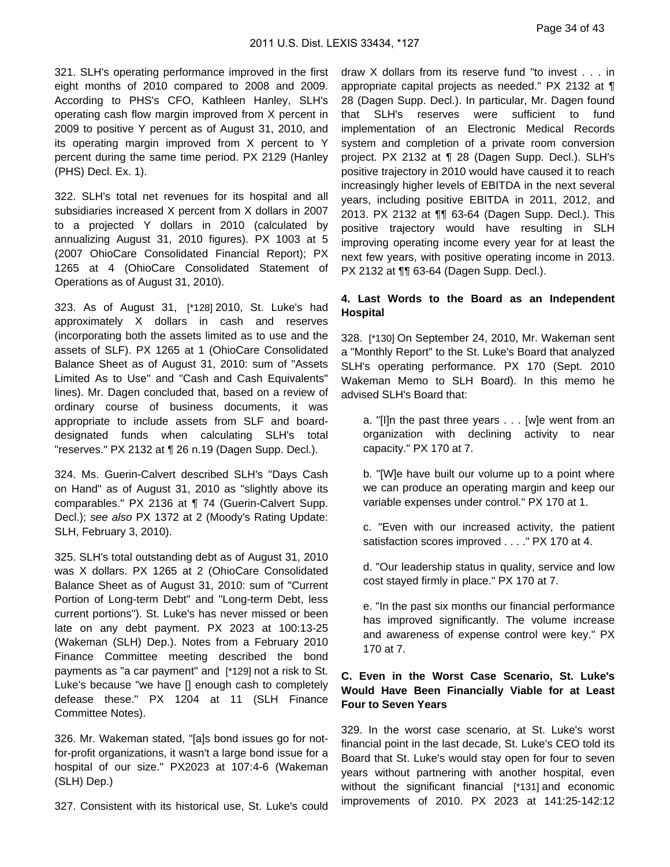Page 34 of 43

321. SLH's operating performance improved in the first eight months of 2010 compared to 2008 and 2009. According to PHS's CFO, Kathleen Hanley, SLH's operating cash flow margin improved from X percent in 2009 to positive Y percent as of August 31, 2010, and its operating margin improved from X percent to Y percent during the same time period. PX 2129 (Hanley (PHS) Decl. Ex. 1).

322. SLH's total net revenues for its hospital and all subsidiaries increased X percent from X dollars in 2007 to a projected Y dollars in 2010 (calculated by annualizing August 31, 2010 figures). PX 1003 at 5 (2007 OhioCare Consolidated Financial Report); PX 1265 at 4 (OhioCare Consolidated Statement of Operations as of August 31, 2010).

323. As of August 31, [\*128] 2010, St. Luke's had approximately X dollars in cash and reserves (incorporating both the assets limited as to use and the assets of SLF). PX 1265 at 1 (OhioCare Consolidated Balance Sheet as of August 31, 2010: sum of "Assets Limited As to Use" and "Cash and Cash Equivalents" lines). Mr. Dagen concluded that, based on a review of ordinary course of business documents, it was appropriate to include assets from SLF and boarddesignated funds when calculating SLH's total "reserves." PX 2132 at ¶ 26 n.19 (Dagen Supp. Decl.).

324. Ms. Guerin-Calvert described SLH's "Days Cash on Hand" as of August 31, 2010 as "slightly above its comparables." PX 2136 at ¶ 74 (Guerin-Calvert Supp. Decl.); see also PX 1372 at 2 (Moody's Rating Update: SLH, February 3, 2010).

325. SLH's total outstanding debt as of August 31, 2010 was X dollars. PX 1265 at 2 (OhioCare Consolidated Balance Sheet as of August 31, 2010: sum of "Current Portion of Long-term Debt" and "Long-term Debt, less current portions"). St. Luke's has never missed or been late on any debt payment. PX 2023 at 100:13-25 (Wakeman (SLH) Dep.). Notes from a February 2010 Finance Committee meeting described the bond payments as "a car payment" and [\*129] not a risk to St. Luke's because "we have [] enough cash to completely defease these." PX 1204 at 11 (SLH Finance Committee Notes).

326. Mr. Wakeman stated, "[a]s bond issues go for notfor-profit organizations, it wasn't a large bond issue for a hospital of our size." PX2023 at 107:4-6 (Wakeman (SLH) Dep.)

327. Consistent with its historical use, St. Luke's could

draw X dollars from its reserve fund "to invest . . . in appropriate capital projects as needed." PX 2132 at ¶ 28 (Dagen Supp. Decl.). In particular, Mr. Dagen found that SLH's reserves were sufficient to fund implementation of an Electronic Medical Records system and completion of a private room conversion project. PX 2132 at ¶ 28 (Dagen Supp. Decl.). SLH's positive trajectory in 2010 would have caused it to reach increasingly higher levels of EBITDA in the next several years, including positive EBITDA in 2011, 2012, and 2013. PX 2132 at ¶¶ 63-64 (Dagen Supp. Decl.). This positive trajectory would have resulting in SLH improving operating income every year for at least the next few years, with positive operating income in 2013. PX 2132 at ¶¶ 63-64 (Dagen Supp. Decl.).

## **4. Last Words to the Board as an Independent Hospital**

328. [\*130] On September 24, 2010, Mr. Wakeman sent a "Monthly Report" to the St. Luke's Board that analyzed SLH's operating performance. PX 170 (Sept. 2010 Wakeman Memo to SLH Board). In this memo he advised SLH's Board that:

- a. "[I]n the past three years . . . [w]e went from an organization with declining activity to near capacity." PX 170 at 7.
- b. "[W]e have built our volume up to a point where we can produce an operating margin and keep our variable expenses under control." PX 170 at 1.
- c. "Even with our increased activity, the patient satisfaction scores improved . . . . " PX 170 at 4.
- d. "Our leadership status in quality, service and low cost stayed firmly in place." PX 170 at 7.
- e. "In the past six months our financial performance has improved significantly. The volume increase and awareness of expense control were key." PX 170 at 7.

## **C. Even in the Worst Case Scenario, St. Luke's Would Have Been Financially Viable for at Least Four to Seven Years**

329. In the worst case scenario, at St. Luke's worst financial point in the last decade, St. Luke's CEO told its Board that St. Luke's would stay open for four to seven years without partnering with another hospital, even without the significant financial [\*131] and economic improvements of 2010. PX 2023 at 141:25-142:12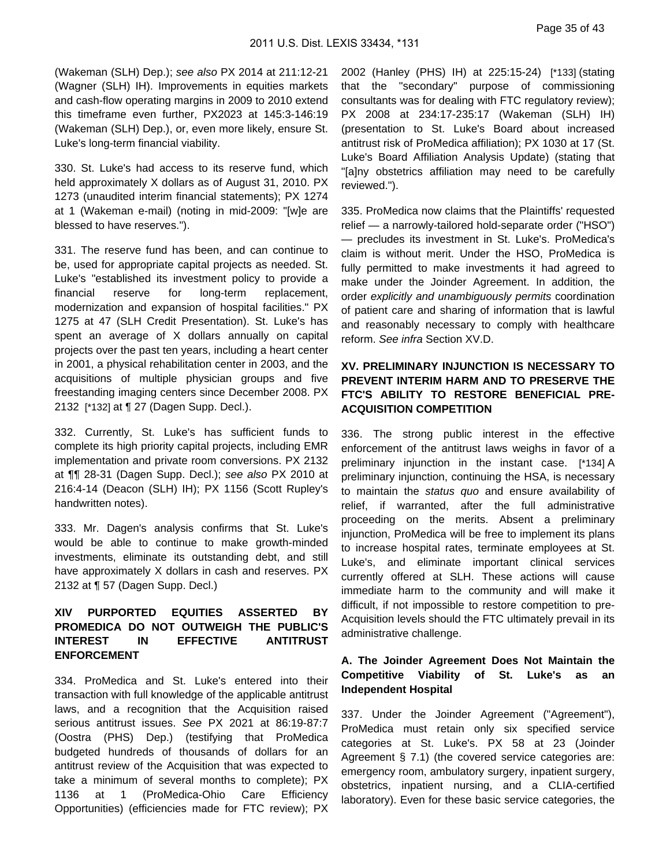(Wakeman (SLH) Dep.); see also PX 2014 at 211:12-21 (Wagner (SLH) IH). Improvements in equities markets and cash-flow operating margins in 2009 to 2010 extend this timeframe even further, PX2023 at 145:3-146:19 (Wakeman (SLH) Dep.), or, even more likely, ensure St. Luke's long-term financial viability.

330. St. Luke's had access to its reserve fund, which held approximately X dollars as of August 31, 2010. PX 1273 (unaudited interim financial statements); PX 1274 at 1 (Wakeman e-mail) (noting in mid-2009: "[w]e are blessed to have reserves.").

331. The reserve fund has been, and can continue to be, used for appropriate capital projects as needed. St. Luke's "established its investment policy to provide a financial reserve for long-term replacement, modernization and expansion of hospital facilities." PX 1275 at 47 (SLH Credit Presentation). St. Luke's has spent an average of X dollars annually on capital projects over the past ten years, including a heart center in 2001, a physical rehabilitation center in 2003, and the acquisitions of multiple physician groups and five freestanding imaging centers since December 2008. PX 2132 [\*132] at ¶ 27 (Dagen Supp. Decl.).

332. Currently, St. Luke's has sufficient funds to complete its high priority capital projects, including EMR implementation and private room conversions. PX 2132 at ¶¶ 28-31 (Dagen Supp. Decl.); see also PX 2010 at 216:4-14 (Deacon (SLH) IH); PX 1156 (Scott Rupley's handwritten notes).

333. Mr. Dagen's analysis confirms that St. Luke's would be able to continue to make growth-minded investments, eliminate its outstanding debt, and still have approximately X dollars in cash and reserves. PX 2132 at ¶ 57 (Dagen Supp. Decl.)

## **XIV PURPORTED EQUITIES ASSERTED BY PROMEDICA DO NOT OUTWEIGH THE PUBLIC'S INTEREST IN EFFECTIVE ANTITRUST ENFORCEMENT**

334. ProMedica and St. Luke's entered into their transaction with full knowledge of the applicable antitrust laws, and a recognition that the Acquisition raised serious antitrust issues. See PX 2021 at 86:19-87:7 (Oostra (PHS) Dep.) (testifying that ProMedica budgeted hundreds of thousands of dollars for an antitrust review of the Acquisition that was expected to take a minimum of several months to complete); PX 1136 at 1 (ProMedica-Ohio Care Efficiency Opportunities) (efficiencies made for FTC review); PX

2002 (Hanley (PHS) IH) at 225:15-24) [\*133] (stating that the "secondary" purpose of commissioning consultants was for dealing with FTC regulatory review); PX 2008 at 234:17-235:17 (Wakeman (SLH) IH) (presentation to St. Luke's Board about increased antitrust risk of ProMedica affiliation); PX 1030 at 17 (St. Luke's Board Affiliation Analysis Update) (stating that "[a]ny obstetrics affiliation may need to be carefully reviewed.").

335. ProMedica now claims that the Plaintiffs' requested relief — a narrowly-tailored hold-separate order ("HSO") — precludes its investment in St. Luke's. ProMedica's claim is without merit. Under the HSO, ProMedica is fully permitted to make investments it had agreed to make under the Joinder Agreement. In addition, the order explicitly and unambiguously permits coordination of patient care and sharing of information that is lawful and reasonably necessary to comply with healthcare reform. See infra Section XV.D.

### **XV. PRELIMINARY INJUNCTION IS NECESSARY TO PREVENT INTERIM HARM AND TO PRESERVE THE FTC'S ABILITY TO RESTORE BENEFICIAL PRE-ACQUISITION COMPETITION**

336. The strong public interest in the effective enforcement of the antitrust laws weighs in favor of a preliminary injunction in the instant case. [\*134] A preliminary injunction, continuing the HSA, is necessary to maintain the status quo and ensure availability of relief, if warranted, after the full administrative proceeding on the merits. Absent a preliminary injunction, ProMedica will be free to implement its plans to increase hospital rates, terminate employees at St. Luke's, and eliminate important clinical services currently offered at SLH. These actions will cause immediate harm to the community and will make it difficult, if not impossible to restore competition to pre-Acquisition levels should the FTC ultimately prevail in its administrative challenge.

### **A. The Joinder Agreement Does Not Maintain the Competitive Viability of St. Luke's as an Independent Hospital**

337. Under the Joinder Agreement ("Agreement"), ProMedica must retain only six specified service categories at St. Luke's. PX 58 at 23 (Joinder Agreement § 7.1) (the covered service categories are: emergency room, ambulatory surgery, inpatient surgery, obstetrics, inpatient nursing, and a CLIA-certified laboratory). Even for these basic service categories, the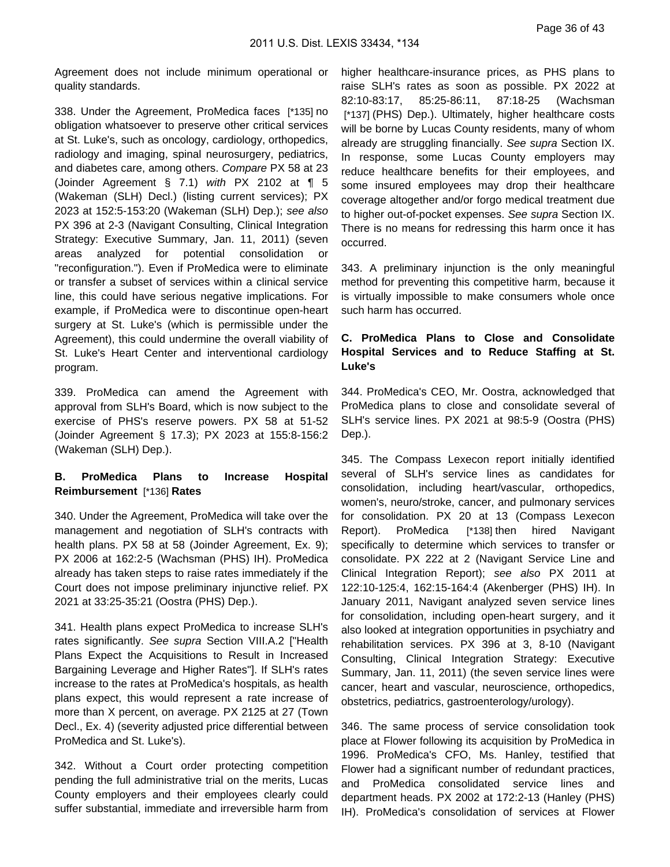Agreement does not include minimum operational or quality standards.

338. Under the Agreement, ProMedica faces [\*135] no obligation whatsoever to preserve other critical services at St. Luke's, such as oncology, cardiology, orthopedics, radiology and imaging, spinal neurosurgery, pediatrics, and diabetes care, among others. Compare PX 58 at 23 (Joinder Agreement § 7.1) with PX 2102 at ¶ 5 (Wakeman (SLH) Decl.) (listing current services); PX 2023 at 152:5-153:20 (Wakeman (SLH) Dep.); see also PX 396 at 2-3 (Navigant Consulting, Clinical Integration Strategy: Executive Summary, Jan. 11, 2011) (seven areas analyzed for potential consolidation or "reconfiguration."). Even if ProMedica were to eliminate or transfer a subset of services within a clinical service line, this could have serious negative implications. For example, if ProMedica were to discontinue open-heart surgery at St. Luke's (which is permissible under the Agreement), this could undermine the overall viability of St. Luke's Heart Center and interventional cardiology program.

339. ProMedica can amend the Agreement with approval from SLH's Board, which is now subject to the exercise of PHS's reserve powers. PX 58 at 51-52 (Joinder Agreement § 17.3); PX 2023 at 155:8-156:2 (Wakeman (SLH) Dep.).

### **B. ProMedica Plans to Increase Hospital Reimbursement** [\*136] **Rates**

340. Under the Agreement, ProMedica will take over the management and negotiation of SLH's contracts with health plans. PX 58 at 58 (Joinder Agreement, Ex. 9); PX 2006 at 162:2-5 (Wachsman (PHS) IH). ProMedica already has taken steps to raise rates immediately if the Court does not impose preliminary injunctive relief. PX 2021 at 33:25-35:21 (Oostra (PHS) Dep.).

341. Health plans expect ProMedica to increase SLH's rates significantly. See supra Section VIII.A.2 ["Health Plans Expect the Acquisitions to Result in Increased Bargaining Leverage and Higher Rates"]. If SLH's rates increase to the rates at ProMedica's hospitals, as health plans expect, this would represent a rate increase of more than X percent, on average. PX 2125 at 27 (Town Decl., Ex. 4) (severity adjusted price differential between ProMedica and St. Luke's).

342. Without a Court order protecting competition pending the full administrative trial on the merits, Lucas County employers and their employees clearly could suffer substantial, immediate and irreversible harm from higher healthcare-insurance prices, as PHS plans to raise SLH's rates as soon as possible. PX 2022 at 82:10-83:17, 85:25-86:11, 87:18-25 (Wachsman [\*137] (PHS) Dep.). Ultimately, higher healthcare costs will be borne by Lucas County residents, many of whom already are struggling financially. See supra Section IX. In response, some Lucas County employers may reduce healthcare benefits for their employees, and some insured employees may drop their healthcare coverage altogether and/or forgo medical treatment due to higher out-of-pocket expenses. See supra Section IX. There is no means for redressing this harm once it has occurred.

343. A preliminary injunction is the only meaningful method for preventing this competitive harm, because it is virtually impossible to make consumers whole once such harm has occurred.

### **C. ProMedica Plans to Close and Consolidate Hospital Services and to Reduce Staffing at St. Luke's**

344. ProMedica's CEO, Mr. Oostra, acknowledged that ProMedica plans to close and consolidate several of SLH's service lines. PX 2021 at 98:5-9 (Oostra (PHS) Dep.).

345. The Compass Lexecon report initially identified several of SLH's service lines as candidates for consolidation, including heart/vascular, orthopedics, women's, neuro/stroke, cancer, and pulmonary services for consolidation. PX 20 at 13 (Compass Lexecon Report). ProMedica [\*138] then hired Navigant specifically to determine which services to transfer or consolidate. PX 222 at 2 (Navigant Service Line and Clinical Integration Report); see also PX 2011 at 122:10-125:4, 162:15-164:4 (Akenberger (PHS) IH). In January 2011, Navigant analyzed seven service lines for consolidation, including open-heart surgery, and it also looked at integration opportunities in psychiatry and rehabilitation services. PX 396 at 3, 8-10 (Navigant Consulting, Clinical Integration Strategy: Executive Summary, Jan. 11, 2011) (the seven service lines were cancer, heart and vascular, neuroscience, orthopedics, obstetrics, pediatrics, gastroenterology/urology).

346. The same process of service consolidation took place at Flower following its acquisition by ProMedica in 1996. ProMedica's CFO, Ms. Hanley, testified that Flower had a significant number of redundant practices, and ProMedica consolidated service lines and department heads. PX 2002 at 172:2-13 (Hanley (PHS) IH). ProMedica's consolidation of services at Flower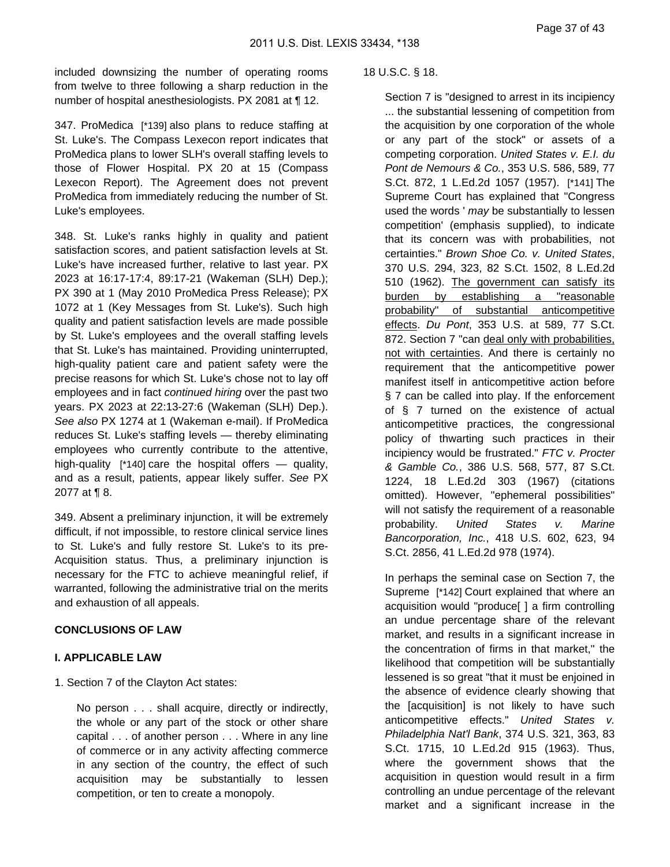included downsizing the number of operating rooms from twelve to three following a sharp reduction in the number of hospital anesthesiologists. PX 2081 at ¶ 12.

347. ProMedica [\*139] also plans to reduce staffing at St. Luke's. The Compass Lexecon report indicates that ProMedica plans to lower SLH's overall staffing levels to those of Flower Hospital. PX 20 at 15 (Compass Lexecon Report). The Agreement does not prevent ProMedica from immediately reducing the number of St. Luke's employees.

348. St. Luke's ranks highly in quality and patient satisfaction scores, and patient satisfaction levels at St. Luke's have increased further, relative to last year. PX 2023 at 16:17-17:4, 89:17-21 (Wakeman (SLH) Dep.); PX 390 at 1 (May 2010 ProMedica Press Release); PX 1072 at 1 (Key Messages from St. Luke's). Such high quality and patient satisfaction levels are made possible by St. Luke's employees and the overall staffing levels that St. Luke's has maintained. Providing uninterrupted, high-quality patient care and patient safety were the precise reasons for which St. Luke's chose not to lay off employees and in fact continued hiring over the past two years. PX 2023 at 22:13-27:6 (Wakeman (SLH) Dep.). See also PX 1274 at 1 (Wakeman e-mail). If ProMedica reduces St. Luke's staffing levels — thereby eliminating employees who currently contribute to the attentive, high-quality [\*140] care the hospital offers — quality, and as a result, patients, appear likely suffer. See PX 2077 at ¶ 8.

349. Absent a preliminary injunction, it will be extremely difficult, if not impossible, to restore clinical service lines to St. Luke's and fully restore St. Luke's to its pre-Acquisition status. Thus, a preliminary injunction is necessary for the FTC to achieve meaningful relief, if warranted, following the administrative trial on the merits and exhaustion of all appeals.

### **CONCLUSIONS OF LAW**

#### **I. APPLICABLE LAW**

1. Section 7 of the Clayton Act states:

No person . . . shall acquire, directly or indirectly, the whole or any part of the stock or other share capital . . . of another person . . . Where in any line of commerce or in any activity affecting commerce in any section of the country, the effect of such acquisition may be substantially to lessen competition, or ten to create a monopoly.

#### 18 U.S.C. § 18.

Section 7 is "designed to arrest in its incipiency ... the substantial lessening of competition from the acquisition by one corporation of the whole or any part of the stock" or assets of a competing corporation. United States v. E.I. du Pont de Nemours & Co., 353 U.S. 586, 589, 77 S.Ct. 872, 1 L.Ed.2d 1057 (1957). [\*141] The Supreme Court has explained that "Congress used the words ' may be substantially to lessen competition' (emphasis supplied), to indicate that its concern was with probabilities, not certainties." Brown Shoe Co. v. United States, 370 U.S. 294, 323, 82 S.Ct. 1502, 8 L.Ed.2d 510 (1962). The government can satisfy its burden by establishing a "reasonable probability" of substantial anticompetitive effects. Du Pont, 353 U.S. at 589, 77 S.Ct. 872. Section 7 "can deal only with probabilities, not with certainties. And there is certainly no requirement that the anticompetitive power manifest itself in anticompetitive action before § 7 can be called into play. If the enforcement of § 7 turned on the existence of actual anticompetitive practices, the congressional policy of thwarting such practices in their incipiency would be frustrated." FTC v. Procter & Gamble Co., 386 U.S. 568, 577, 87 S.Ct. 1224, 18 L.Ed.2d 303 (1967) (citations omitted). However, "ephemeral possibilities" will not satisfy the requirement of a reasonable probability. United States v. Marine Bancorporation, Inc., 418 U.S. 602, 623, 94 S.Ct. 2856, 41 L.Ed.2d 978 (1974).

In perhaps the seminal case on Section 7, the Supreme [\*142] Court explained that where an acquisition would "produce[ ] a firm controlling an undue percentage share of the relevant market, and results in a significant increase in the concentration of firms in that market," the likelihood that competition will be substantially lessened is so great "that it must be enjoined in the absence of evidence clearly showing that the [acquisition] is not likely to have such anticompetitive effects." United States v. Philadelphia Nat'l Bank, 374 U.S. 321, 363, 83 S.Ct. 1715, 10 L.Ed.2d 915 (1963). Thus, where the government shows that the acquisition in question would result in a firm controlling an undue percentage of the relevant market and a significant increase in the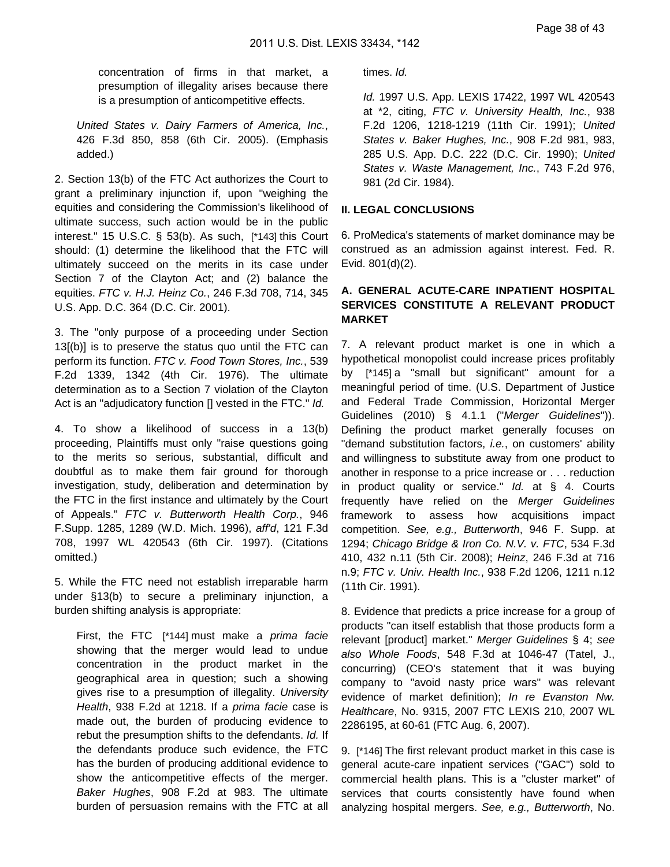concentration of firms in that market, a presumption of illegality arises because there is a presumption of anticompetitive effects.

United States v. Dairy Farmers of America, Inc., 426 F.3d 850, 858 (6th Cir. 2005). (Emphasis added.)

2. Section 13(b) of the FTC Act authorizes the Court to grant a preliminary injunction if, upon "weighing the equities and considering the Commission's likelihood of ultimate success, such action would be in the public interest." 15 U.S.C. § 53(b). As such, [\*143] this Court should: (1) determine the likelihood that the FTC will ultimately succeed on the merits in its case under Section 7 of the Clayton Act; and (2) balance the equities. FTC v. H.J. Heinz Co., 246 F.3d 708, 714, 345 U.S. App. D.C. 364 (D.C. Cir. 2001).

3. The "only purpose of a proceeding under Section 13[(b)] is to preserve the status quo until the FTC can perform its function. FTC v. Food Town Stores, Inc., 539 F.2d 1339, 1342 (4th Cir. 1976). The ultimate determination as to a Section 7 violation of the Clayton Act is an "adjudicatory function [] vested in the FTC." Id.

4. To show a likelihood of success in a 13(b) proceeding, Plaintiffs must only "raise questions going to the merits so serious, substantial, difficult and doubtful as to make them fair ground for thorough investigation, study, deliberation and determination by the FTC in the first instance and ultimately by the Court of Appeals." FTC v. Butterworth Health Corp., 946 F.Supp. 1285, 1289 (W.D. Mich. 1996), aff'd, 121 F.3d 708, 1997 WL 420543 (6th Cir. 1997). (Citations omitted.)

5. While the FTC need not establish irreparable harm under §13(b) to secure a preliminary injunction, a burden shifting analysis is appropriate:

First, the FTC [\*144] must make a *prima facie* showing that the merger would lead to undue concentration in the product market in the geographical area in question; such a showing gives rise to a presumption of illegality. University Health, 938 F.2d at 1218. If a prima facie case is made out, the burden of producing evidence to rebut the presumption shifts to the defendants. Id. If the defendants produce such evidence, the FTC has the burden of producing additional evidence to show the anticompetitive effects of the merger. Baker Hughes, 908 F.2d at 983. The ultimate burden of persuasion remains with the FTC at all times. Id.

Id. 1997 U.S. App. LEXIS 17422, 1997 WL 420543 at \*2, citing, FTC v. University Health, Inc., 938 F.2d 1206, 1218-1219 (11th Cir. 1991); United States v. Baker Hughes, Inc., 908 F.2d 981, 983, 285 U.S. App. D.C. 222 (D.C. Cir. 1990); United States v. Waste Management, Inc., 743 F.2d 976, 981 (2d Cir. 1984).

#### **II. LEGAL CONCLUSIONS**

6. ProMedica's statements of market dominance may be construed as an admission against interest. Fed. R. Evid. 801(d)(2).

### **A. GENERAL ACUTE-CARE INPATIENT HOSPITAL SERVICES CONSTITUTE A RELEVANT PRODUCT MARKET**

7. A relevant product market is one in which a hypothetical monopolist could increase prices profitably by [\*145] a "small but significant" amount for a meaningful period of time. (U.S. Department of Justice and Federal Trade Commission, Horizontal Merger Guidelines (2010) § 4.1.1 ("Merger Guidelines")). Defining the product market generally focuses on "demand substitution factors, *i.e.*, on customers' ability and willingness to substitute away from one product to another in response to a price increase or . . . reduction in product quality or service."  $Id.$  at  $§$  4. Courts frequently have relied on the Merger Guidelines framework to assess how acquisitions impact competition. See, e.g., Butterworth, 946 F. Supp. at 1294; Chicago Bridge & Iron Co. N.V. v. FTC, 534 F.3d 410, 432 n.11 (5th Cir. 2008); Heinz, 246 F.3d at 716 n.9; FTC v. Univ. Health Inc., 938 F.2d 1206, 1211 n.12 (11th Cir. 1991).

8. Evidence that predicts a price increase for a group of products "can itself establish that those products form a relevant [product] market." Merger Guidelines § 4; see also Whole Foods, 548 F.3d at 1046-47 (Tatel, J., concurring) (CEO's statement that it was buying company to "avoid nasty price wars" was relevant evidence of market definition); In re Evanston Nw. Healthcare, No. 9315, 2007 FTC LEXIS 210, 2007 WL 2286195, at 60-61 (FTC Aug. 6, 2007).

9. [\*146] The first relevant product market in this case is general acute-care inpatient services ("GAC") sold to commercial health plans. This is a "cluster market" of services that courts consistently have found when analyzing hospital mergers. See, e.g., Butterworth, No.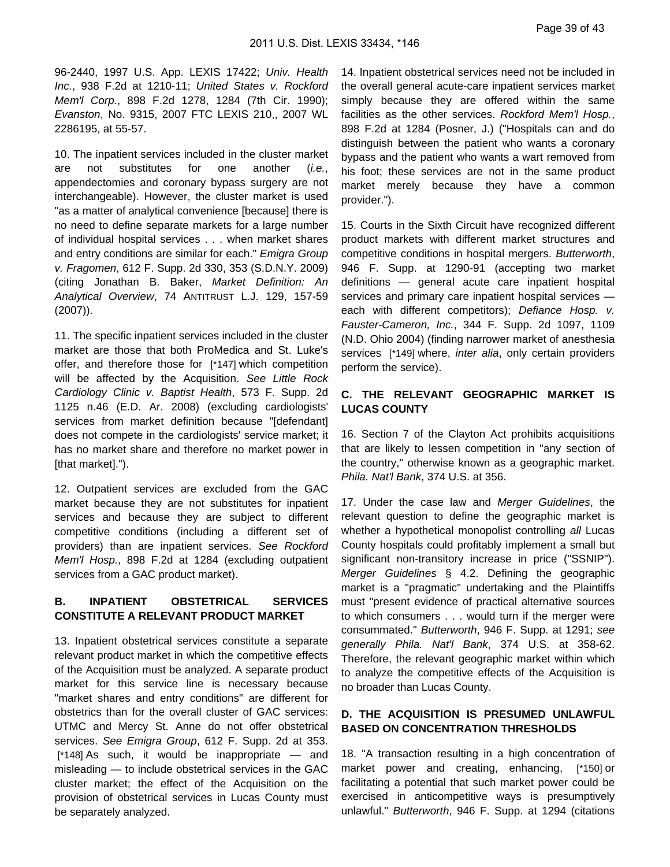96-2440, 1997 U.S. App. LEXIS 17422; Univ. Health Inc., 938 F.2d at 1210-11; United States v. Rockford Mem'l Corp., 898 F.2d 1278, 1284 (7th Cir. 1990); Evanston, No. 9315, 2007 FTC LEXIS 210,, 2007 WL 2286195, at 55-57.

10. The inpatient services included in the cluster market are not substitutes for one another (i.e., appendectomies and coronary bypass surgery are not interchangeable). However, the cluster market is used "as a matter of analytical convenience [because] there is no need to define separate markets for a large number of individual hospital services . . . when market shares and entry conditions are similar for each." Emigra Group v. Fragomen, 612 F. Supp. 2d 330, 353 (S.D.N.Y. 2009) (citing Jonathan B. Baker, Market Definition: An Analytical Overview, 74 ANTITRUST L.J. 129, 157-59 (2007)).

11. The specific inpatient services included in the cluster market are those that both ProMedica and St. Luke's offer, and therefore those for [\*147] which competition will be affected by the Acquisition. See Little Rock Cardiology Clinic v. Baptist Health, 573 F. Supp. 2d 1125 n.46 (E.D. Ar. 2008) (excluding cardiologists' services from market definition because "[defendant] does not compete in the cardiologists' service market; it has no market share and therefore no market power in [that market].").

12. Outpatient services are excluded from the GAC market because they are not substitutes for inpatient services and because they are subject to different competitive conditions (including a different set of providers) than are inpatient services. See Rockford Mem'l Hosp., 898 F.2d at 1284 (excluding outpatient services from a GAC product market).

#### **B. INPATIENT OBSTETRICAL SERVICES CONSTITUTE A RELEVANT PRODUCT MARKET**

13. Inpatient obstetrical services constitute a separate relevant product market in which the competitive effects of the Acquisition must be analyzed. A separate product market for this service line is necessary because "market shares and entry conditions" are different for obstetrics than for the overall cluster of GAC services: UTMC and Mercy St. Anne do not offer obstetrical services. See Emigra Group, 612 F. Supp. 2d at 353. [\*148] As such, it would be inappropriate — and misleading — to include obstetrical services in the GAC cluster market; the effect of the Acquisition on the provision of obstetrical services in Lucas County must be separately analyzed.

14. Inpatient obstetrical services need not be included in the overall general acute-care inpatient services market simply because they are offered within the same facilities as the other services. Rockford Mem'l Hosp., 898 F.2d at 1284 (Posner, J.) ("Hospitals can and do distinguish between the patient who wants a coronary bypass and the patient who wants a wart removed from his foot; these services are not in the same product market merely because they have a common provider.").

15. Courts in the Sixth Circuit have recognized different product markets with different market structures and competitive conditions in hospital mergers. Butterworth, 946 F. Supp. at 1290-91 (accepting two market definitions — general acute care inpatient hospital services and primary care inpatient hospital services each with different competitors); Defiance Hosp. v. Fauster-Cameron, Inc., 344 F. Supp. 2d 1097, 1109 (N.D. Ohio 2004) (finding narrower market of anesthesia services [\*149] where, *inter alia*, only certain providers perform the service).

#### **C. THE RELEVANT GEOGRAPHIC MARKET IS LUCAS COUNTY**

16. Section 7 of the Clayton Act prohibits acquisitions that are likely to lessen competition in "any section of the country," otherwise known as a geographic market. Phila. Nat'l Bank, 374 U.S. at 356.

17. Under the case law and Merger Guidelines, the relevant question to define the geographic market is whether a hypothetical monopolist controlling all Lucas County hospitals could profitably implement a small but significant non-transitory increase in price ("SSNIP"). Merger Guidelines § 4.2. Defining the geographic market is a "pragmatic" undertaking and the Plaintiffs must "present evidence of practical alternative sources to which consumers . . . would turn if the merger were consummated." Butterworth, 946 F. Supp. at 1291; see generally Phila. Nat'l Bank, 374 U.S. at 358-62. Therefore, the relevant geographic market within which to analyze the competitive effects of the Acquisition is no broader than Lucas County.

### **D. THE ACQUISITION IS PRESUMED UNLAWFUL BASED ON CONCENTRATION THRESHOLDS**

18. "A transaction resulting in a high concentration of market power and creating, enhancing, [\*150] or facilitating a potential that such market power could be exercised in anticompetitive ways is presumptively unlawful." Butterworth, 946 F. Supp. at 1294 (citations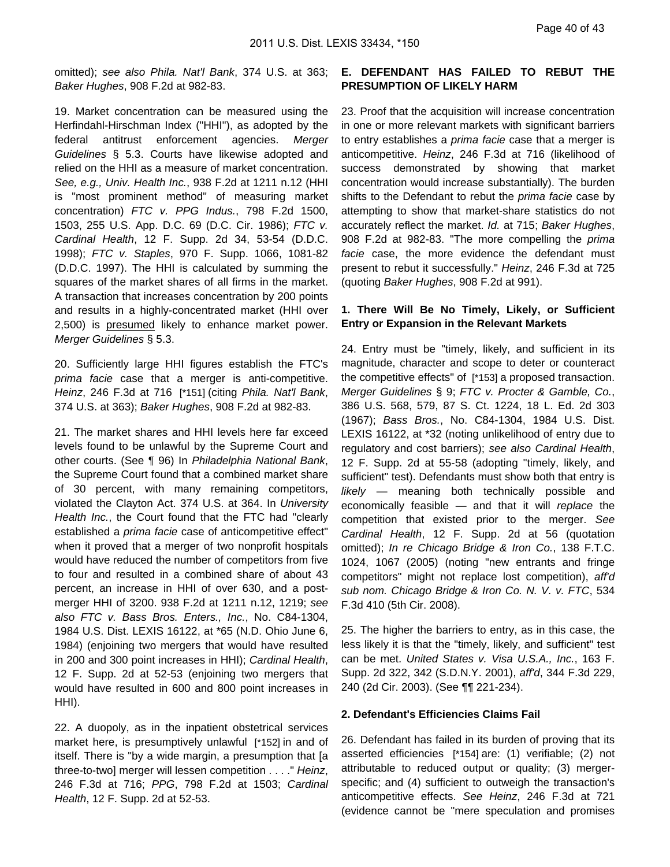omitted); see also Phila. Nat'l Bank, 374 U.S. at 363; Baker Hughes, 908 F.2d at 982-83.

19. Market concentration can be measured using the Herfindahl-Hirschman Index ("HHI"), as adopted by the federal antitrust enforcement agencies. Merger Guidelines § 5.3. Courts have likewise adopted and relied on the HHI as a measure of market concentration. See, e.g., Univ. Health Inc., 938 F.2d at 1211 n.12 (HHI is "most prominent method" of measuring market concentration) FTC v. PPG Indus., 798 F.2d 1500, 1503, 255 U.S. App. D.C. 69 (D.C. Cir. 1986); FTC v. Cardinal Health, 12 F. Supp. 2d 34, 53-54 (D.D.C. 1998); FTC v. Staples, 970 F. Supp. 1066, 1081-82 (D.D.C. 1997). The HHI is calculated by summing the squares of the market shares of all firms in the market. A transaction that increases concentration by 200 points and results in a highly-concentrated market (HHI over 2,500) is presumed likely to enhance market power. Merger Guidelines § 5.3.

20. Sufficiently large HHI figures establish the FTC's prima facie case that a merger is anti-competitive. Heinz, 246 F.3d at 716 [\*151] (citing Phila. Nat'l Bank, 374 U.S. at 363); Baker Hughes, 908 F.2d at 982-83.

21. The market shares and HHI levels here far exceed levels found to be unlawful by the Supreme Court and other courts. (See ¶ 96) In Philadelphia National Bank, the Supreme Court found that a combined market share of 30 percent, with many remaining competitors, violated the Clayton Act. 374 U.S. at 364. In University Health Inc., the Court found that the FTC had "clearly established a prima facie case of anticompetitive effect" when it proved that a merger of two nonprofit hospitals would have reduced the number of competitors from five to four and resulted in a combined share of about 43 percent, an increase in HHI of over 630, and a postmerger HHI of 3200. 938 F.2d at 1211 n.12, 1219; see also FTC v. Bass Bros. Enters., Inc., No. C84-1304, 1984 U.S. Dist. LEXIS 16122, at \*65 (N.D. Ohio June 6, 1984) (enjoining two mergers that would have resulted in 200 and 300 point increases in HHI); Cardinal Health, 12 F. Supp. 2d at 52-53 (enjoining two mergers that would have resulted in 600 and 800 point increases in HHI).

22. A duopoly, as in the inpatient obstetrical services market here, is presumptively unlawful [\*152] in and of itself. There is "by a wide margin, a presumption that [a three-to-two] merger will lessen competition . . . ." Heinz, 246 F.3d at 716; PPG, 798 F.2d at 1503; Cardinal Health, 12 F. Supp. 2d at 52-53.

### **E. DEFENDANT HAS FAILED TO REBUT THE PRESUMPTION OF LIKELY HARM**

23. Proof that the acquisition will increase concentration in one or more relevant markets with significant barriers to entry establishes a prima facie case that a merger is anticompetitive. Heinz, 246 F.3d at 716 (likelihood of success demonstrated by showing that market concentration would increase substantially). The burden shifts to the Defendant to rebut the *prima facie* case by attempting to show that market-share statistics do not accurately reflect the market. Id. at 715; Baker Hughes, 908 F.2d at 982-83. "The more compelling the *prima* facie case, the more evidence the defendant must present to rebut it successfully." Heinz, 246 F.3d at 725 (quoting Baker Hughes, 908 F.2d at 991).

#### **1. There Will Be No Timely, Likely, or Sufficient Entry or Expansion in the Relevant Markets**

24. Entry must be "timely, likely, and sufficient in its magnitude, character and scope to deter or counteract the competitive effects" of [\*153] a proposed transaction. Merger Guidelines § 9; FTC v. Procter & Gamble, Co., 386 U.S. 568, 579, 87 S. Ct. 1224, 18 L. Ed. 2d 303 (1967); Bass Bros., No. C84-1304, 1984 U.S. Dist. LEXIS 16122, at \*32 (noting unlikelihood of entry due to regulatory and cost barriers); see also Cardinal Health, 12 F. Supp. 2d at 55-58 (adopting "timely, likely, and sufficient" test). Defendants must show both that entry is likely — meaning both technically possible and economically feasible — and that it will replace the competition that existed prior to the merger. See Cardinal Health, 12 F. Supp. 2d at 56 (quotation omitted); In re Chicago Bridge & Iron Co., 138 F.T.C. 1024, 1067 (2005) (noting "new entrants and fringe competitors" might not replace lost competition), aff'd sub nom. Chicago Bridge & Iron Co. N. V. v. FTC, 534 F.3d 410 (5th Cir. 2008).

25. The higher the barriers to entry, as in this case, the less likely it is that the "timely, likely, and sufficient" test can be met. United States v. Visa U.S.A., Inc., 163 F. Supp. 2d 322, 342 (S.D.N.Y. 2001), aff'd, 344 F.3d 229, 240 (2d Cir. 2003). (See ¶¶ 221-234).

#### **2. Defendant's Efficiencies Claims Fail**

26. Defendant has failed in its burden of proving that its asserted efficiencies [\*154] are: (1) verifiable; (2) not attributable to reduced output or quality; (3) mergerspecific; and (4) sufficient to outweigh the transaction's anticompetitive effects. See Heinz, 246 F.3d at 721 (evidence cannot be "mere speculation and promises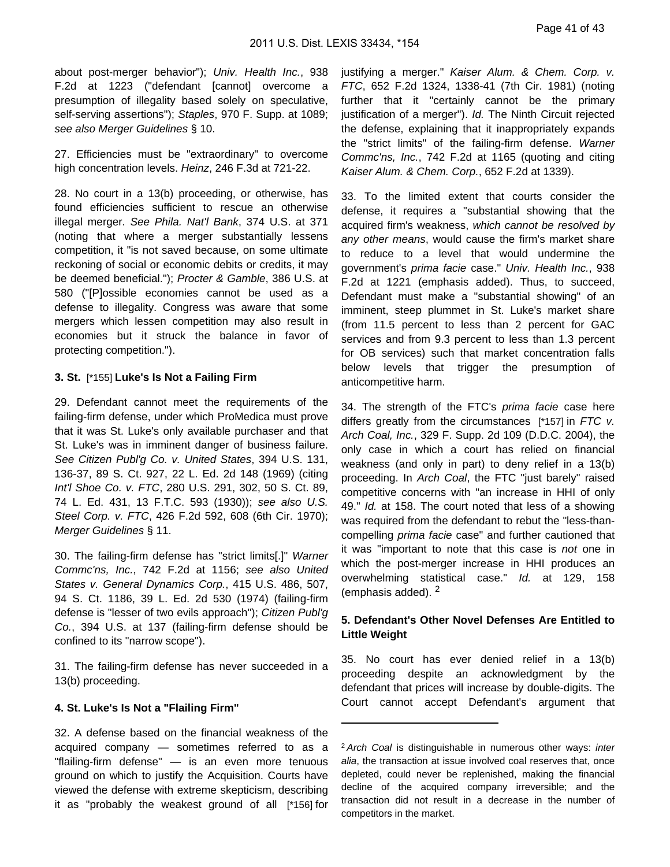about post-merger behavior"); Univ. Health Inc., 938 F.2d at 1223 ("defendant [cannot] overcome a presumption of illegality based solely on speculative, self-serving assertions"); Staples, 970 F. Supp. at 1089; see also Merger Guidelines § 10.

27. Efficiencies must be "extraordinary" to overcome high concentration levels. Heinz, 246 F.3d at 721-22.

28. No court in a 13(b) proceeding, or otherwise, has found efficiencies sufficient to rescue an otherwise illegal merger. See Phila. Nat'l Bank, 374 U.S. at 371 (noting that where a merger substantially lessens competition, it "is not saved because, on some ultimate reckoning of social or economic debits or credits, it may be deemed beneficial."); Procter & Gamble, 386 U.S. at 580 ("[P]ossible economies cannot be used as a defense to illegality. Congress was aware that some mergers which lessen competition may also result in economies but it struck the balance in favor of protecting competition.").

#### **3. St.** [\*155] **Luke's Is Not a Failing Firm**

29. Defendant cannot meet the requirements of the failing-firm defense, under which ProMedica must prove that it was St. Luke's only available purchaser and that St. Luke's was in imminent danger of business failure. See Citizen Publ'g Co. v. United States, 394 U.S. 131, 136-37, 89 S. Ct. 927, 22 L. Ed. 2d 148 (1969) (citing Int'l Shoe Co. v. FTC, 280 U.S. 291, 302, 50 S. Ct. 89, 74 L. Ed. 431, 13 F.T.C. 593 (1930)); see also U.S. Steel Corp. v. FTC, 426 F.2d 592, 608 (6th Cir. 1970); Merger Guidelines § 11.

30. The failing-firm defense has "strict limits[.]" Warner Commc'ns, Inc., 742 F.2d at 1156; see also United States v. General Dynamics Corp., 415 U.S. 486, 507, 94 S. Ct. 1186, 39 L. Ed. 2d 530 (1974) (failing-firm defense is "lesser of two evils approach"); Citizen Publ'g Co., 394 U.S. at 137 (failing-firm defense should be confined to its "narrow scope").

31. The failing-firm defense has never succeeded in a 13(b) proceeding.

#### **4. St. Luke's Is Not a "Flailing Firm"**

32. A defense based on the financial weakness of the acquired company — sometimes referred to as a "flailing-firm defense" — is an even more tenuous ground on which to justify the Acquisition. Courts have viewed the defense with extreme skepticism, describing it as "probably the weakest ground of all [\*156] for justifying a merger." Kaiser Alum. & Chem. Corp. v. FTC, 652 F.2d 1324, 1338-41 (7th Cir. 1981) (noting further that it "certainly cannot be the primary justification of a merger"). Id. The Ninth Circuit rejected the defense, explaining that it inappropriately expands the "strict limits" of the failing-firm defense. Warner Commc'ns, Inc., 742 F.2d at 1165 (quoting and citing Kaiser Alum. & Chem. Corp., 652 F.2d at 1339).

33. To the limited extent that courts consider the defense, it requires a "substantial showing that the acquired firm's weakness, which cannot be resolved by any other means, would cause the firm's market share to reduce to a level that would undermine the government's prima facie case." Univ. Health Inc., 938 F.2d at 1221 (emphasis added). Thus, to succeed, Defendant must make a "substantial showing" of an imminent, steep plummet in St. Luke's market share (from 11.5 percent to less than 2 percent for GAC services and from 9.3 percent to less than 1.3 percent for OB services) such that market concentration falls below levels that trigger the presumption of anticompetitive harm.

34. The strength of the FTC's *prima facie* case here differs greatly from the circumstances [\*157] in  $FTC$  v. Arch Coal, Inc., 329 F. Supp. 2d 109 (D.D.C. 2004), the only case in which a court has relied on financial weakness (and only in part) to deny relief in a 13(b) proceeding. In Arch Coal, the FTC "just barely" raised competitive concerns with "an increase in HHI of only 49." Id. at 158. The court noted that less of a showing was required from the defendant to rebut the "less-thancompelling prima facie case" and further cautioned that it was "important to note that this case is not one in which the post-merger increase in HHI produces an overwhelming statistical case." Id. at 129, 158 (emphasis added). <sup>2</sup>

#### **5. Defendant's Other Novel Defenses Are Entitled to Little Weight**

35. No court has ever denied relief in a 13(b) proceeding despite an acknowledgment by the defendant that prices will increase by double-digits. The Court cannot accept Defendant's argument that

<sup>&</sup>lt;sup>2</sup> Arch Coal is distinguishable in numerous other ways: inter alia, the transaction at issue involved coal reserves that, once depleted, could never be replenished, making the financial decline of the acquired company irreversible; and the transaction did not result in a decrease in the number of competitors in the market.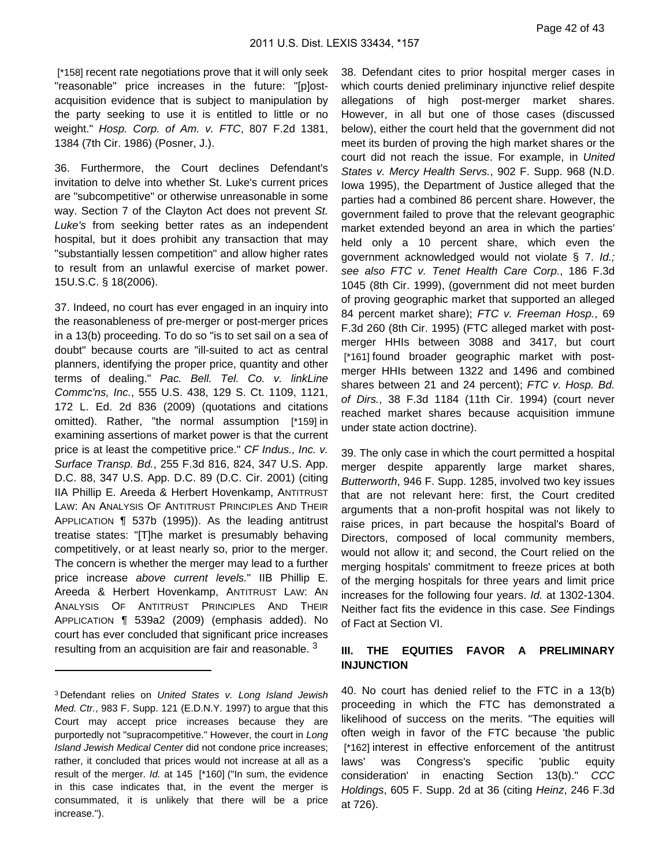[\*158] recent rate negotiations prove that it will only seek "reasonable" price increases in the future: "[p]ostacquisition evidence that is subject to manipulation by the party seeking to use it is entitled to little or no weight." Hosp. Corp. of Am. v. FTC, 807 F.2d 1381, 1384 (7th Cir. 1986) (Posner, J.).

36. Furthermore, the Court declines Defendant's invitation to delve into whether St. Luke's current prices are "subcompetitive" or otherwise unreasonable in some way. Section 7 of the Clayton Act does not prevent St. Luke's from seeking better rates as an independent hospital, but it does prohibit any transaction that may "substantially lessen competition" and allow higher rates to result from an unlawful exercise of market power. 15U.S.C. § 18(2006).

37. Indeed, no court has ever engaged in an inquiry into the reasonableness of pre-merger or post-merger prices in a 13(b) proceeding. To do so "is to set sail on a sea of doubt" because courts are "ill-suited to act as central planners, identifying the proper price, quantity and other terms of dealing." Pac. Bell. Tel. Co. v. linkLine Commc'ns, Inc., 555 U.S. 438, 129 S. Ct. 1109, 1121, 172 L. Ed. 2d 836 (2009) (quotations and citations omitted). Rather, "the normal assumption [\*159] in examining assertions of market power is that the current price is at least the competitive price." CF Indus., Inc. v. Surface Transp. Bd., 255 F.3d 816, 824, 347 U.S. App. D.C. 88, 347 U.S. App. D.C. 89 (D.C. Cir. 2001) (citing IIA Phillip E. Areeda & Herbert Hovenkamp, ANTITRUST LAW: AN ANALYSIS OF ANTITRUST PRINCIPLES AND THEIR APPLICATION ¶ 537b (1995)). As the leading antitrust treatise states: "[T]he market is presumably behaving competitively, or at least nearly so, prior to the merger. The concern is whether the merger may lead to a further price increase above current levels." IIB Phillip E. Areeda & Herbert Hovenkamp, ANTITRUST LAW: AN ANALYSIS OF ANTITRUST PRINCIPLES AND THEIR APPLICATION ¶ 539a2 (2009) (emphasis added). No court has ever concluded that significant price increases resulting from an acquisition are fair and reasonable.<sup>3</sup>

38. Defendant cites to prior hospital merger cases in which courts denied preliminary injunctive relief despite allegations of high post-merger market shares. However, in all but one of those cases (discussed below), either the court held that the government did not meet its burden of proving the high market shares or the court did not reach the issue. For example, in United States v. Mercy Health Servs., 902 F. Supp. 968 (N.D. Iowa 1995), the Department of Justice alleged that the parties had a combined 86 percent share. However, the government failed to prove that the relevant geographic market extended beyond an area in which the parties' held only a 10 percent share, which even the government acknowledged would not violate § 7. Id.; see also FTC v. Tenet Health Care Corp., 186 F.3d 1045 (8th Cir. 1999), (government did not meet burden of proving geographic market that supported an alleged 84 percent market share); FTC v. Freeman Hosp., 69 F.3d 260 (8th Cir. 1995) (FTC alleged market with postmerger HHIs between 3088 and 3417, but court [\*161] found broader geographic market with postmerger HHIs between 1322 and 1496 and combined shares between 21 and 24 percent); FTC v. Hosp. Bd. of Dirs., 38 F.3d 1184 (11th Cir. 1994) (court never reached market shares because acquisition immune under state action doctrine).

39. The only case in which the court permitted a hospital merger despite apparently large market shares, Butterworth, 946 F. Supp. 1285, involved two key issues that are not relevant here: first, the Court credited arguments that a non-profit hospital was not likely to raise prices, in part because the hospital's Board of Directors, composed of local community members, would not allow it; and second, the Court relied on the merging hospitals' commitment to freeze prices at both of the merging hospitals for three years and limit price increases for the following four years. Id. at 1302-1304. Neither fact fits the evidence in this case. See Findings of Fact at Section VI.

### **III. THE EQUITIES FAVOR A PRELIMINARY INJUNCTION**

40. No court has denied relief to the FTC in a 13(b) proceeding in which the FTC has demonstrated a likelihood of success on the merits. "The equities will often weigh in favor of the FTC because 'the public [\*162] interest in effective enforcement of the antitrust laws' was Congress's specific 'public equity consideration' in enacting Section 13(b)." CCC Holdings, 605 F. Supp. 2d at 36 (citing Heinz, 246 F.3d at 726).

<sup>3</sup> Defendant relies on United States v. Long Island Jewish Med. Ctr., 983 F. Supp. 121 (E.D.N.Y. 1997) to argue that this Court may accept price increases because they are purportedly not "supracompetitive." However, the court in Long Island Jewish Medical Center did not condone price increases; rather, it concluded that prices would not increase at all as a result of the merger. Id. at 145 [\*160] ("In sum, the evidence in this case indicates that, in the event the merger is consummated, it is unlikely that there will be a price increase.").